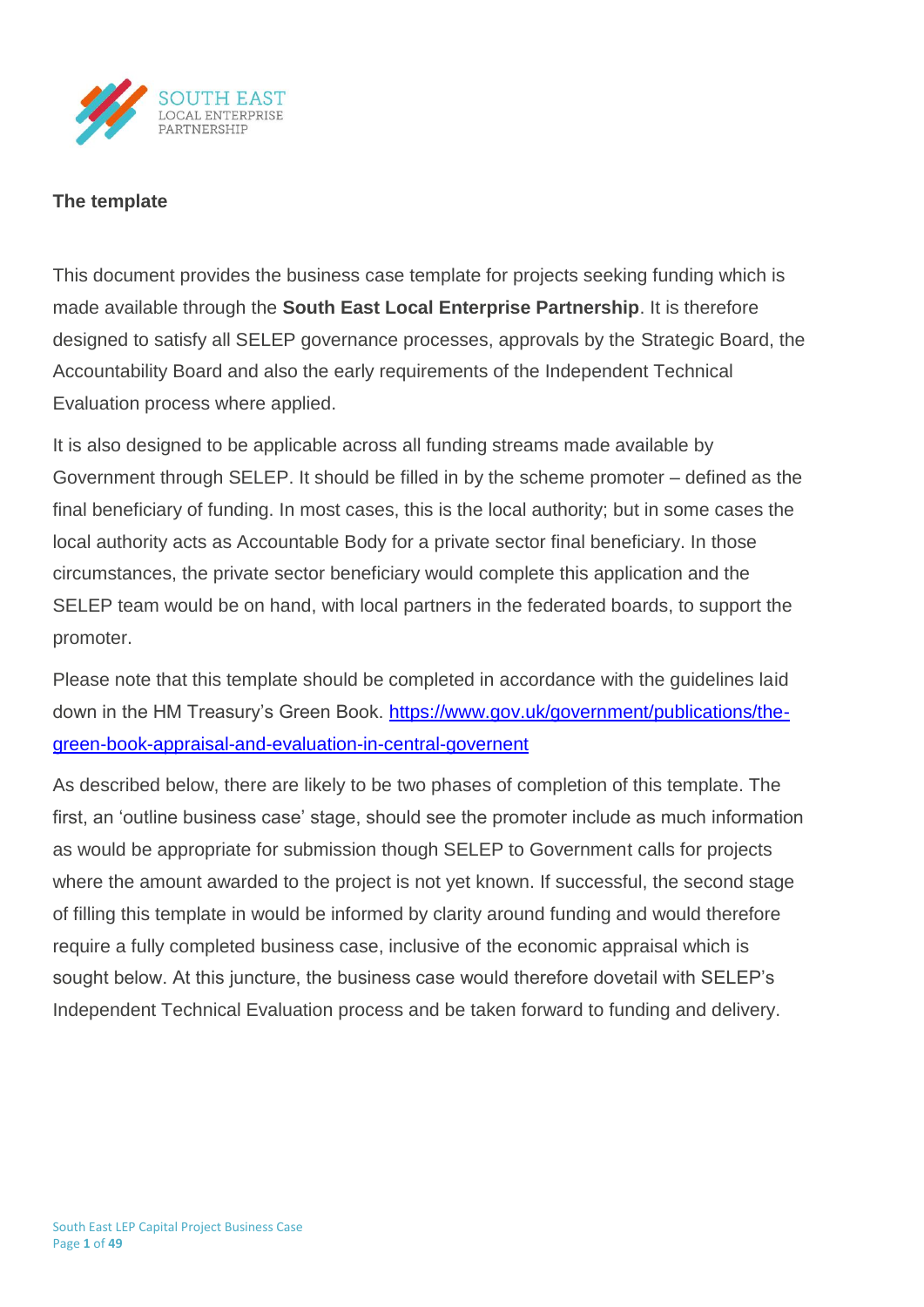

# **The template**

This document provides the business case template for projects seeking funding which is made available through the **South East Local Enterprise Partnership**. It is therefore designed to satisfy all SELEP governance processes, approvals by the Strategic Board, the Accountability Board and also the early requirements of the Independent Technical Evaluation process where applied.

It is also designed to be applicable across all funding streams made available by Government through SELEP. It should be filled in by the scheme promoter – defined as the final beneficiary of funding. In most cases, this is the local authority; but in some cases the local authority acts as Accountable Body for a private sector final beneficiary. In those circumstances, the private sector beneficiary would complete this application and the SELEP team would be on hand, with local partners in the federated boards, to support the promoter.

Please note that this template should be completed in accordance with the guidelines laid down in the HM Treasury's Green Book. [https://www.gov.uk/government/publications/the](https://www.gov.uk/government/publications/the-green-book-appraisal-and-evaluation-in-central-governent)[green-book-appraisal-and-evaluation-in-central-governent](https://www.gov.uk/government/publications/the-green-book-appraisal-and-evaluation-in-central-governent)

As described below, there are likely to be two phases of completion of this template. The first, an 'outline business case' stage, should see the promoter include as much information as would be appropriate for submission though SELEP to Government calls for projects where the amount awarded to the project is not yet known. If successful, the second stage of filling this template in would be informed by clarity around funding and would therefore require a fully completed business case, inclusive of the economic appraisal which is sought below. At this juncture, the business case would therefore dovetail with SELEP's Independent Technical Evaluation process and be taken forward to funding and delivery.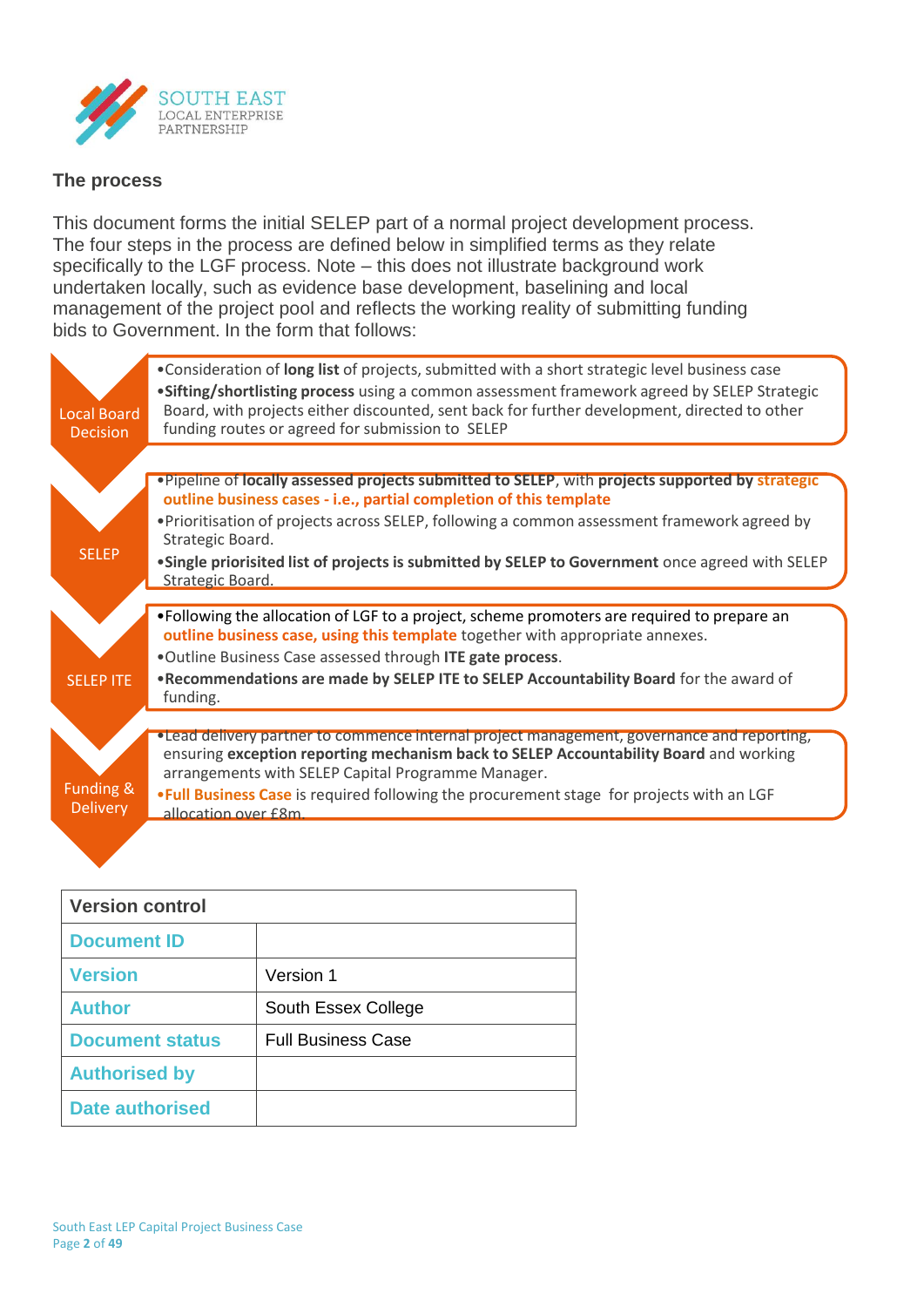

# **The process**

This document forms the initial SELEP part of a normal project development process. The four steps in the process are defined below in simplified terms as they relate specifically to the LGF process. Note – this does not illustrate background work undertaken locally, such as evidence base development, baselining and local management of the project pool and reflects the working reality of submitting funding bids to Government. In the form that follows:

| <b>Local Board</b><br><b>Decision</b> | . Consideration of long list of projects, submitted with a short strategic level business case<br>.Sifting/shortlisting process using a common assessment framework agreed by SELEP Strategic<br>Board, with projects either discounted, sent back for further development, directed to other<br>funding routes or agreed for submission to SELEP                                                                 |
|---------------------------------------|-------------------------------------------------------------------------------------------------------------------------------------------------------------------------------------------------------------------------------------------------------------------------------------------------------------------------------------------------------------------------------------------------------------------|
| <b>SELEP</b>                          | . Pipeline of locally assessed projects submitted to SELEP, with projects supported by strategic<br>outline business cases - i.e., partial completion of this template<br>. Prioritisation of projects across SELEP, following a common assessment framework agreed by<br>Strategic Board.<br>.Single priorisited list of projects is submitted by SELEP to Government once agreed with SELEP<br>Strategic Board. |
| <b>SELEP ITE</b>                      | •Following the allocation of LGF to a project, scheme promoters are required to prepare an<br>outline business case, using this template together with appropriate annexes.<br>.Outline Business Case assessed through ITE gate process.<br>. Recommendations are made by SELEP ITE to SELEP Accountability Board for the award of<br>funding.                                                                    |
| Funding &<br><b>Delivery</b>          | • Lead delivery partner to commence internal project management, governance and reporting,<br>ensuring exception reporting mechanism back to SELEP Accountability Board and working<br>arrangements with SELEP Capital Programme Manager.<br>. Full Business Case is required following the procurement stage for projects with an LGF<br>allocation over f8m                                                     |

| <b>Version control</b> |                           |  |  |  |
|------------------------|---------------------------|--|--|--|
| <b>Document ID</b>     |                           |  |  |  |
| <b>Version</b>         | Version 1                 |  |  |  |
| <b>Author</b>          | South Essex College       |  |  |  |
| <b>Document status</b> | <b>Full Business Case</b> |  |  |  |
| <b>Authorised by</b>   |                           |  |  |  |
| Date authorised        |                           |  |  |  |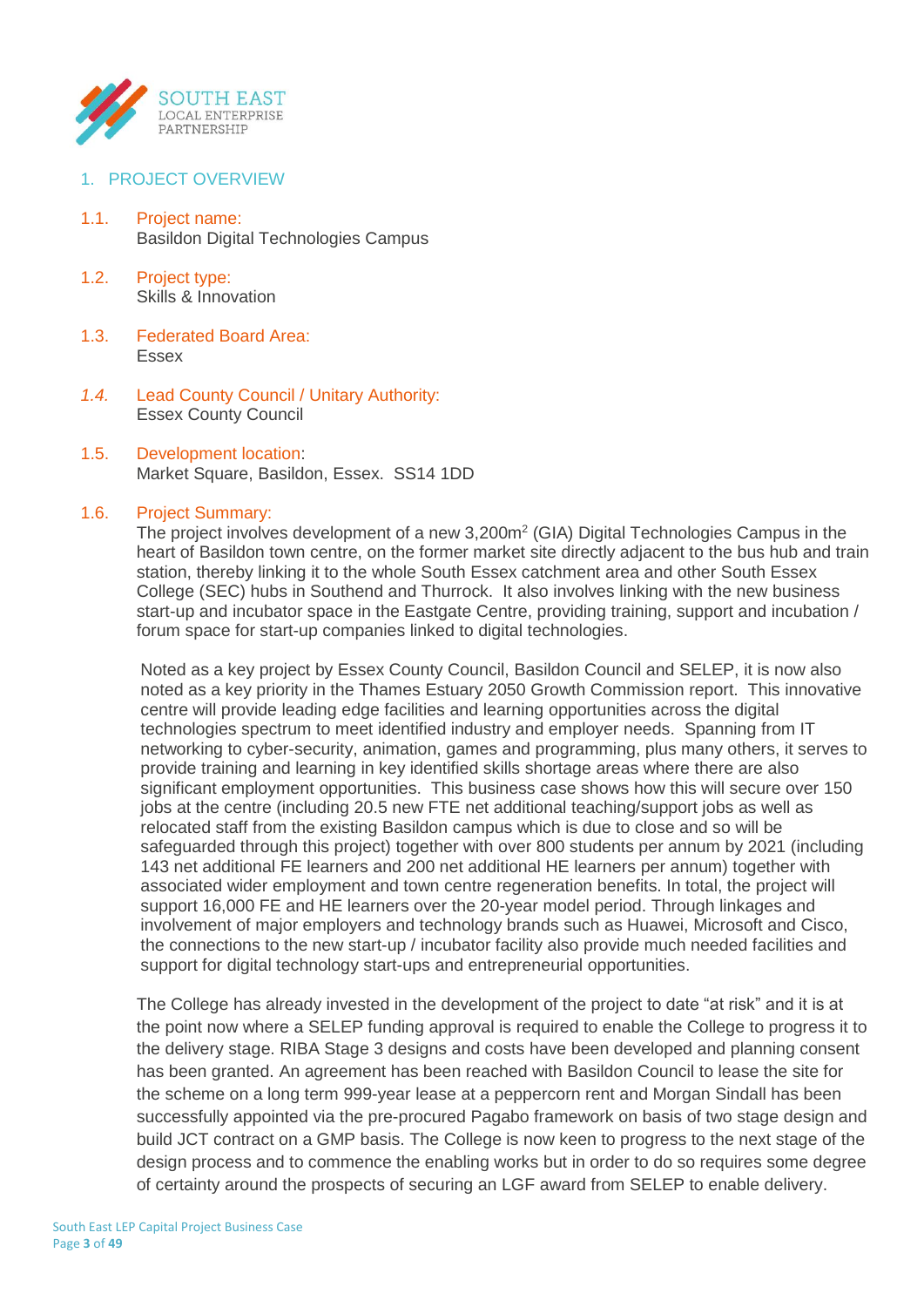

- 1. PROJECT OVERVIEW
- 1.1. Project name: Basildon Digital Technologies Campus
- 1.2. Project type: Skills & Innovation
- 1.3. Federated Board Area: Essex
- *1.4.* Lead County Council / Unitary Authority: Essex County Council
- 1.5. Development location: Market Square, Basildon, Essex. SS14 1DD

#### 1.6. Project Summary:

The project involves development of a new  $3,200m^2$  (GIA) Digital Technologies Campus in the heart of Basildon town centre, on the former market site directly adjacent to the bus hub and train station, thereby linking it to the whole South Essex catchment area and other South Essex College (SEC) hubs in Southend and Thurrock. It also involves linking with the new business start-up and incubator space in the Eastgate Centre, providing training, support and incubation / forum space for start-up companies linked to digital technologies.

Noted as a key project by Essex County Council, Basildon Council and SELEP, it is now also noted as a key priority in the Thames Estuary 2050 Growth Commission report. This innovative centre will provide leading edge facilities and learning opportunities across the digital technologies spectrum to meet identified industry and employer needs. Spanning from IT networking to cyber-security, animation, games and programming, plus many others, it serves to provide training and learning in key identified skills shortage areas where there are also significant employment opportunities. This business case shows how this will secure over 150 jobs at the centre (including 20.5 new FTE net additional teaching/support jobs as well as relocated staff from the existing Basildon campus which is due to close and so will be safeguarded through this project) together with over 800 students per annum by 2021 (including 143 net additional FE learners and 200 net additional HE learners per annum) together with associated wider employment and town centre regeneration benefits. In total, the project will support 16,000 FE and HE learners over the 20-year model period. Through linkages and involvement of major employers and technology brands such as Huawei, Microsoft and Cisco, the connections to the new start-up / incubator facility also provide much needed facilities and support for digital technology start-ups and entrepreneurial opportunities.

The College has already invested in the development of the project to date "at risk" and it is at the point now where a SELEP funding approval is required to enable the College to progress it to the delivery stage. RIBA Stage 3 designs and costs have been developed and planning consent has been granted. An agreement has been reached with Basildon Council to lease the site for the scheme on a long term 999-year lease at a peppercorn rent and Morgan Sindall has been successfully appointed via the pre-procured Pagabo framework on basis of two stage design and build JCT contract on a GMP basis. The College is now keen to progress to the next stage of the design process and to commence the enabling works but in order to do so requires some degree of certainty around the prospects of securing an LGF award from SELEP to enable delivery.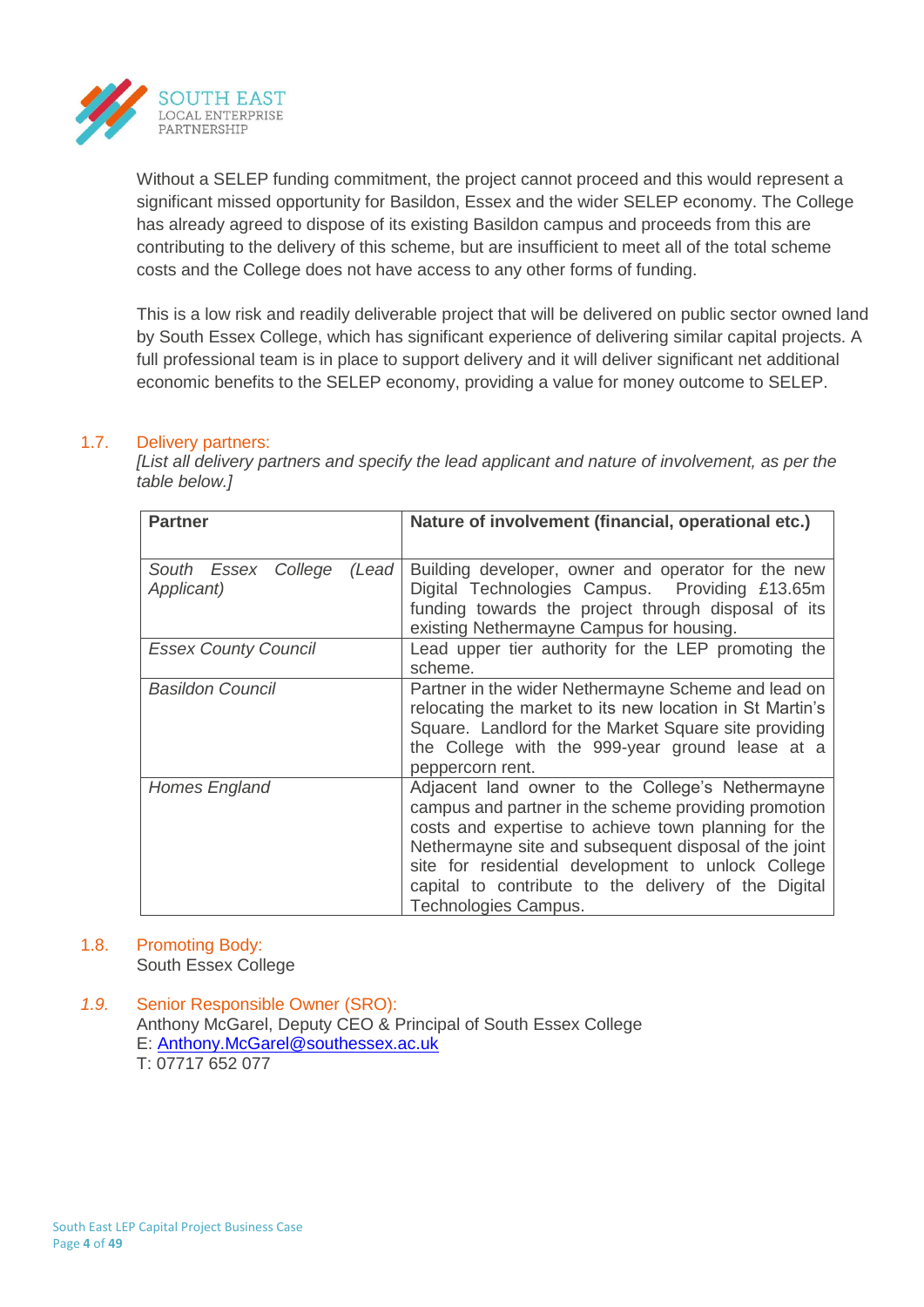

Without a SELEP funding commitment, the project cannot proceed and this would represent a significant missed opportunity for Basildon, Essex and the wider SELEP economy. The College has already agreed to dispose of its existing Basildon campus and proceeds from this are contributing to the delivery of this scheme, but are insufficient to meet all of the total scheme costs and the College does not have access to any other forms of funding.

This is a low risk and readily deliverable project that will be delivered on public sector owned land by South Essex College, which has significant experience of delivering similar capital projects. A full professional team is in place to support delivery and it will deliver significant net additional economic benefits to the SELEP economy, providing a value for money outcome to SELEP.

# 1.7. Delivery partners:

*[List all delivery partners and specify the lead applicant and nature of involvement, as per the table below.]*

| <b>Partner</b>                             | Nature of involvement (financial, operational etc.)                                                                                                                                                                                                                                                                                                             |
|--------------------------------------------|-----------------------------------------------------------------------------------------------------------------------------------------------------------------------------------------------------------------------------------------------------------------------------------------------------------------------------------------------------------------|
| South Essex College<br>(Lead<br>Applicant) | Building developer, owner and operator for the new<br>Digital Technologies Campus. Providing £13.65m<br>funding towards the project through disposal of its<br>existing Nethermayne Campus for housing.                                                                                                                                                         |
| <b>Essex County Council</b>                | Lead upper tier authority for the LEP promoting the<br>scheme.                                                                                                                                                                                                                                                                                                  |
| <b>Basildon Council</b>                    | Partner in the wider Nethermayne Scheme and lead on<br>relocating the market to its new location in St Martin's<br>Square. Landlord for the Market Square site providing<br>the College with the 999-year ground lease at a<br>peppercorn rent.                                                                                                                 |
| Homes England                              | Adjacent land owner to the College's Nethermayne<br>campus and partner in the scheme providing promotion<br>costs and expertise to achieve town planning for the<br>Nethermayne site and subsequent disposal of the joint<br>site for residential development to unlock College<br>capital to contribute to the delivery of the Digital<br>Technologies Campus. |

# 1.8. Promoting Body:

South Essex College

*1.9.* Senior Responsible Owner (SRO): Anthony McGarel, Deputy CEO & Principal of South Essex College E: Anthony.McGarel@southessex.ac.uk T: 07717 652 077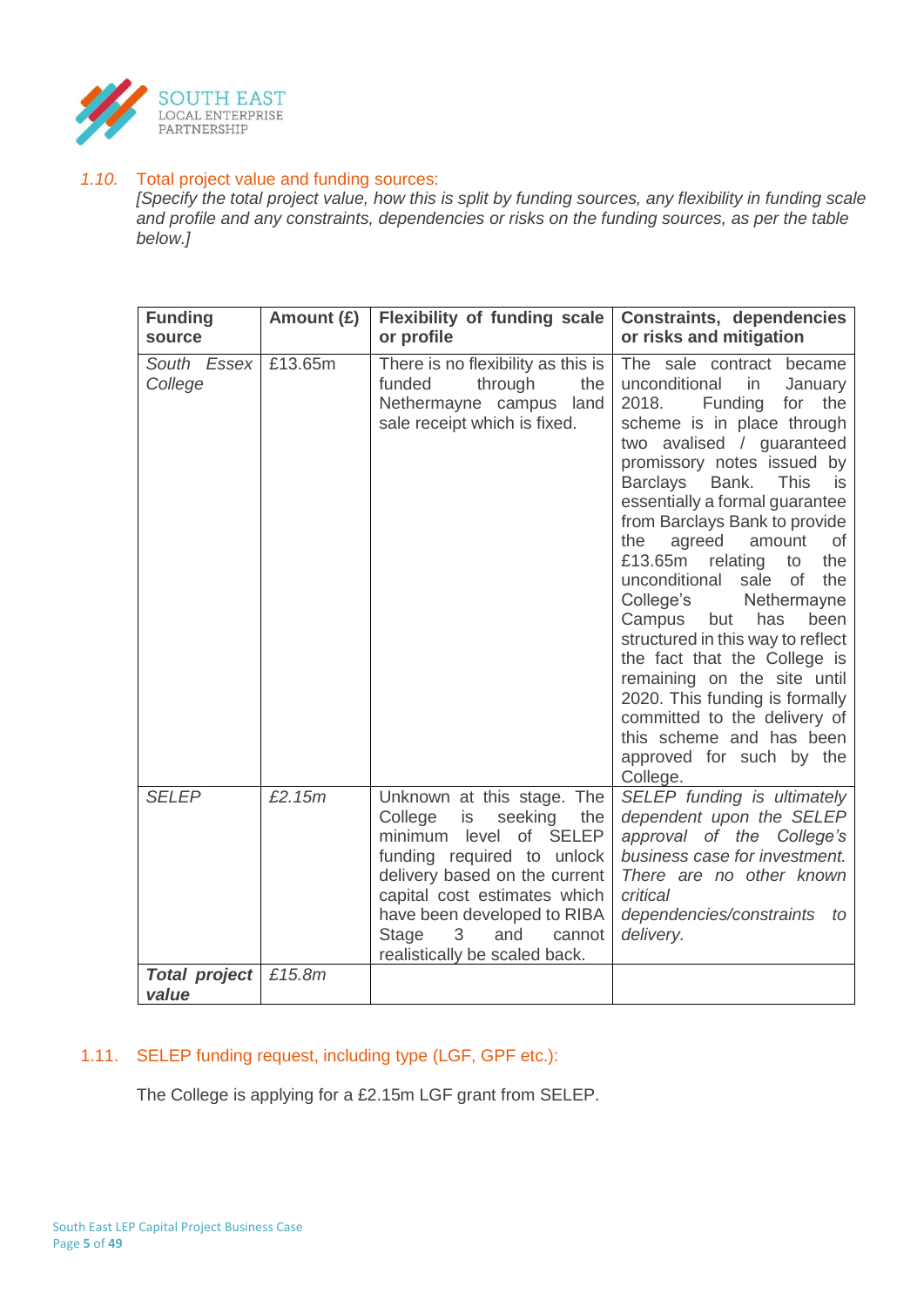

# *1.10.* Total project value and funding sources:

*[Specify the total project value, how this is split by funding sources, any flexibility in funding scale and profile and any constraints, dependencies or risks on the funding sources, as per the table below.]*

| <b>Funding</b><br>source      | Amount (£) | <b>Flexibility of funding scale</b><br>or profile                                                                                                                                                                                                                                     | Constraints, dependencies<br>or risks and mitigation                                                                                                                                                                                                                                                                                                                                                                                                                                                                                                                                                                                                                                                                    |
|-------------------------------|------------|---------------------------------------------------------------------------------------------------------------------------------------------------------------------------------------------------------------------------------------------------------------------------------------|-------------------------------------------------------------------------------------------------------------------------------------------------------------------------------------------------------------------------------------------------------------------------------------------------------------------------------------------------------------------------------------------------------------------------------------------------------------------------------------------------------------------------------------------------------------------------------------------------------------------------------------------------------------------------------------------------------------------------|
| South Essex<br>College        | £13.65m    | There is no flexibility as this is<br>through<br>funded<br>the<br>Nethermayne campus<br>land<br>sale receipt which is fixed.                                                                                                                                                          | The sale contract became<br>unconditional<br>in<br>January<br>2018.<br>Funding<br>for the<br>scheme is in place through<br>two avalised / guaranteed<br>promissory notes issued by<br><b>Barclays</b><br>Bank.<br><b>This</b><br>is<br>essentially a formal guarantee<br>from Barclays Bank to provide<br>the<br>agreed<br>amount<br>0f<br>£13.65m<br>relating<br>the<br>to<br>unconditional<br>sale<br>of<br>the<br>College's<br>Nethermayne<br>Campus<br>but<br>has<br>been<br>structured in this way to reflect<br>the fact that the College is<br>remaining on the site until<br>2020. This funding is formally<br>committed to the delivery of<br>this scheme and has been<br>approved for such by the<br>College. |
| <b>SELEP</b>                  | £2.15m     | Unknown at this stage. The<br>College<br>is<br>seeking<br>the<br>minimum level of SELEP<br>funding required to unlock<br>delivery based on the current<br>capital cost estimates which<br>have been developed to RIBA<br>Stage<br>3<br>and<br>cannot<br>realistically be scaled back. | SELEP funding is ultimately<br>dependent upon the SELEP<br>approval of the College's<br>business case for investment.<br>There are no other known<br>critical<br>dependencies/constraints<br>to<br>delivery.                                                                                                                                                                                                                                                                                                                                                                                                                                                                                                            |
| <b>Total project</b><br>value | £15.8m     |                                                                                                                                                                                                                                                                                       |                                                                                                                                                                                                                                                                                                                                                                                                                                                                                                                                                                                                                                                                                                                         |

# 1.11. SELEP funding request, including type (LGF, GPF etc.):

The College is applying for a £2.15m LGF grant from SELEP.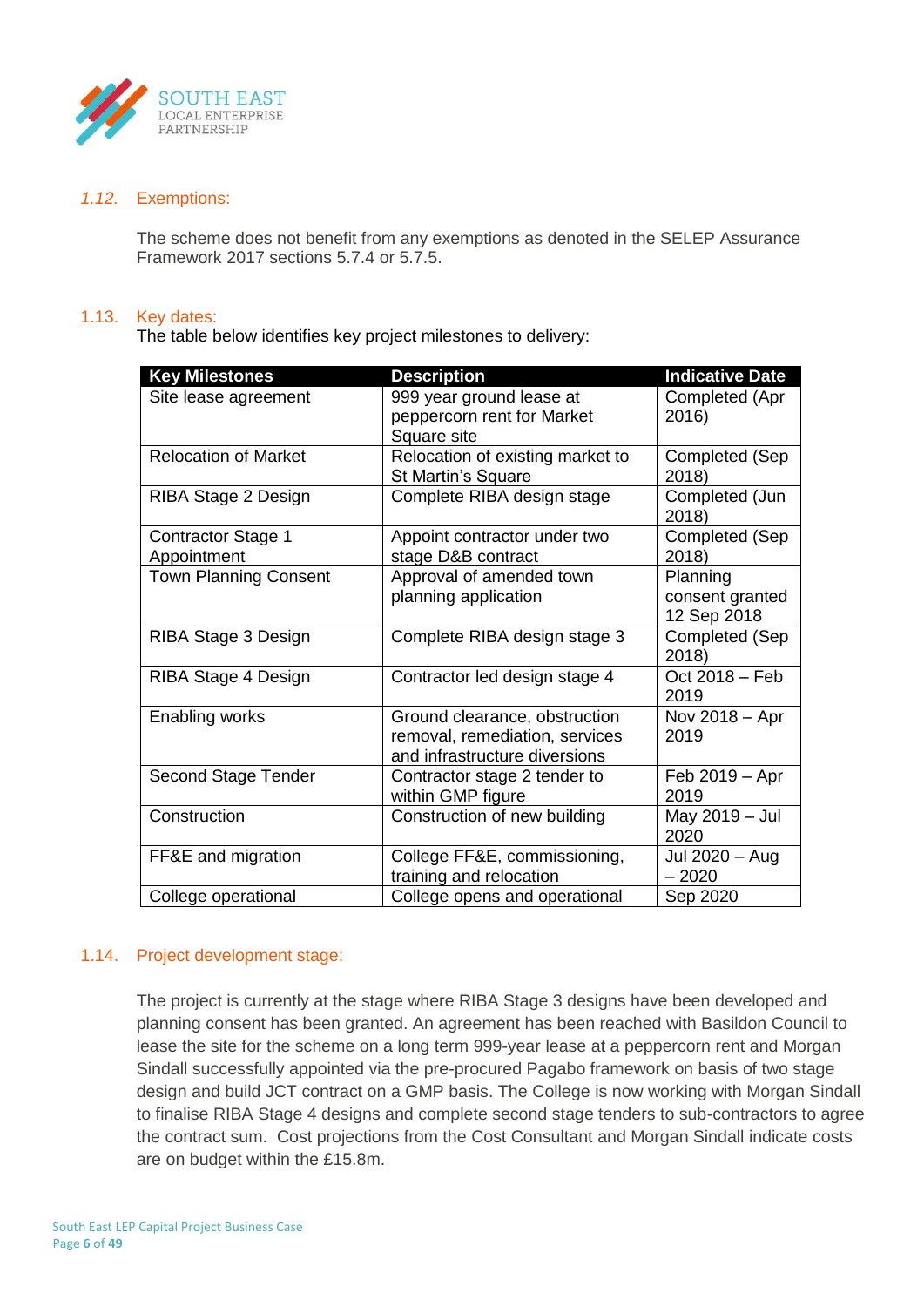

#### *1.12.* Exemptions:

The scheme does not benefit from any exemptions as denoted in the SELEP Assurance Framework 2017 sections 5.7.4 or 5.7.5.

## 1.13. Key dates:

The table below identifies key project milestones to delivery:

| <b>Key Milestones</b>                    | <b>Description</b>                                                                               | <b>Indicative Date</b>                     |
|------------------------------------------|--------------------------------------------------------------------------------------------------|--------------------------------------------|
| Site lease agreement                     | 999 year ground lease at<br>peppercorn rent for Market<br>Square site                            | Completed (Apr<br>2016)                    |
| <b>Relocation of Market</b>              | Relocation of existing market to<br>St Martin's Square                                           | Completed (Sep<br>2018)                    |
| RIBA Stage 2 Design                      | Complete RIBA design stage                                                                       | Completed (Jun<br>2018)                    |
| <b>Contractor Stage 1</b><br>Appointment | Appoint contractor under two<br>stage D&B contract                                               | Completed (Sep<br>2018)                    |
| <b>Town Planning Consent</b>             | Approval of amended town<br>planning application                                                 | Planning<br>consent granted<br>12 Sep 2018 |
| RIBA Stage 3 Design                      | Complete RIBA design stage 3                                                                     | Completed (Sep<br>2018)                    |
| RIBA Stage 4 Design                      | Contractor led design stage 4                                                                    | Oct 2018 - Feb<br>2019                     |
| Enabling works                           | Ground clearance, obstruction<br>removal, remediation, services<br>and infrastructure diversions | Nov 2018 - Apr<br>2019                     |
| <b>Second Stage Tender</b>               | Contractor stage 2 tender to<br>within GMP figure                                                | Feb 2019 - Apr<br>2019                     |
| Construction                             | Construction of new building                                                                     | May 2019 - Jul<br>2020                     |
| FF&E and migration                       | College FF&E, commissioning,<br>training and relocation                                          | Jul 2020 - Aug<br>$-2020$                  |
| College operational                      | College opens and operational                                                                    | Sep 2020                                   |

## 1.14. Project development stage:

The project is currently at the stage where RIBA Stage 3 designs have been developed and planning consent has been granted. An agreement has been reached with Basildon Council to lease the site for the scheme on a long term 999-year lease at a peppercorn rent and Morgan Sindall successfully appointed via the pre-procured Pagabo framework on basis of two stage design and build JCT contract on a GMP basis. The College is now working with Morgan Sindall to finalise RIBA Stage 4 designs and complete second stage tenders to sub-contractors to agree the contract sum. Cost projections from the Cost Consultant and Morgan Sindall indicate costs are on budget within the £15.8m.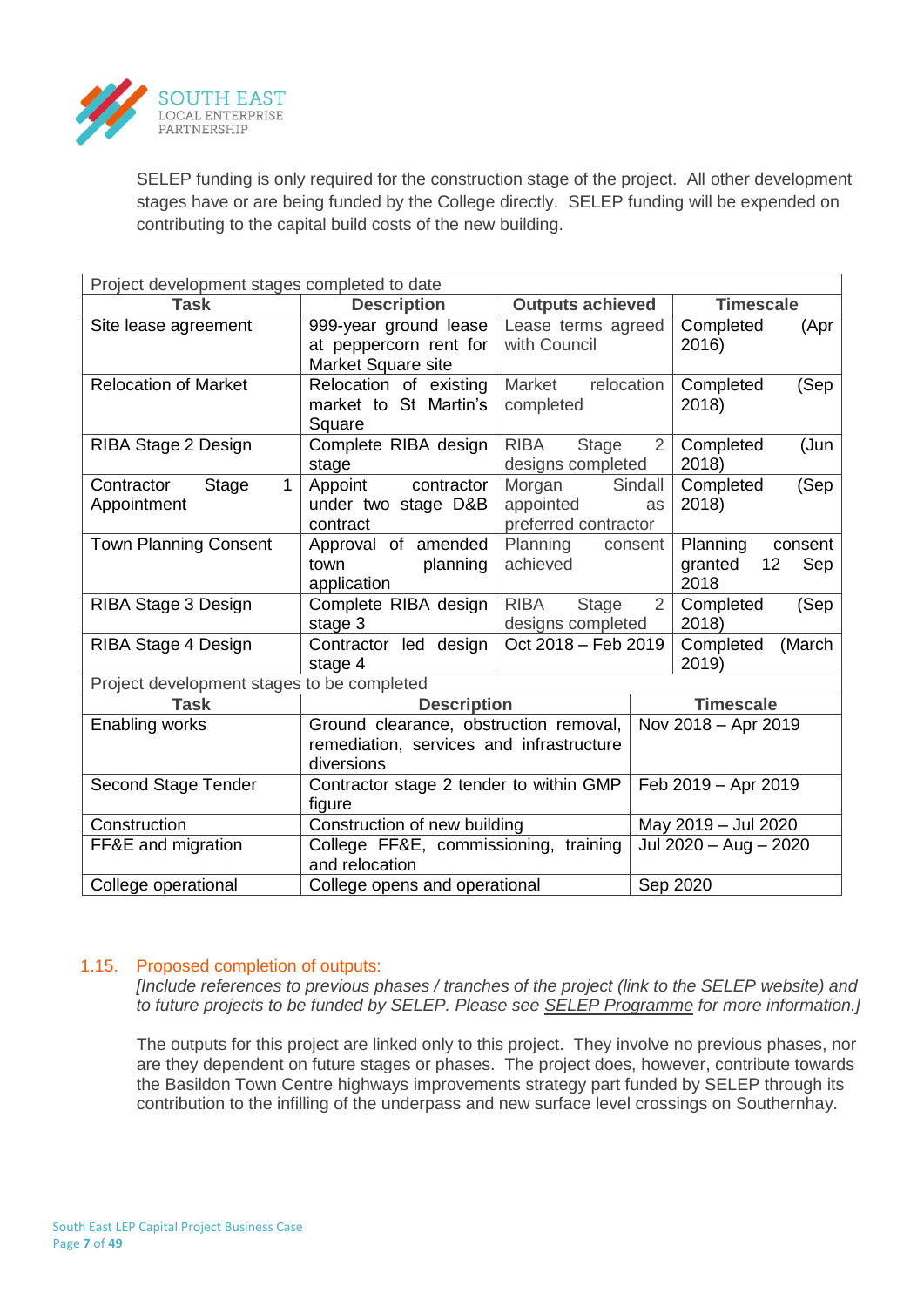

SELEP funding is only required for the construction stage of the project. All other development stages have or are being funded by the College directly. SELEP funding will be expended on contributing to the capital build costs of the new building.

| Project development stages completed to date       |                                                                                                  |                                                             |                     |                                                     |  |  |
|----------------------------------------------------|--------------------------------------------------------------------------------------------------|-------------------------------------------------------------|---------------------|-----------------------------------------------------|--|--|
| <b>Task</b>                                        | <b>Description</b>                                                                               | <b>Outputs achieved</b>                                     | <b>Timescale</b>    |                                                     |  |  |
| Site lease agreement                               | 999-year ground lease<br>at peppercorn rent for<br>Market Square site                            | Lease terms agreed<br>with Council                          |                     | Completed<br>(Apr<br>2016)                          |  |  |
| <b>Relocation of Market</b>                        | Relocation of existing<br>market to St Martin's<br>Square                                        | Market<br>relocation<br>completed                           |                     | Completed<br>(Sep<br>2018)                          |  |  |
| RIBA Stage 2 Design                                | Complete RIBA design<br>stage                                                                    | <b>RIBA</b><br>Stage<br>designs completed                   | $\overline{2}$      | Completed<br>(Jun<br>2018)                          |  |  |
| $\mathbf{1}$<br>Contractor<br>Stage<br>Appointment | Appoint contractor<br>under two stage D&B<br>contract                                            | Morgan<br>appointed<br>preferred contractor                 | Sindall<br>as       | Completed<br>(Sep<br>2018)                          |  |  |
| <b>Town Planning Consent</b>                       | Approval of amended<br>town<br>planning<br>application                                           | Planning<br>consent<br>achieved                             |                     | Planning<br>consent<br>12<br>Sep<br>granted<br>2018 |  |  |
| RIBA Stage 3 Design                                | Complete RIBA design<br>stage 3                                                                  | <b>RIBA</b><br>Stage<br>$\overline{2}$<br>designs completed |                     | Completed<br>(Sep<br>2018)                          |  |  |
| RIBA Stage 4 Design                                | Contractor led design<br>stage 4                                                                 | Oct 2018 - Feb 2019                                         |                     | Completed<br>(March<br>2019)                        |  |  |
| Project development stages to be completed         |                                                                                                  |                                                             |                     |                                                     |  |  |
| <b>Task</b>                                        | <b>Description</b>                                                                               |                                                             | <b>Timescale</b>    |                                                     |  |  |
| Enabling works                                     | Ground clearance, obstruction removal,<br>remediation, services and infrastructure<br>diversions |                                                             | Nov 2018 - Apr 2019 |                                                     |  |  |
| Second Stage Tender                                | Contractor stage 2 tender to within GMP<br>figure                                                |                                                             |                     | Feb 2019 - Apr 2019                                 |  |  |
| Construction                                       | Construction of new building                                                                     |                                                             |                     | May 2019 - Jul 2020                                 |  |  |
| FF&E and migration                                 | College FF&E, commissioning, training<br>and relocation                                          |                                                             |                     | Jul 2020 - Aug - 2020                               |  |  |
| College operational                                | College opens and operational                                                                    |                                                             |                     | Sep 2020                                            |  |  |

## 1.15. Proposed completion of outputs:

*[Include references to previous phases / tranches of the project (link to the SELEP website) and to future projects to be funded by SELEP. Please see SELEP Programme for more information.]*

The outputs for this project are linked only to this project. They involve no previous phases, nor are they dependent on future stages or phases. The project does, however, contribute towards the Basildon Town Centre highways improvements strategy part funded by SELEP through its contribution to the infilling of the underpass and new surface level crossings on Southernhay.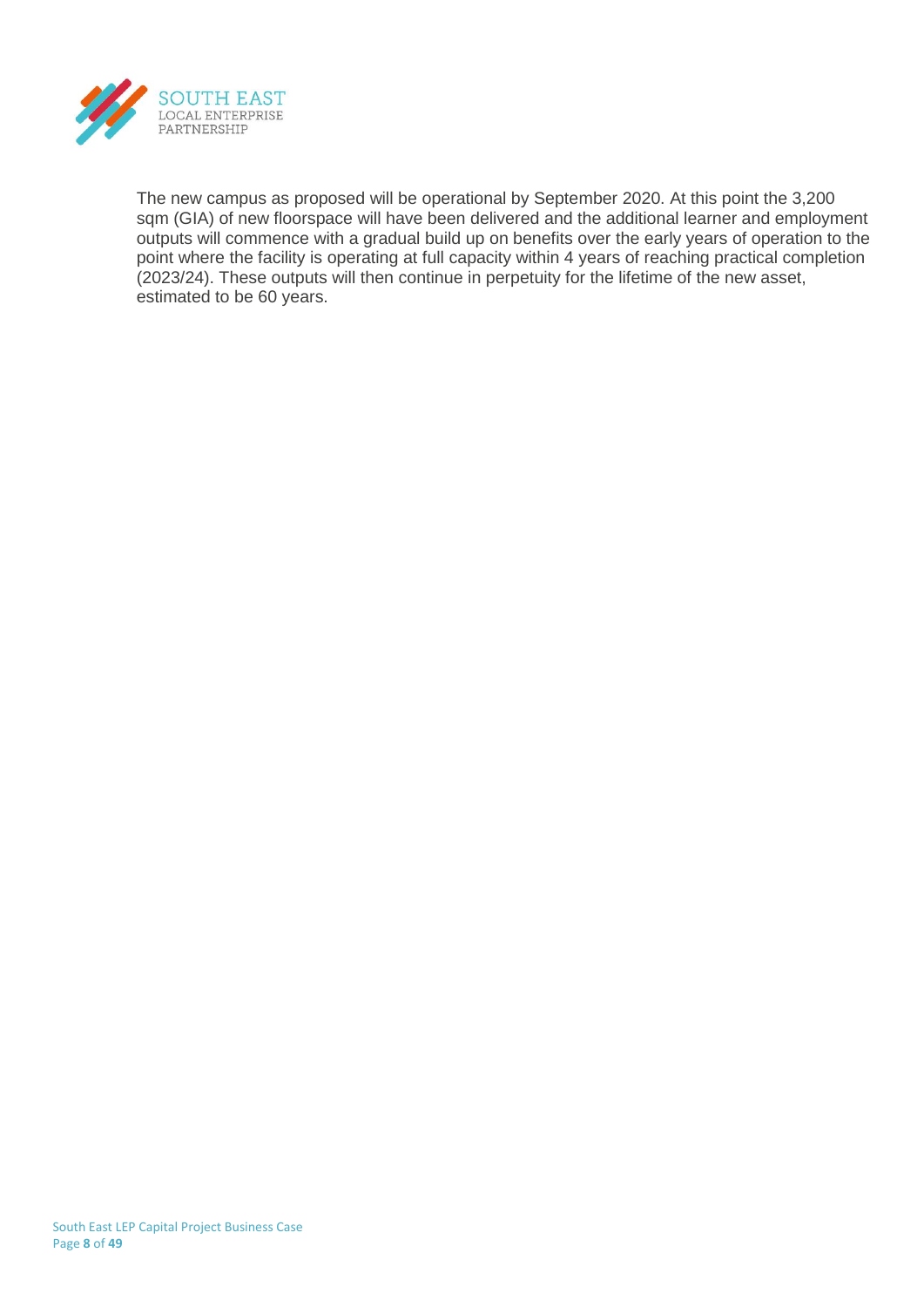

The new campus as proposed will be operational by September 2020. At this point the 3,200 sqm (GIA) of new floorspace will have been delivered and the additional learner and employment outputs will commence with a gradual build up on benefits over the early years of operation to the point where the facility is operating at full capacity within 4 years of reaching practical completion (2023/24). These outputs will then continue in perpetuity for the lifetime of the new asset, estimated to be 60 years.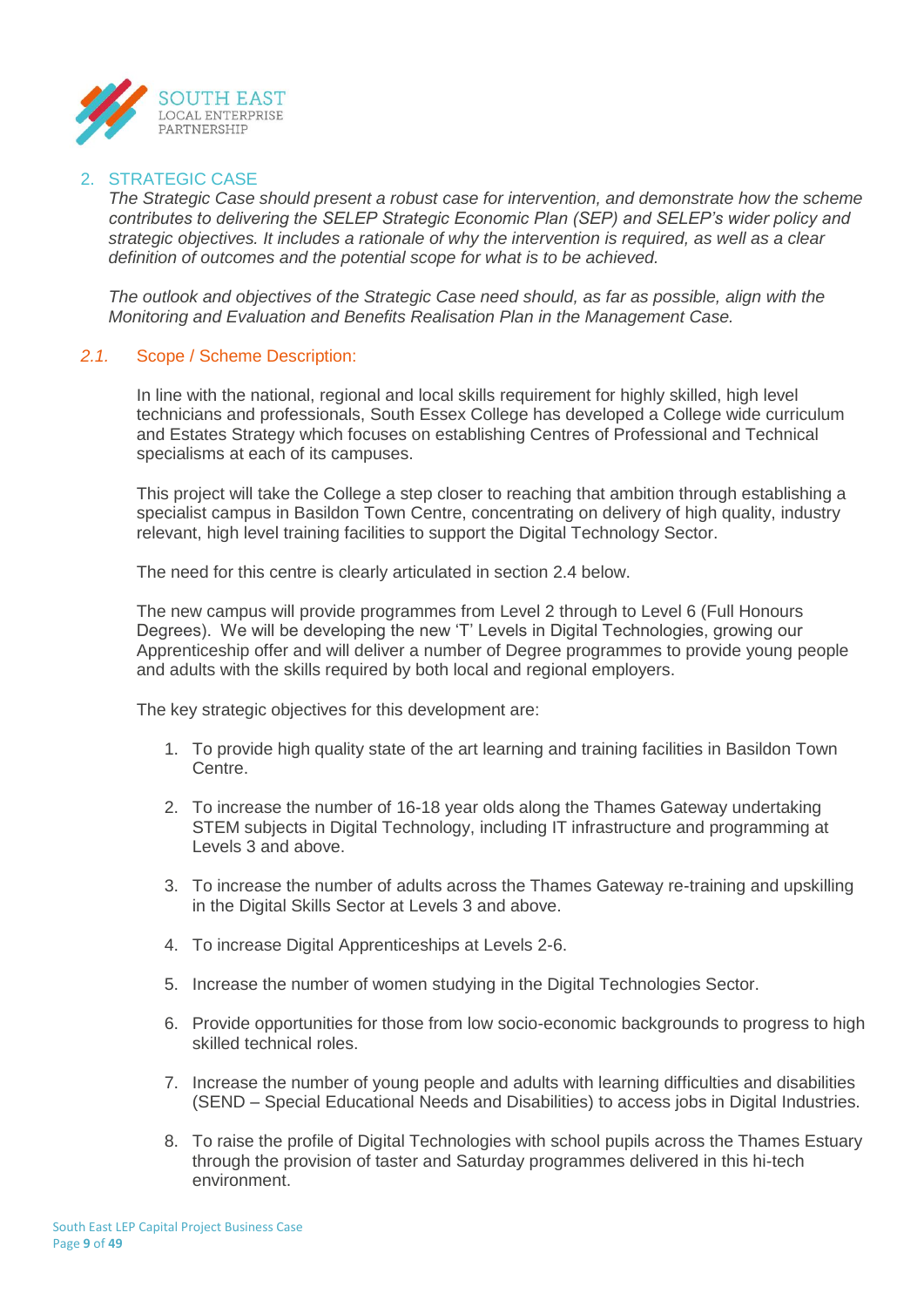

## 2. STRATEGIC CASE

*The Strategic Case should present a robust case for intervention, and demonstrate how the scheme contributes to delivering the SELEP Strategic Economic Plan (SEP) and SELEP's wider policy and strategic objectives. It includes a rationale of why the intervention is required, as well as a clear definition of outcomes and the potential scope for what is to be achieved.*

*The outlook and objectives of the Strategic Case need should, as far as possible, align with the Monitoring and Evaluation and Benefits Realisation Plan in the Management Case.*

## *2.1.* Scope / Scheme Description:

In line with the national, regional and local skills requirement for highly skilled, high level technicians and professionals, South Essex College has developed a College wide curriculum and Estates Strategy which focuses on establishing Centres of Professional and Technical specialisms at each of its campuses.

This project will take the College a step closer to reaching that ambition through establishing a specialist campus in Basildon Town Centre, concentrating on delivery of high quality, industry relevant, high level training facilities to support the Digital Technology Sector.

The need for this centre is clearly articulated in section 2.4 below.

The new campus will provide programmes from Level 2 through to Level 6 (Full Honours Degrees). We will be developing the new 'T' Levels in Digital Technologies, growing our Apprenticeship offer and will deliver a number of Degree programmes to provide young people and adults with the skills required by both local and regional employers.

The key strategic objectives for this development are:

- 1. To provide high quality state of the art learning and training facilities in Basildon Town Centre.
- 2. To increase the number of 16-18 year olds along the Thames Gateway undertaking STEM subjects in Digital Technology, including IT infrastructure and programming at Levels 3 and above.
- 3. To increase the number of adults across the Thames Gateway re-training and upskilling in the Digital Skills Sector at Levels 3 and above.
- 4. To increase Digital Apprenticeships at Levels 2-6.
- 5. Increase the number of women studying in the Digital Technologies Sector.
- 6. Provide opportunities for those from low socio-economic backgrounds to progress to high skilled technical roles.
- 7. Increase the number of young people and adults with learning difficulties and disabilities (SEND – Special Educational Needs and Disabilities) to access jobs in Digital Industries.
- 8. To raise the profile of Digital Technologies with school pupils across the Thames Estuary through the provision of taster and Saturday programmes delivered in this hi-tech environment.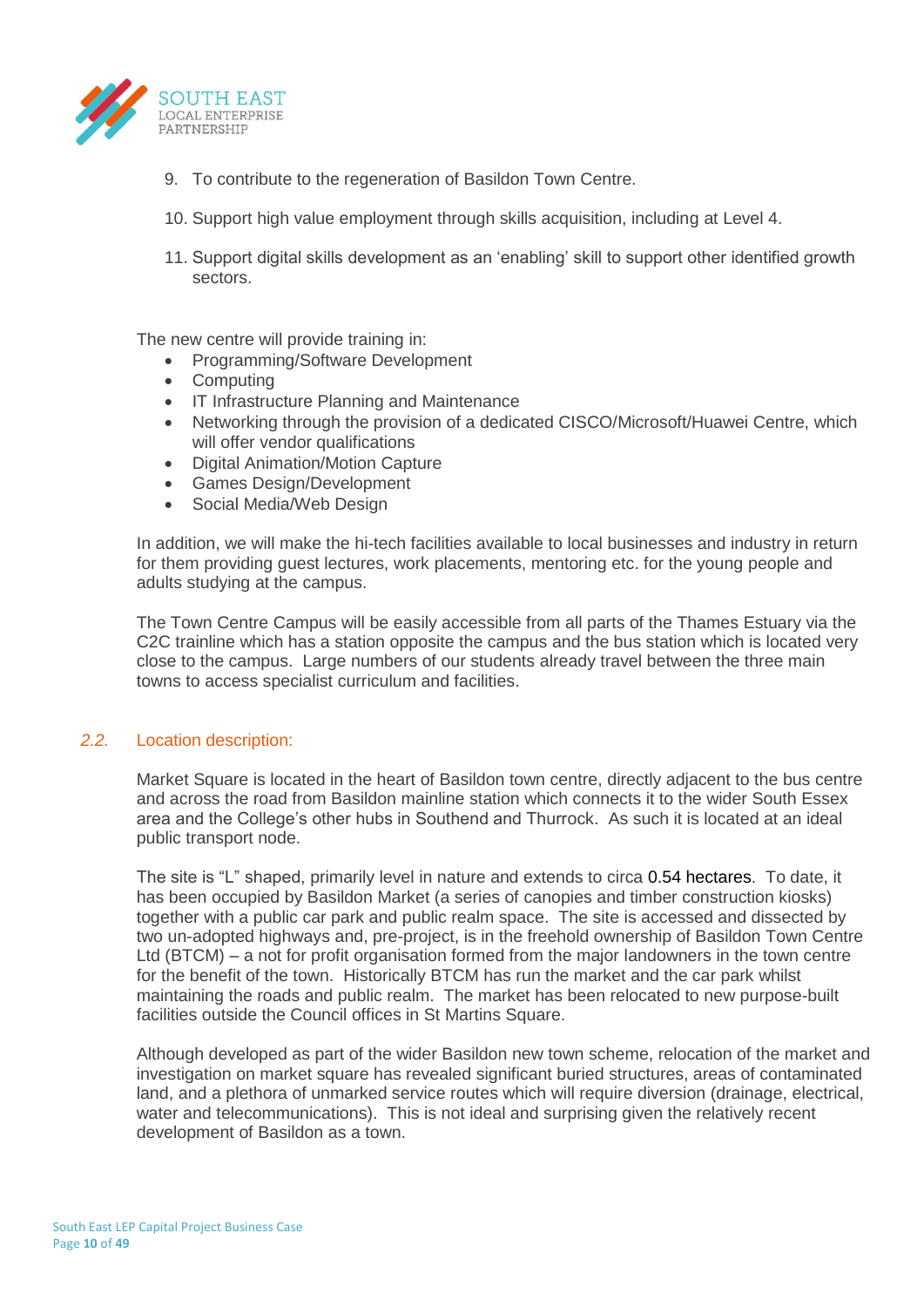

- 9. To contribute to the regeneration of Basildon Town Centre.
- 10. Support high value employment through skills acquisition, including at Level 4.
- 11. Support digital skills development as an 'enabling' skill to support other identified growth sectors.

The new centre will provide training in:

- Programming/Software Development
- Computing
- IT Infrastructure Planning and Maintenance
- Networking through the provision of a dedicated CISCO/Microsoft/Huawei Centre, which will offer vendor qualifications
- Digital Animation/Motion Capture
- Games Design/Development
- Social Media/Web Design

In addition, we will make the hi-tech facilities available to local businesses and industry in return for them providing guest lectures, work placements, mentoring etc. for the young people and adults studying at the campus.

The Town Centre Campus will be easily accessible from all parts of the Thames Estuary via the C2C trainline which has a station opposite the campus and the bus station which is located very close to the campus. Large numbers of our students already travel between the three main towns to access specialist curriculum and facilities.

### *2.2.* Location description:

Market Square is located in the heart of Basildon town centre, directly adjacent to the bus centre and across the road from Basildon mainline station which connects it to the wider South Essex area and the College's other hubs in Southend and Thurrock. As such it is located at an ideal public transport node.

The site is "L" shaped, primarily level in nature and extends to circa 0.54 hectares. To date, it has been occupied by Basildon Market (a series of canopies and timber construction kiosks) together with a public car park and public realm space. The site is accessed and dissected by two un-adopted highways and, pre-project, is in the freehold ownership of Basildon Town Centre Ltd (BTCM) – a not for profit organisation formed from the major landowners in the town centre for the benefit of the town. Historically BTCM has run the market and the car park whilst maintaining the roads and public realm. The market has been relocated to new purpose-built facilities outside the Council offices in St Martins Square.

Although developed as part of the wider Basildon new town scheme, relocation of the market and investigation on market square has revealed significant buried structures, areas of contaminated land, and a plethora of unmarked service routes which will require diversion (drainage, electrical, water and telecommunications). This is not ideal and surprising given the relatively recent development of Basildon as a town.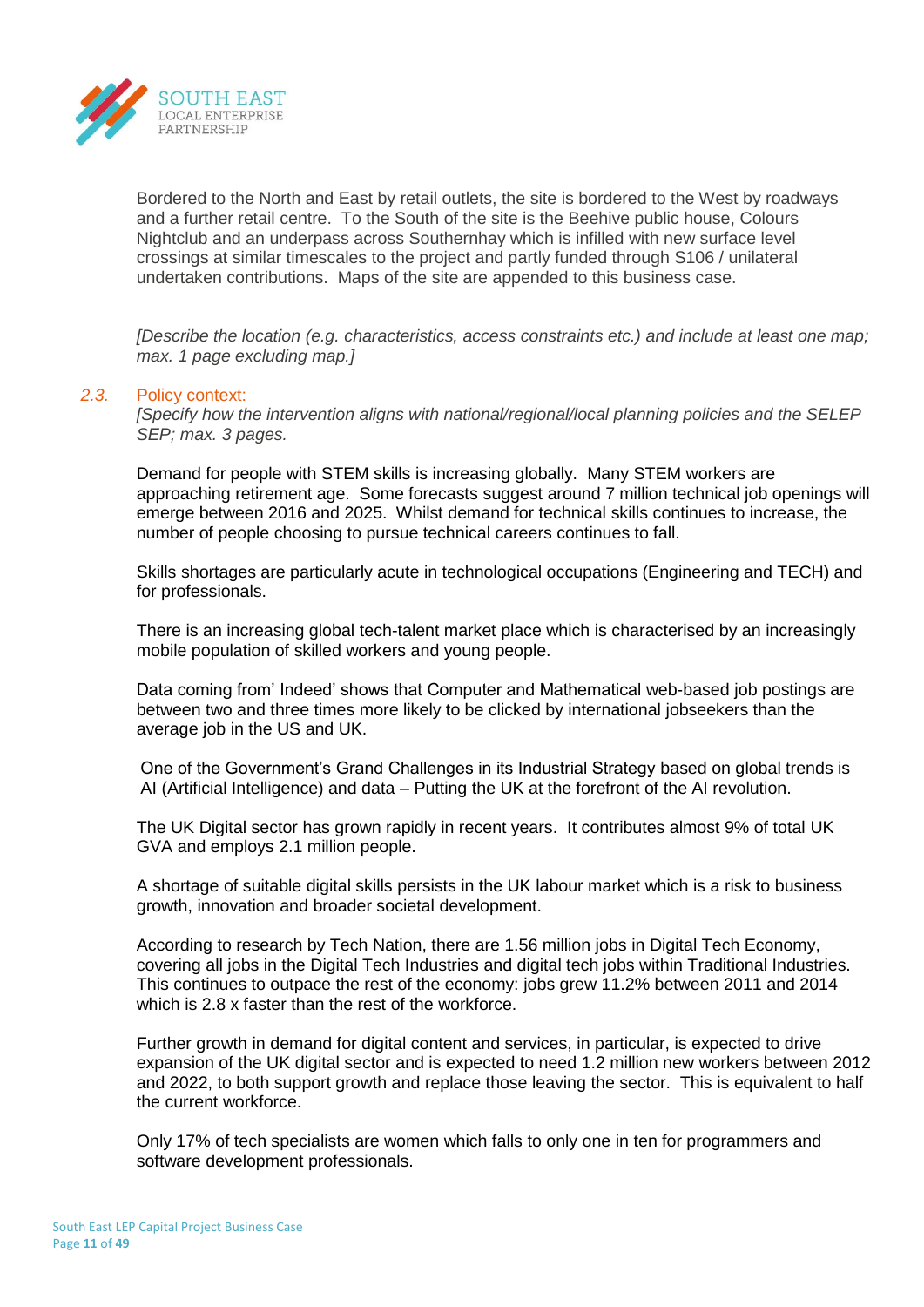

Bordered to the North and East by retail outlets, the site is bordered to the West by roadways and a further retail centre. To the South of the site is the Beehive public house, Colours Nightclub and an underpass across Southernhay which is infilled with new surface level crossings at similar timescales to the project and partly funded through S106 / unilateral undertaken contributions. Maps of the site are appended to this business case.

*[Describe the location (e.g. characteristics, access constraints etc.) and include at least one map; max. 1 page excluding map.]*

#### *2.3.* Policy context:

*[Specify how the intervention aligns with national/regional/local planning policies and the SELEP SEP; max. 3 pages.*

Demand for people with STEM skills is increasing globally. Many STEM workers are approaching retirement age. Some forecasts suggest around 7 million technical job openings will emerge between 2016 and 2025. Whilst demand for technical skills continues to increase, the number of people choosing to pursue technical careers continues to fall.

Skills shortages are particularly acute in technological occupations (Engineering and TECH) and for professionals.

There is an increasing global tech-talent market place which is characterised by an increasingly mobile population of skilled workers and young people.

Data coming from' Indeed' shows that Computer and Mathematical web-based job postings are between two and three times more likely to be clicked by international jobseekers than the average job in the US and UK.

One of the Government's Grand Challenges in its Industrial Strategy based on global trends is AI (Artificial Intelligence) and data – Putting the UK at the forefront of the AI revolution.

The UK Digital sector has grown rapidly in recent years. It contributes almost 9% of total UK GVA and employs 2.1 million people.

A shortage of suitable digital skills persists in the UK labour market which is a risk to business growth, innovation and broader societal development.

According to research by Tech Nation, there are 1.56 million jobs in Digital Tech Economy, covering all jobs in the Digital Tech Industries and digital tech jobs within Traditional Industries. This continues to outpace the rest of the economy: jobs grew 11.2% between 2011 and 2014 which is 2.8 x faster than the rest of the workforce.

Further growth in demand for digital content and services, in particular, is expected to drive expansion of the UK digital sector and is expected to need 1.2 million new workers between 2012 and 2022, to both support growth and replace those leaving the sector. This is equivalent to half the current workforce.

Only 17% of tech specialists are women which falls to only one in ten for programmers and software development professionals.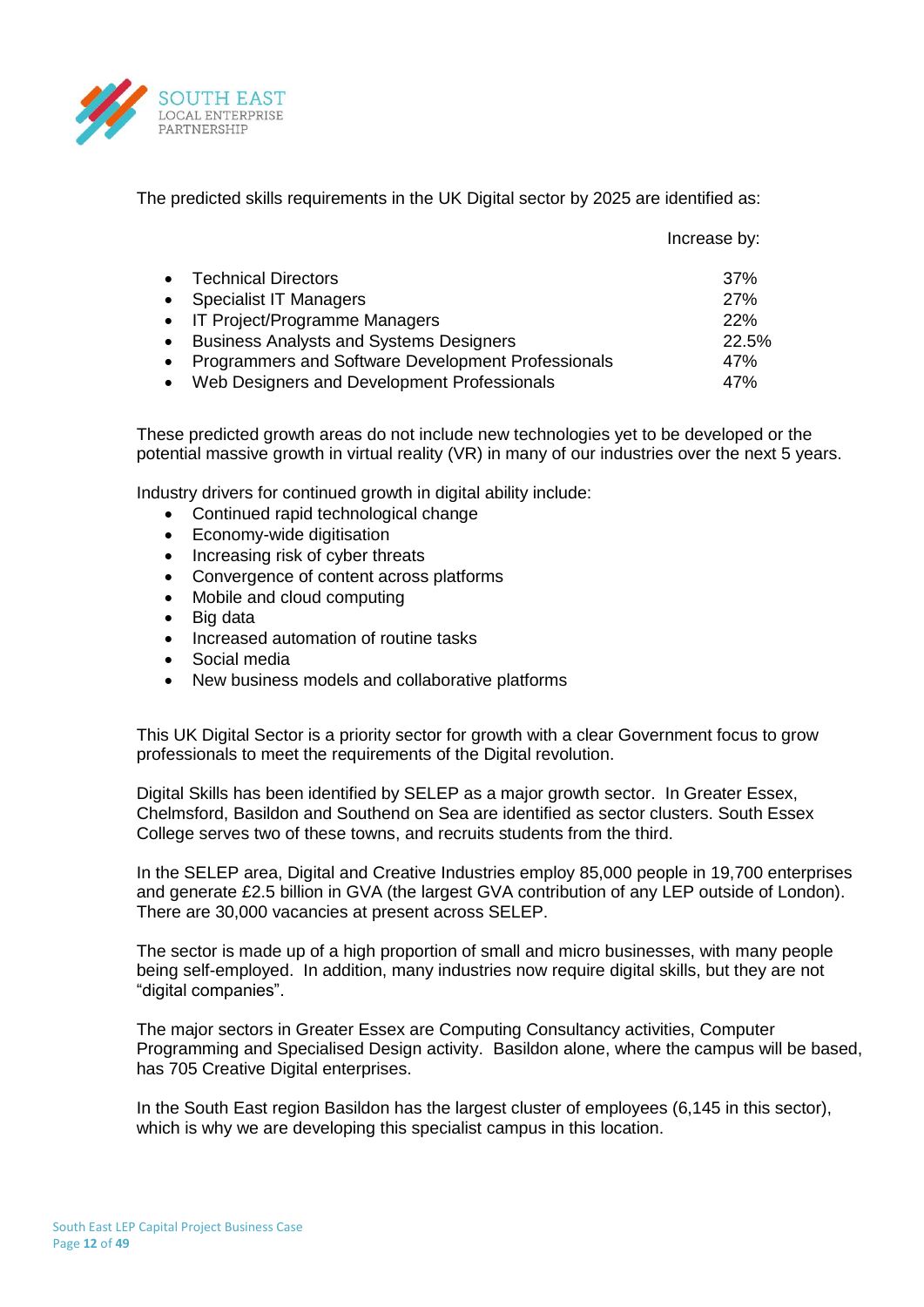

The predicted skills requirements in the UK Digital sector by 2025 are identified as:

|           |                                                    | Increase by: |
|-----------|----------------------------------------------------|--------------|
|           | <b>Technical Directors</b>                         | 37%          |
| $\bullet$ | <b>Specialist IT Managers</b>                      | 27%          |
|           | • IT Project/Programme Managers                    | 22%          |
|           | <b>Business Analysts and Systems Designers</b>     | 22.5%        |
|           | Programmers and Software Development Professionals | 47%          |
|           | Web Designers and Development Professionals        | 47%          |

These predicted growth areas do not include new technologies yet to be developed or the potential massive growth in virtual reality (VR) in many of our industries over the next 5 years.

Industry drivers for continued growth in digital ability include:

- Continued rapid technological change
- Economy-wide digitisation
- Increasing risk of cyber threats
- Convergence of content across platforms
- Mobile and cloud computing
- Big data
- Increased automation of routine tasks
- Social media
- New business models and collaborative platforms

This UK Digital Sector is a priority sector for growth with a clear Government focus to grow professionals to meet the requirements of the Digital revolution.

Digital Skills has been identified by SELEP as a major growth sector. In Greater Essex, Chelmsford, Basildon and Southend on Sea are identified as sector clusters. South Essex College serves two of these towns, and recruits students from the third.

In the SELEP area, Digital and Creative Industries employ 85,000 people in 19,700 enterprises and generate £2.5 billion in GVA (the largest GVA contribution of any LEP outside of London). There are 30,000 vacancies at present across SELEP.

The sector is made up of a high proportion of small and micro businesses, with many people being self-employed. In addition, many industries now require digital skills, but they are not "digital companies".

The major sectors in Greater Essex are Computing Consultancy activities, Computer Programming and Specialised Design activity. Basildon alone, where the campus will be based, has 705 Creative Digital enterprises.

In the South East region Basildon has the largest cluster of employees (6,145 in this sector), which is why we are developing this specialist campus in this location.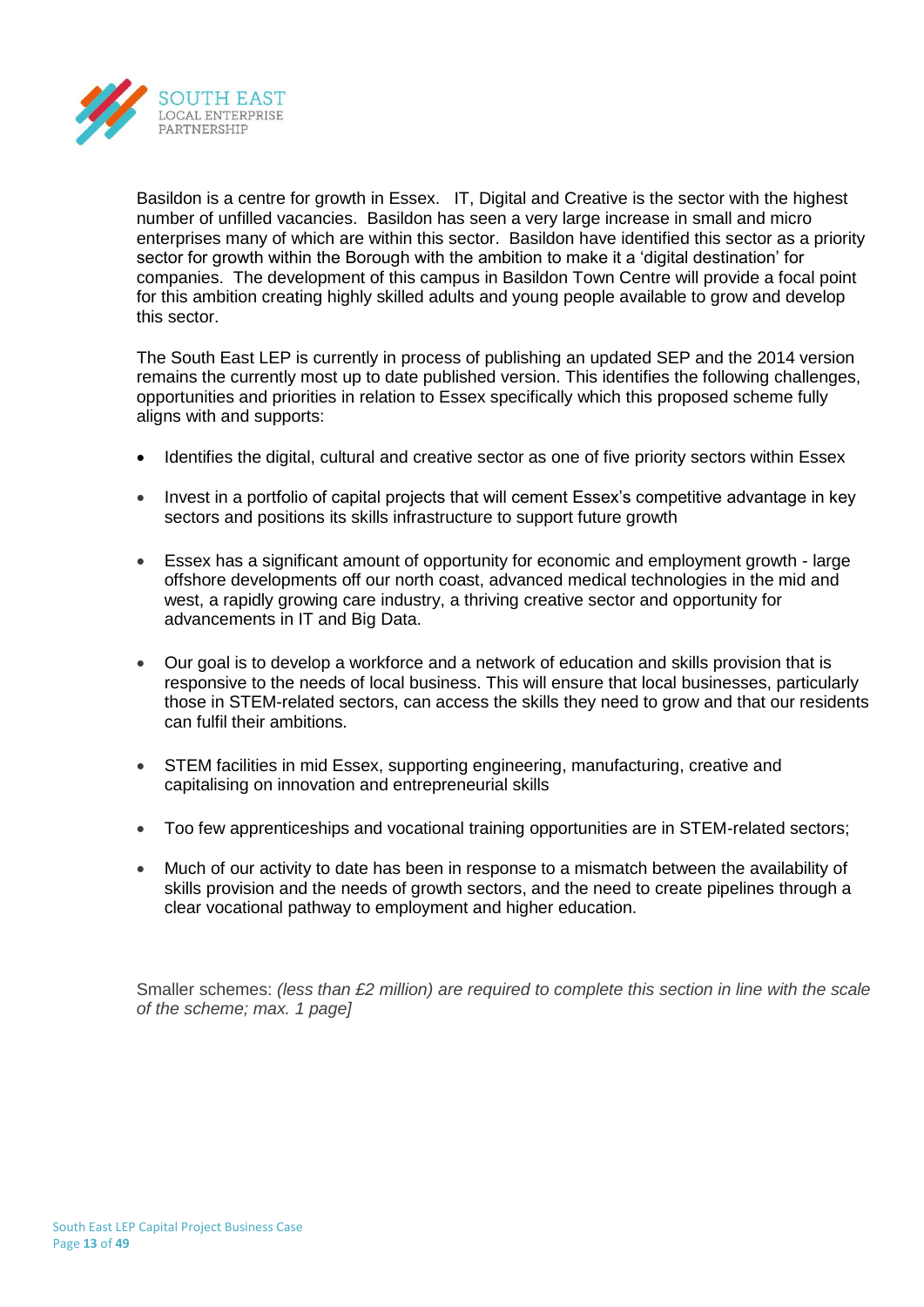

Basildon is a centre for growth in Essex. IT, Digital and Creative is the sector with the highest number of unfilled vacancies. Basildon has seen a very large increase in small and micro enterprises many of which are within this sector. Basildon have identified this sector as a priority sector for growth within the Borough with the ambition to make it a 'digital destination' for companies. The development of this campus in Basildon Town Centre will provide a focal point for this ambition creating highly skilled adults and young people available to grow and develop this sector.

The South East LEP is currently in process of publishing an updated SEP and the 2014 version remains the currently most up to date published version. This identifies the following challenges, opportunities and priorities in relation to Essex specifically which this proposed scheme fully aligns with and supports:

- Identifies the digital, cultural and creative sector as one of five priority sectors within Essex
- Invest in a portfolio of capital projects that will cement Essex's competitive advantage in key sectors and positions its skills infrastructure to support future growth
- Essex has a significant amount of opportunity for economic and employment growth large offshore developments off our north coast, advanced medical technologies in the mid and west, a rapidly growing care industry, a thriving creative sector and opportunity for advancements in IT and Big Data.
- Our goal is to develop a workforce and a network of education and skills provision that is responsive to the needs of local business. This will ensure that local businesses, particularly those in STEM-related sectors, can access the skills they need to grow and that our residents can fulfil their ambitions.
- STEM facilities in mid Essex, supporting engineering, manufacturing, creative and capitalising on innovation and entrepreneurial skills
- Too few apprenticeships and vocational training opportunities are in STEM-related sectors;
- Much of our activity to date has been in response to a mismatch between the availability of skills provision and the needs of growth sectors, and the need to create pipelines through a clear vocational pathway to employment and higher education.

Smaller schemes: *(less than £2 million) are required to complete this section in line with the scale of the scheme; max. 1 page]*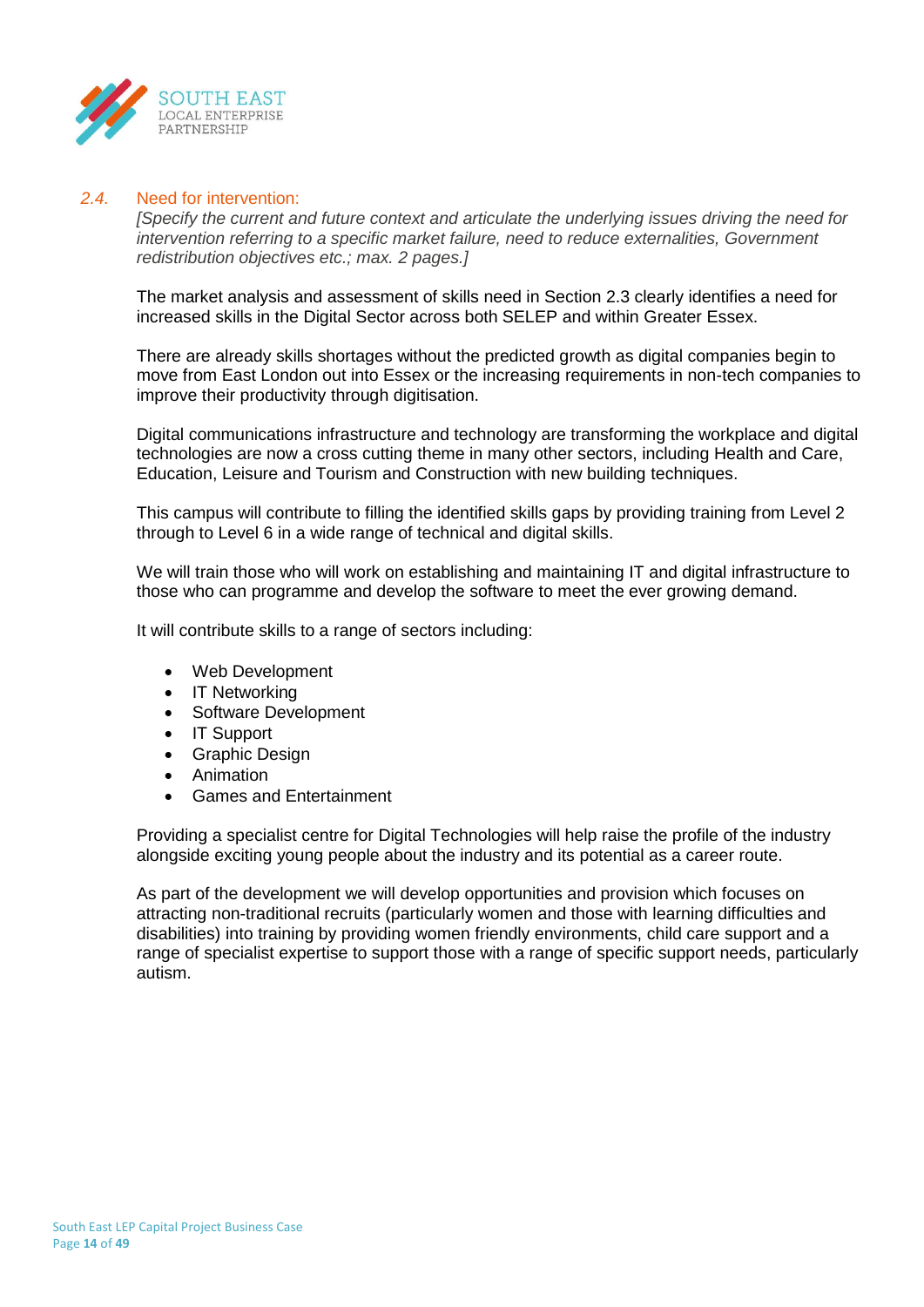

## *2.4.* Need for intervention:

*[Specify the current and future context and articulate the underlying issues driving the need for intervention referring to a specific market failure, need to reduce externalities, Government redistribution objectives etc.; max. 2 pages.]*

The market analysis and assessment of skills need in Section 2.3 clearly identifies a need for increased skills in the Digital Sector across both SELEP and within Greater Essex.

There are already skills shortages without the predicted growth as digital companies begin to move from East London out into Essex or the increasing requirements in non-tech companies to improve their productivity through digitisation.

Digital communications infrastructure and technology are transforming the workplace and digital technologies are now a cross cutting theme in many other sectors, including Health and Care, Education, Leisure and Tourism and Construction with new building techniques.

This campus will contribute to filling the identified skills gaps by providing training from Level 2 through to Level 6 in a wide range of technical and digital skills.

We will train those who will work on establishing and maintaining IT and digital infrastructure to those who can programme and develop the software to meet the ever growing demand.

It will contribute skills to a range of sectors including:

- Web Development
- IT Networking
- Software Development
- IT Support
- Graphic Design
- Animation
- Games and Entertainment

Providing a specialist centre for Digital Technologies will help raise the profile of the industry alongside exciting young people about the industry and its potential as a career route.

As part of the development we will develop opportunities and provision which focuses on attracting non-traditional recruits (particularly women and those with learning difficulties and disabilities) into training by providing women friendly environments, child care support and a range of specialist expertise to support those with a range of specific support needs, particularly autism.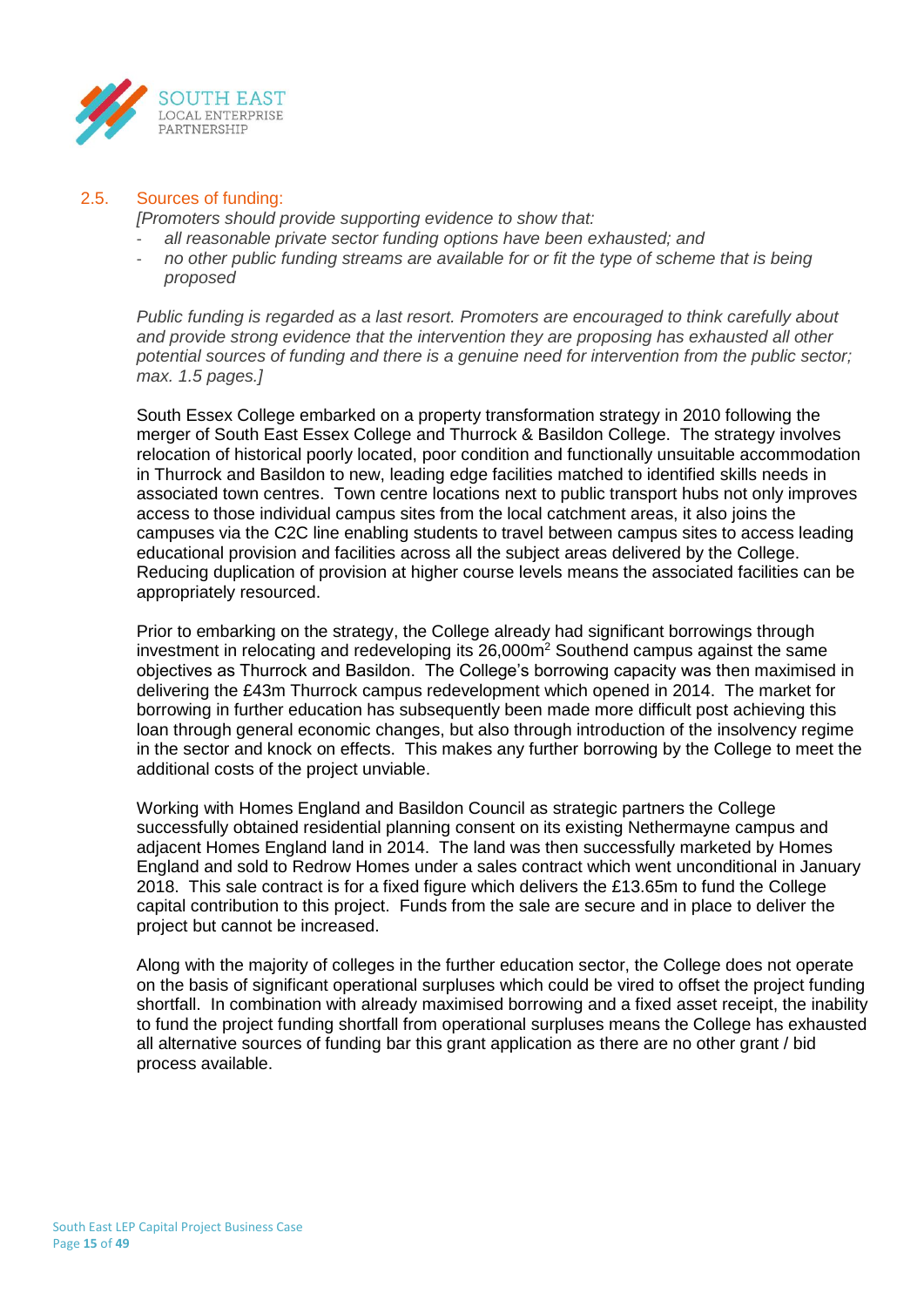

## 2.5. Sources of funding:

*[Promoters should provide supporting evidence to show that:*

- *all reasonable private sector funding options have been exhausted; and*
- *no other public funding streams are available for or fit the type of scheme that is being proposed*

*Public funding is regarded as a last resort. Promoters are encouraged to think carefully about and provide strong evidence that the intervention they are proposing has exhausted all other potential sources of funding and there is a genuine need for intervention from the public sector; max. 1.5 pages.]*

South Essex College embarked on a property transformation strategy in 2010 following the merger of South East Essex College and Thurrock & Basildon College. The strategy involves relocation of historical poorly located, poor condition and functionally unsuitable accommodation in Thurrock and Basildon to new, leading edge facilities matched to identified skills needs in associated town centres. Town centre locations next to public transport hubs not only improves access to those individual campus sites from the local catchment areas, it also joins the campuses via the C2C line enabling students to travel between campus sites to access leading educational provision and facilities across all the subject areas delivered by the College. Reducing duplication of provision at higher course levels means the associated facilities can be appropriately resourced.

Prior to embarking on the strategy, the College already had significant borrowings through investment in relocating and redeveloping its  $26,000m^2$  Southend campus against the same objectives as Thurrock and Basildon. The College's borrowing capacity was then maximised in delivering the £43m Thurrock campus redevelopment which opened in 2014. The market for borrowing in further education has subsequently been made more difficult post achieving this loan through general economic changes, but also through introduction of the insolvency regime in the sector and knock on effects. This makes any further borrowing by the College to meet the additional costs of the project unviable.

Working with Homes England and Basildon Council as strategic partners the College successfully obtained residential planning consent on its existing Nethermayne campus and adjacent Homes England land in 2014. The land was then successfully marketed by Homes England and sold to Redrow Homes under a sales contract which went unconditional in January 2018. This sale contract is for a fixed figure which delivers the £13.65m to fund the College capital contribution to this project. Funds from the sale are secure and in place to deliver the project but cannot be increased.

Along with the majority of colleges in the further education sector, the College does not operate on the basis of significant operational surpluses which could be vired to offset the project funding shortfall. In combination with already maximised borrowing and a fixed asset receipt, the inability to fund the project funding shortfall from operational surpluses means the College has exhausted all alternative sources of funding bar this grant application as there are no other grant / bid process available.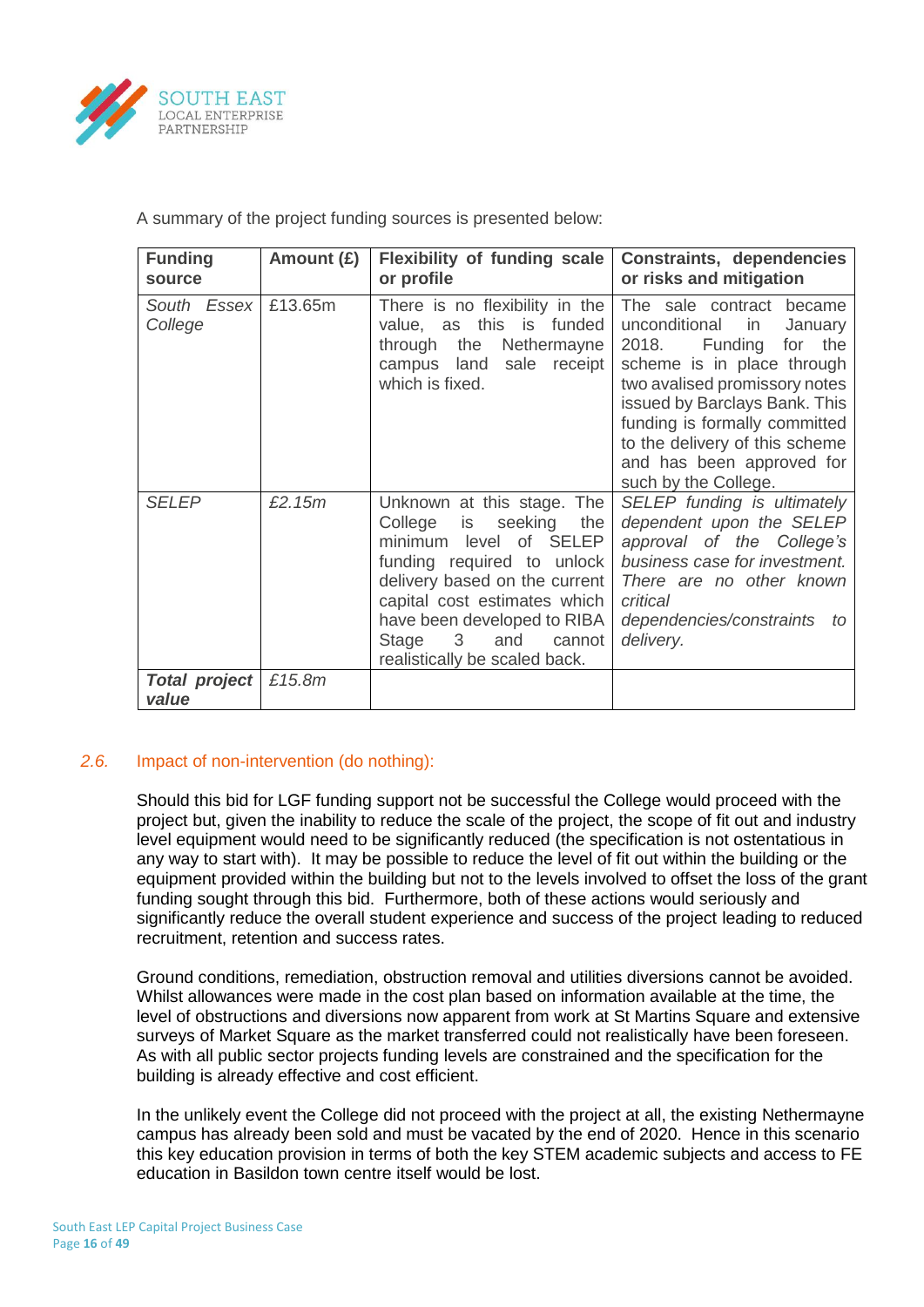

A summary of the project funding sources is presented below:

| <b>Funding</b><br>source      | Amount (£) | <b>Flexibility of funding scale</b><br>or profile                                                                                                                                                                                                                                                  | Constraints, dependencies<br>or risks and mitigation                                                                                                                                                                                                                                                                 |
|-------------------------------|------------|----------------------------------------------------------------------------------------------------------------------------------------------------------------------------------------------------------------------------------------------------------------------------------------------------|----------------------------------------------------------------------------------------------------------------------------------------------------------------------------------------------------------------------------------------------------------------------------------------------------------------------|
| South Essex<br>College        | £13.65m    | There is no flexibility in the<br>value, as this is funded<br>through the<br>Nethermayne<br>campus land<br>sale<br>receipt<br>which is fixed.                                                                                                                                                      | The sale contract became<br>unconditional<br>January<br>in<br>the<br>2018.<br>Funding<br>for<br>scheme is in place through<br>two avalised promissory notes<br>issued by Barclays Bank. This<br>funding is formally committed<br>to the delivery of this scheme<br>and has been approved for<br>such by the College. |
| <b>SELEP</b>                  | £2.15m     | Unknown at this stage. The<br>seeking<br>College<br>the<br>is<br>minimum level of SELEP<br>funding required to unlock<br>delivery based on the current<br>capital cost estimates which<br>have been developed to RIBA<br>Stage<br>$\overline{3}$<br>and<br>cannot<br>realistically be scaled back. | SELEP funding is ultimately<br>dependent upon the SELEP<br>approval of the College's<br>business case for investment.<br>There are no other known<br>critical<br>dependencies/constraints<br>to<br>delivery.                                                                                                         |
| <b>Total project</b><br>value | £15.8m     |                                                                                                                                                                                                                                                                                                    |                                                                                                                                                                                                                                                                                                                      |

# *2.6.* Impact of non-intervention (do nothing):

Should this bid for LGF funding support not be successful the College would proceed with the project but, given the inability to reduce the scale of the project, the scope of fit out and industry level equipment would need to be significantly reduced (the specification is not ostentatious in any way to start with). It may be possible to reduce the level of fit out within the building or the equipment provided within the building but not to the levels involved to offset the loss of the grant funding sought through this bid. Furthermore, both of these actions would seriously and significantly reduce the overall student experience and success of the project leading to reduced recruitment, retention and success rates.

Ground conditions, remediation, obstruction removal and utilities diversions cannot be avoided. Whilst allowances were made in the cost plan based on information available at the time, the level of obstructions and diversions now apparent from work at St Martins Square and extensive surveys of Market Square as the market transferred could not realistically have been foreseen. As with all public sector projects funding levels are constrained and the specification for the building is already effective and cost efficient.

In the unlikely event the College did not proceed with the project at all, the existing Nethermayne campus has already been sold and must be vacated by the end of 2020. Hence in this scenario this key education provision in terms of both the key STEM academic subjects and access to FE education in Basildon town centre itself would be lost.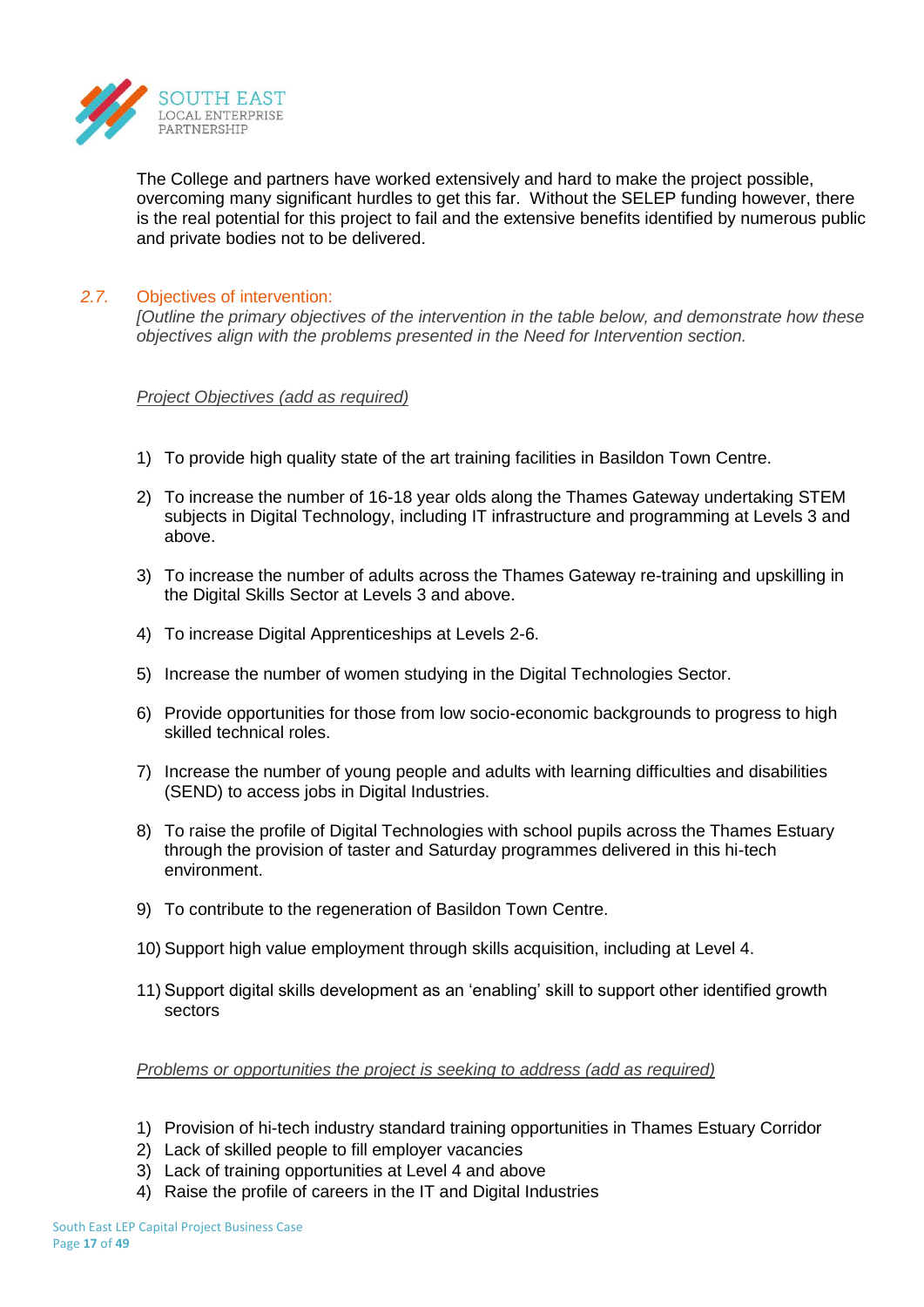

The College and partners have worked extensively and hard to make the project possible, overcoming many significant hurdles to get this far. Without the SELEP funding however, there is the real potential for this project to fail and the extensive benefits identified by numerous public and private bodies not to be delivered.

## *2.7.* Objectives of intervention:

*[Outline the primary objectives of the intervention in the table below, and demonstrate how these objectives align with the problems presented in the Need for Intervention section.*

*Project Objectives (add as required)*

- 1) To provide high quality state of the art training facilities in Basildon Town Centre.
- 2) To increase the number of 16-18 year olds along the Thames Gateway undertaking STEM subjects in Digital Technology, including IT infrastructure and programming at Levels 3 and above.
- 3) To increase the number of adults across the Thames Gateway re-training and upskilling in the Digital Skills Sector at Levels 3 and above.
- 4) To increase Digital Apprenticeships at Levels 2-6.
- 5) Increase the number of women studying in the Digital Technologies Sector.
- 6) Provide opportunities for those from low socio-economic backgrounds to progress to high skilled technical roles.
- 7) Increase the number of young people and adults with learning difficulties and disabilities (SEND) to access jobs in Digital Industries.
- 8) To raise the profile of Digital Technologies with school pupils across the Thames Estuary through the provision of taster and Saturday programmes delivered in this hi-tech environment.
- 9) To contribute to the regeneration of Basildon Town Centre.
- 10) Support high value employment through skills acquisition, including at Level 4.
- 11) Support digital skills development as an 'enabling' skill to support other identified growth sectors

### *Problems or opportunities the project is seeking to address (add as required)*

- 1) Provision of hi-tech industry standard training opportunities in Thames Estuary Corridor
- 2) Lack of skilled people to fill employer vacancies
- 3) Lack of training opportunities at Level 4 and above
- 4) Raise the profile of careers in the IT and Digital Industries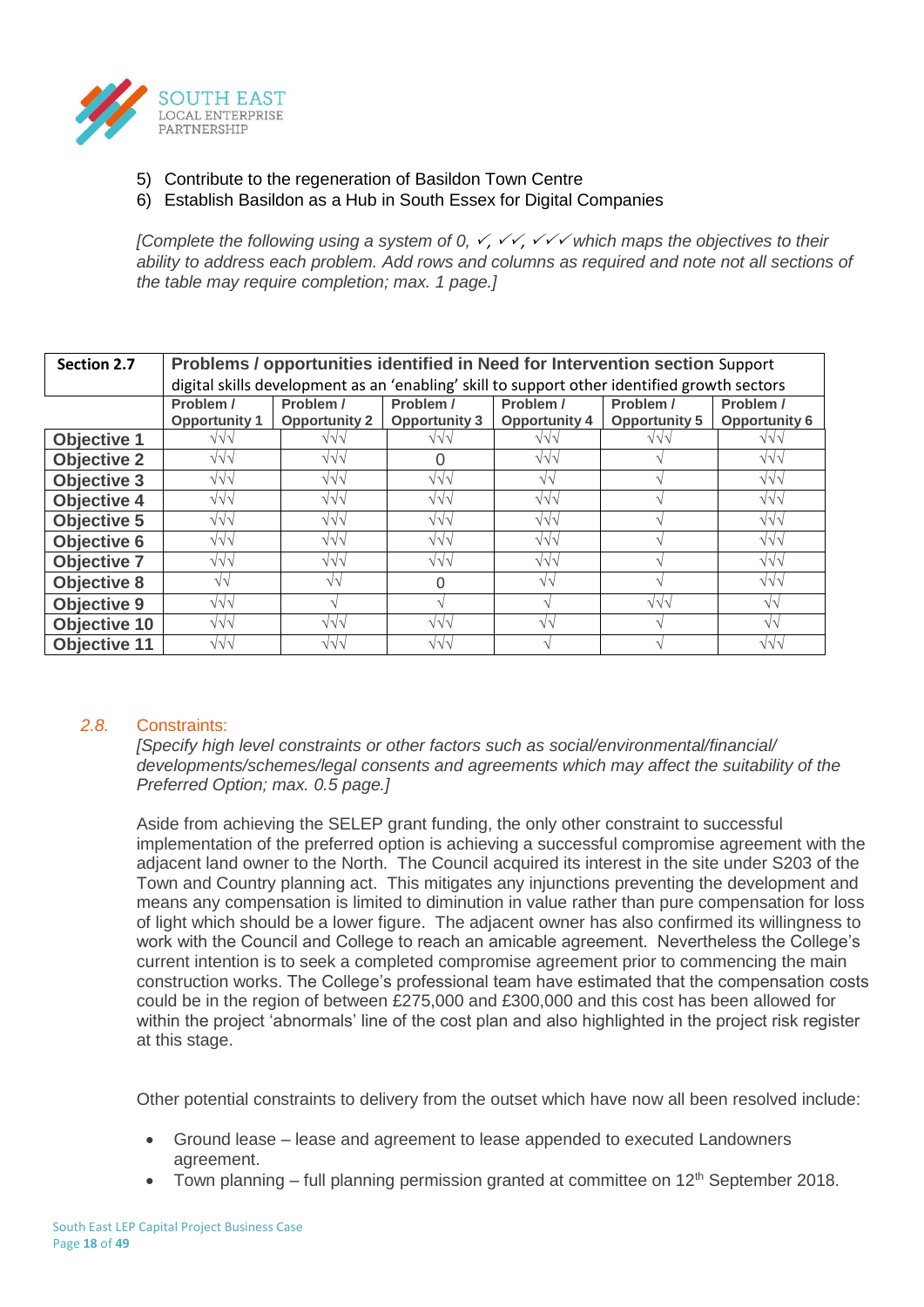

- 5) Contribute to the regeneration of Basildon Town Centre
- 6) Establish Basildon as a Hub in South Essex for Digital Companies

*[Complete the following using a system of 0,*  $\checkmark$ *,*  $\checkmark\checkmark$ *,*  $\checkmark\checkmark$  *which maps the objectives to their in ability to address each problem. Add rows and columns as required and note not all sections of the table may require completion; max. 1 page.]*

| Section 2.7         | Problems / opportunities identified in Need for Intervention section Support                                                                                                                                               |                                                                                              |                  |                   |            |                   |  |  |
|---------------------|----------------------------------------------------------------------------------------------------------------------------------------------------------------------------------------------------------------------------|----------------------------------------------------------------------------------------------|------------------|-------------------|------------|-------------------|--|--|
|                     |                                                                                                                                                                                                                            | digital skills development as an 'enabling' skill to support other identified growth sectors |                  |                   |            |                   |  |  |
|                     | Problem /<br>Problem /<br>Problem /<br>Problem /<br>Problem /<br>Problem /<br><b>Opportunity 2</b><br><b>Opportunity 3</b><br><b>Opportunity 5</b><br><b>Opportunity 6</b><br><b>Opportunity 1</b><br><b>Opportunity 4</b> |                                                                                              |                  |                   |            |                   |  |  |
| <b>Objective 1</b>  | $\sqrt{}\sqrt{}$                                                                                                                                                                                                           | $\sqrt{\sqrt{}}$                                                                             | $\sqrt{\sqrt{}}$ | $\sqrt{}\sqrt{}$  | $\sqrt{v}$ | $\sqrt{}\sqrt{}$  |  |  |
| <b>Objective 2</b>  | $\sqrt{\sqrt{}}$                                                                                                                                                                                                           | $\sqrt{v}$                                                                                   | O                | $\sqrt{v}$        |            | $\sqrt{v}$        |  |  |
| <b>Objective 3</b>  | $\sqrt{}\sqrt{}$                                                                                                                                                                                                           | $\sqrt{v}$                                                                                   | $\sqrt{}\sqrt{}$ | $\sqrt{v}$        |            | $\sqrt{v}$        |  |  |
| <b>Objective 4</b>  | $\sqrt{}\sqrt{}$                                                                                                                                                                                                           | $\sqrt{\sqrt{}}$                                                                             | $\sqrt{v}$       | $\sqrt{\sqrt{}}$  |            | $\sqrt{v}$        |  |  |
| <b>Objective 5</b>  | $\sqrt{\sqrt{}}$                                                                                                                                                                                                           | $\sqrt{v}$                                                                                   | $\sqrt{\sqrt{}}$ | $\sqrt{\sqrt{}}$  |            | $\sqrt{v}$        |  |  |
| <b>Objective 6</b>  | $\sqrt{v}$                                                                                                                                                                                                                 | $\sqrt{v}$                                                                                   | $\sqrt{\sqrt{}}$ | $\sqrt{v}$        |            | $\sqrt{v}$        |  |  |
| <b>Objective 7</b>  | $\sqrt{}\sqrt{}$                                                                                                                                                                                                           | $\sqrt{\sqrt{}}$                                                                             | $\sqrt{v}$       | $\sqrt{v}$        |            | $\sqrt{}\sqrt{}$  |  |  |
| <b>Objective 8</b>  | $\sqrt{2}$                                                                                                                                                                                                                 | $\sqrt{\sqrt{2}}$                                                                            | O                | $\sqrt{\sqrt{2}}$ |            | $\sqrt{v}$        |  |  |
| <b>Objective 9</b>  | $\sqrt{}\sqrt{}$                                                                                                                                                                                                           |                                                                                              |                  | $\Delta$          | $\sqrt{v}$ | $\sqrt{\sqrt{2}}$ |  |  |
| Objective 10        | $\sqrt{}\sqrt{}$                                                                                                                                                                                                           | $\sqrt{\sqrt{}}$                                                                             | $\sqrt{v}$       | $\sqrt{v}$        |            | $\sqrt{v}$        |  |  |
| <b>Objective 11</b> | $\sqrt{}\sqrt{}$                                                                                                                                                                                                           | $\sqrt{v}$                                                                                   | $\sqrt{}\sqrt{}$ |                   |            | $\sqrt{v}$        |  |  |

#### *2.8.* Constraints:

*[Specify high level constraints or other factors such as social/environmental/financial/ developments/schemes/legal consents and agreements which may affect the suitability of the Preferred Option; max. 0.5 page.]*

Aside from achieving the SELEP grant funding, the only other constraint to successful implementation of the preferred option is achieving a successful compromise agreement with the adjacent land owner to the North. The Council acquired its interest in the site under S203 of the Town and Country planning act. This mitigates any injunctions preventing the development and means any compensation is limited to diminution in value rather than pure compensation for loss of light which should be a lower figure. The adjacent owner has also confirmed its willingness to work with the Council and College to reach an amicable agreement. Nevertheless the College's current intention is to seek a completed compromise agreement prior to commencing the main construction works. The College's professional team have estimated that the compensation costs could be in the region of between £275,000 and £300,000 and this cost has been allowed for within the project 'abnormals' line of the cost plan and also highlighted in the project risk register at this stage.

Other potential constraints to delivery from the outset which have now all been resolved include:

- Ground lease lease and agreement to lease appended to executed Landowners agreement.
- Town planning full planning permission granted at committee on  $12<sup>th</sup>$  September 2018.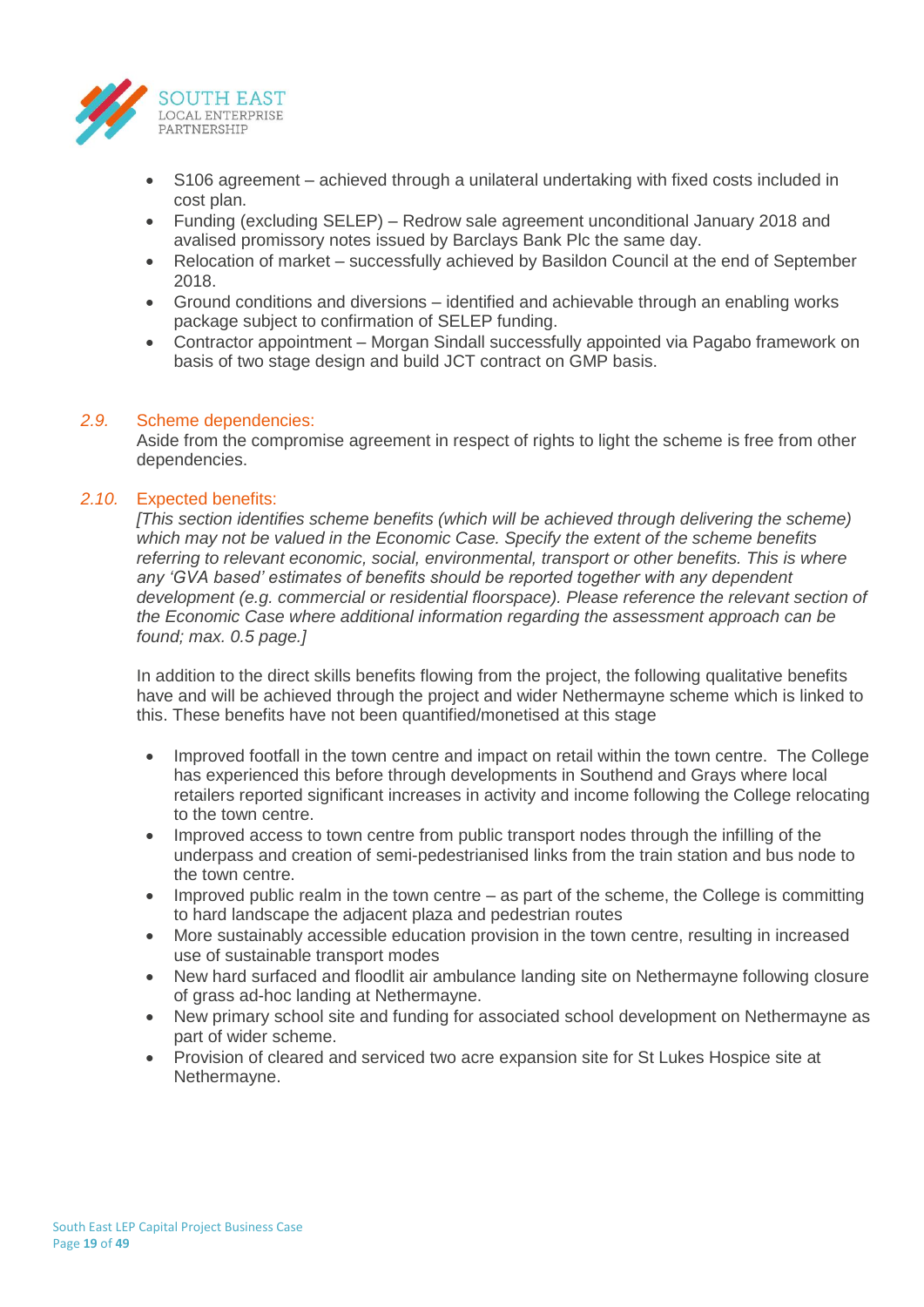

- S106 agreement achieved through a unilateral undertaking with fixed costs included in cost plan.
- Funding (excluding SELEP) Redrow sale agreement unconditional January 2018 and avalised promissory notes issued by Barclays Bank Plc the same day.
- Relocation of market successfully achieved by Basildon Council at the end of September 2018.
- Ground conditions and diversions identified and achievable through an enabling works package subject to confirmation of SELEP funding.
- Contractor appointment Morgan Sindall successfully appointed via Pagabo framework on basis of two stage design and build JCT contract on GMP basis.

## *2.9.* Scheme dependencies:

Aside from the compromise agreement in respect of rights to light the scheme is free from other dependencies.

## *2.10.* Expected benefits:

*[This section identifies scheme benefits (which will be achieved through delivering the scheme) which may not be valued in the Economic Case. Specify the extent of the scheme benefits referring to relevant economic, social, environmental, transport or other benefits. This is where any 'GVA based' estimates of benefits should be reported together with any dependent development (e.g. commercial or residential floorspace). Please reference the relevant section of the Economic Case where additional information regarding the assessment approach can be found; max. 0.5 page.]*

In addition to the direct skills benefits flowing from the project, the following qualitative benefits have and will be achieved through the project and wider Nethermayne scheme which is linked to this. These benefits have not been quantified/monetised at this stage

- Improved footfall in the town centre and impact on retail within the town centre. The College has experienced this before through developments in Southend and Grays where local retailers reported significant increases in activity and income following the College relocating to the town centre.
- Improved access to town centre from public transport nodes through the infilling of the underpass and creation of semi-pedestrianised links from the train station and bus node to the town centre.
- Improved public realm in the town centre as part of the scheme, the College is committing to hard landscape the adjacent plaza and pedestrian routes
- More sustainably accessible education provision in the town centre, resulting in increased use of sustainable transport modes
- New hard surfaced and floodlit air ambulance landing site on Nethermayne following closure of grass ad-hoc landing at Nethermayne.
- New primary school site and funding for associated school development on Nethermayne as part of wider scheme.
- Provision of cleared and serviced two acre expansion site for St Lukes Hospice site at Nethermayne.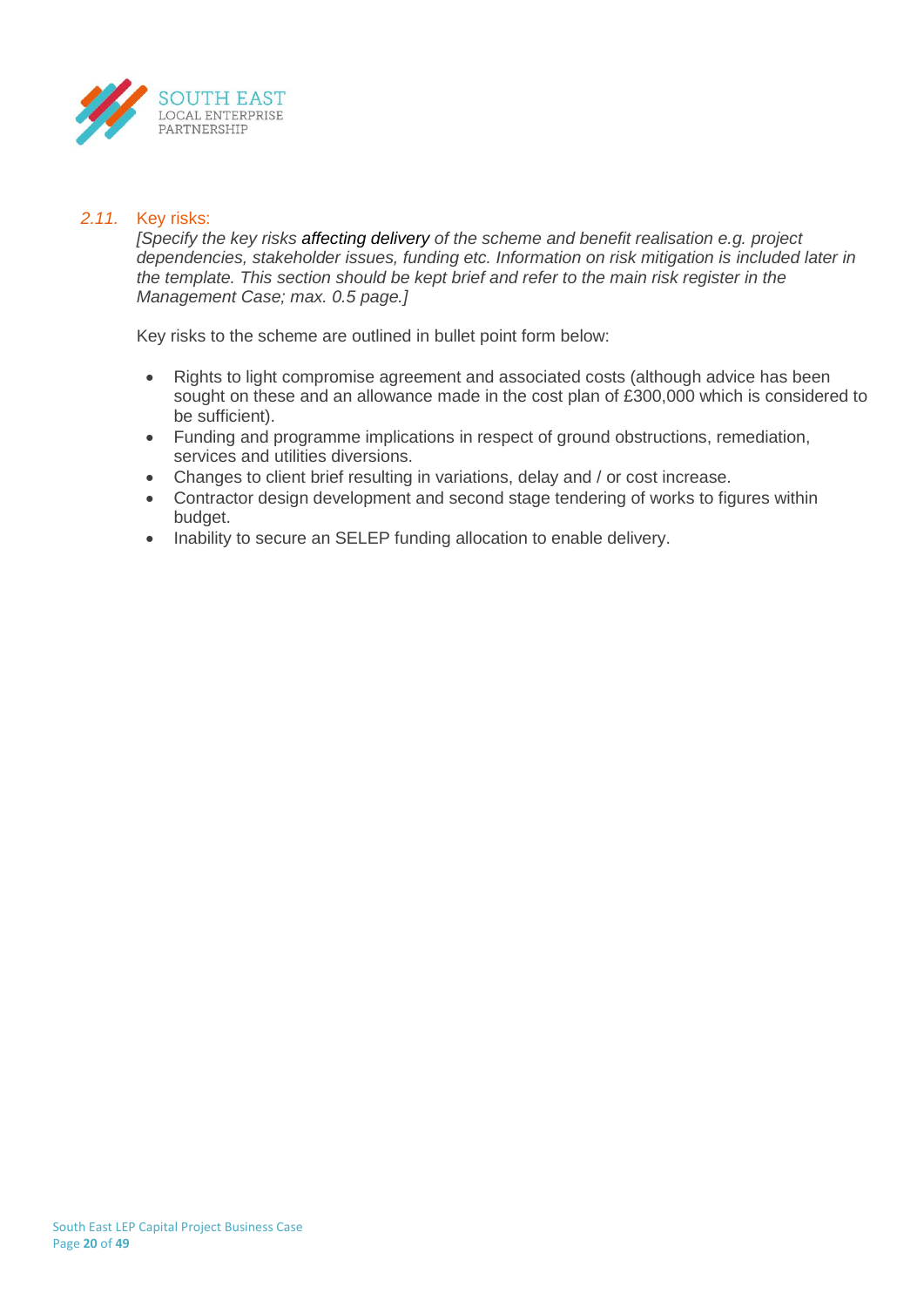

## *2.11.* Key risks:

*[Specify the key risks affecting delivery of the scheme and benefit realisation e.g. project dependencies, stakeholder issues, funding etc. Information on risk mitigation is included later in the template. This section should be kept brief and refer to the main risk register in the Management Case; max. 0.5 page.]*

Key risks to the scheme are outlined in bullet point form below:

- Rights to light compromise agreement and associated costs (although advice has been sought on these and an allowance made in the cost plan of £300,000 which is considered to be sufficient).
- Funding and programme implications in respect of ground obstructions, remediation, services and utilities diversions.
- Changes to client brief resulting in variations, delay and / or cost increase.
- Contractor design development and second stage tendering of works to figures within budget.
- Inability to secure an SELEP funding allocation to enable delivery.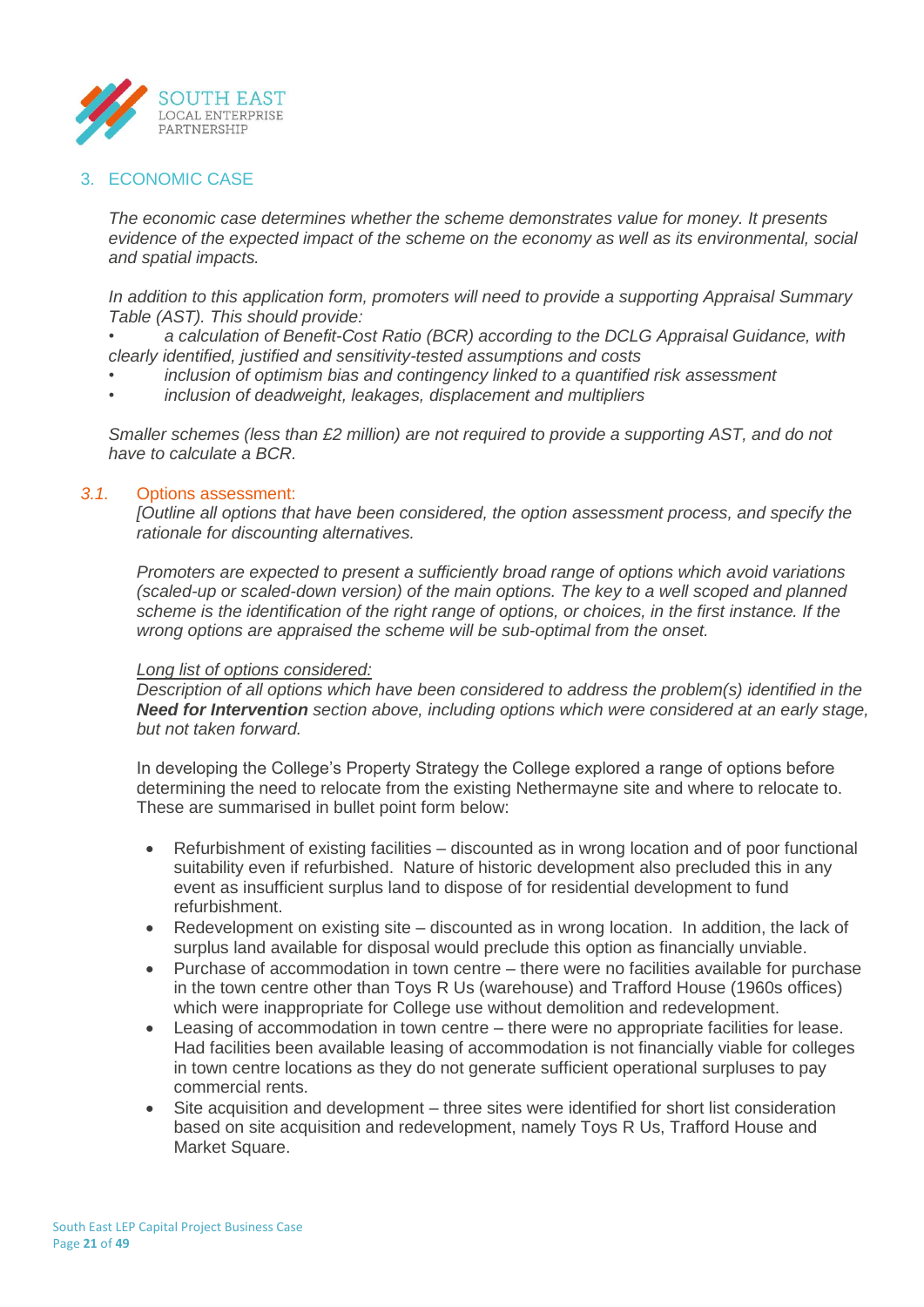

## 3. ECONOMIC CASE

*The economic case determines whether the scheme demonstrates value for money. It presents evidence of the expected impact of the scheme on the economy as well as its environmental, social and spatial impacts.* 

*In addition to this application form, promoters will need to provide a supporting Appraisal Summary Table (AST). This should provide:*

*• a calculation of Benefit-Cost Ratio (BCR) according to the DCLG Appraisal Guidance, with clearly identified, justified and sensitivity-tested assumptions and costs*

- *• inclusion of optimism bias and contingency linked to a quantified risk assessment*
- *• inclusion of deadweight, leakages, displacement and multipliers*

*Smaller schemes (less than £2 million) are not required to provide a supporting AST, and do not have to calculate a BCR.*

## *3.1.* Options assessment:

*[Outline all options that have been considered, the option assessment process, and specify the rationale for discounting alternatives.*

*Promoters are expected to present a sufficiently broad range of options which avoid variations (scaled-up or scaled-down version) of the main options. The key to a well scoped and planned scheme is the identification of the right range of options, or choices, in the first instance. If the wrong options are appraised the scheme will be sub-optimal from the onset.*

#### *Long list of options considered:*

*Description of all options which have been considered to address the problem(s) identified in the Need for Intervention section above, including options which were considered at an early stage, but not taken forward.*

In developing the College's Property Strategy the College explored a range of options before determining the need to relocate from the existing Nethermayne site and where to relocate to. These are summarised in bullet point form below:

- Refurbishment of existing facilities discounted as in wrong location and of poor functional suitability even if refurbished. Nature of historic development also precluded this in any event as insufficient surplus land to dispose of for residential development to fund refurbishment.
- Redevelopment on existing site discounted as in wrong location. In addition, the lack of surplus land available for disposal would preclude this option as financially unviable.
- Purchase of accommodation in town centre there were no facilities available for purchase in the town centre other than Toys R Us (warehouse) and Trafford House (1960s offices) which were inappropriate for College use without demolition and redevelopment.
- Leasing of accommodation in town centre there were no appropriate facilities for lease. Had facilities been available leasing of accommodation is not financially viable for colleges in town centre locations as they do not generate sufficient operational surpluses to pay commercial rents.
- Site acquisition and development three sites were identified for short list consideration based on site acquisition and redevelopment, namely Toys R Us, Trafford House and Market Square.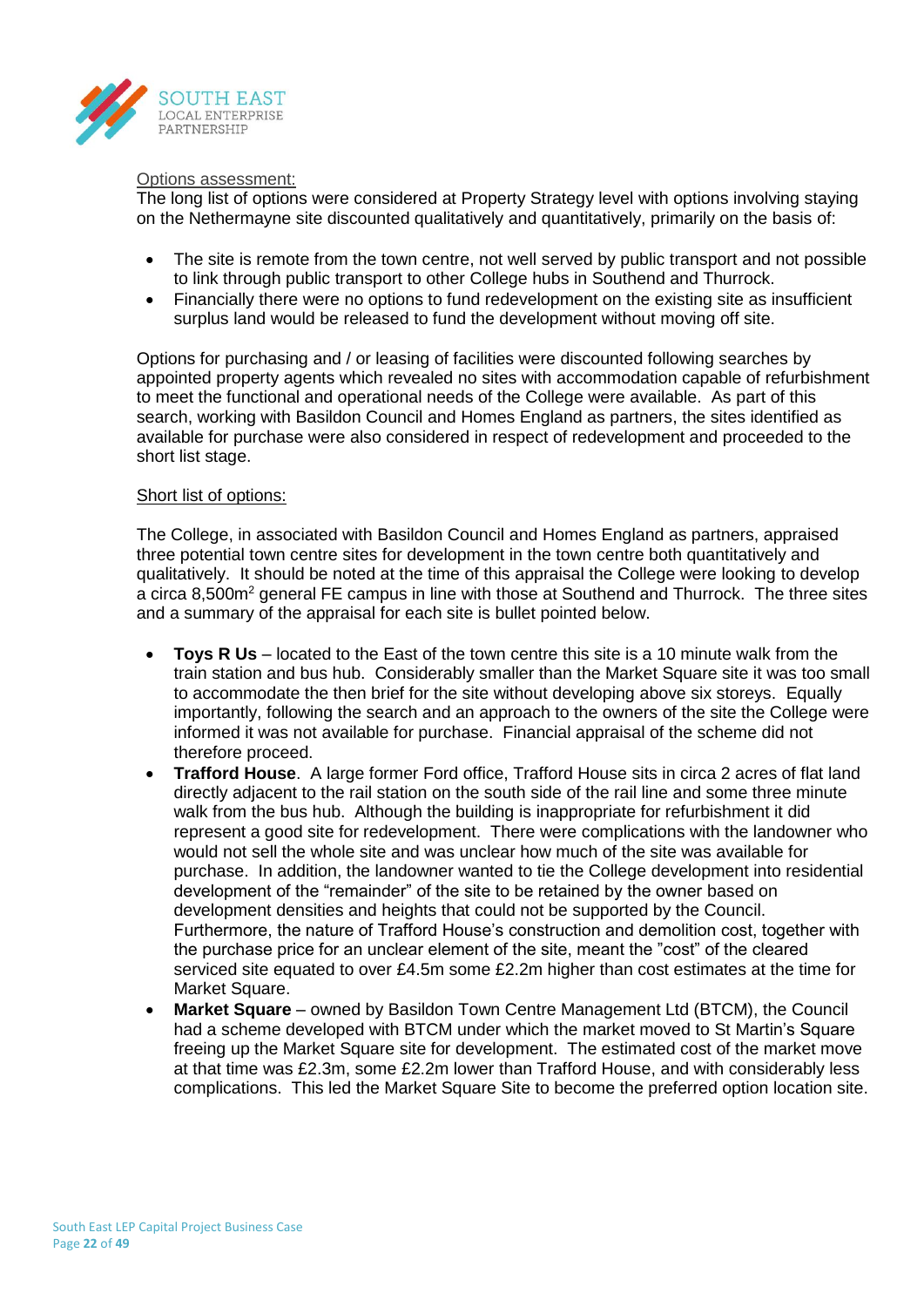

#### Options assessment:

The long list of options were considered at Property Strategy level with options involving staying on the Nethermayne site discounted qualitatively and quantitatively, primarily on the basis of:

- The site is remote from the town centre, not well served by public transport and not possible to link through public transport to other College hubs in Southend and Thurrock.
- Financially there were no options to fund redevelopment on the existing site as insufficient surplus land would be released to fund the development without moving off site.

Options for purchasing and / or leasing of facilities were discounted following searches by appointed property agents which revealed no sites with accommodation capable of refurbishment to meet the functional and operational needs of the College were available. As part of this search, working with Basildon Council and Homes England as partners, the sites identified as available for purchase were also considered in respect of redevelopment and proceeded to the short list stage.

#### Short list of options:

The College, in associated with Basildon Council and Homes England as partners, appraised three potential town centre sites for development in the town centre both quantitatively and qualitatively. It should be noted at the time of this appraisal the College were looking to develop a circa 8,500m<sup>2</sup> general FE campus in line with those at Southend and Thurrock. The three sites and a summary of the appraisal for each site is bullet pointed below.

- **Toys R Us** located to the East of the town centre this site is a 10 minute walk from the train station and bus hub. Considerably smaller than the Market Square site it was too small to accommodate the then brief for the site without developing above six storeys. Equally importantly, following the search and an approach to the owners of the site the College were informed it was not available for purchase. Financial appraisal of the scheme did not therefore proceed.
- **Trafford House**. A large former Ford office, Trafford House sits in circa 2 acres of flat land directly adjacent to the rail station on the south side of the rail line and some three minute walk from the bus hub. Although the building is inappropriate for refurbishment it did represent a good site for redevelopment. There were complications with the landowner who would not sell the whole site and was unclear how much of the site was available for purchase. In addition, the landowner wanted to tie the College development into residential development of the "remainder" of the site to be retained by the owner based on development densities and heights that could not be supported by the Council. Furthermore, the nature of Trafford House's construction and demolition cost, together with the purchase price for an unclear element of the site, meant the "cost" of the cleared serviced site equated to over £4.5m some £2.2m higher than cost estimates at the time for Market Square.
- **Market Square** owned by Basildon Town Centre Management Ltd (BTCM), the Council had a scheme developed with BTCM under which the market moved to St Martin's Square freeing up the Market Square site for development. The estimated cost of the market move at that time was £2.3m, some £2.2m lower than Trafford House, and with considerably less complications. This led the Market Square Site to become the preferred option location site.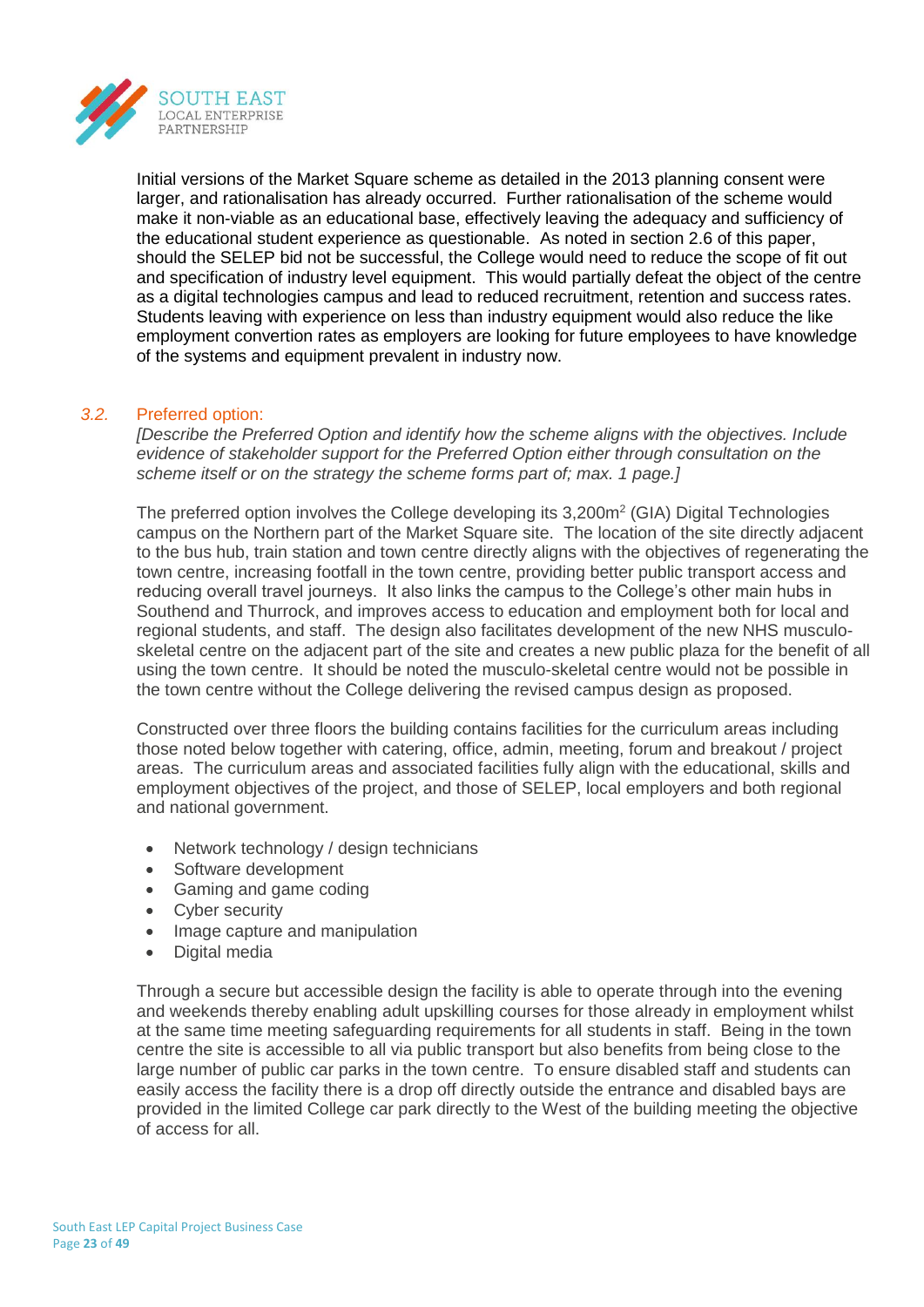

Initial versions of the Market Square scheme as detailed in the 2013 planning consent were larger, and rationalisation has already occurred. Further rationalisation of the scheme would make it non-viable as an educational base, effectively leaving the adequacy and sufficiency of the educational student experience as questionable. As noted in section 2.6 of this paper, should the SELEP bid not be successful, the College would need to reduce the scope of fit out and specification of industry level equipment. This would partially defeat the object of the centre as a digital technologies campus and lead to reduced recruitment, retention and success rates. Students leaving with experience on less than industry equipment would also reduce the like employment convertion rates as employers are looking for future employees to have knowledge of the systems and equipment prevalent in industry now.

## *3.2.* Preferred option:

*[Describe the Preferred Option and identify how the scheme aligns with the objectives. Include evidence of stakeholder support for the Preferred Option either through consultation on the scheme itself or on the strategy the scheme forms part of; max. 1 page.]*

The preferred option involves the College developing its 3,200m<sup>2</sup> (GIA) Digital Technologies campus on the Northern part of the Market Square site. The location of the site directly adjacent to the bus hub, train station and town centre directly aligns with the objectives of regenerating the town centre, increasing footfall in the town centre, providing better public transport access and reducing overall travel journeys. It also links the campus to the College's other main hubs in Southend and Thurrock, and improves access to education and employment both for local and regional students, and staff. The design also facilitates development of the new NHS musculoskeletal centre on the adjacent part of the site and creates a new public plaza for the benefit of all using the town centre. It should be noted the musculo-skeletal centre would not be possible in the town centre without the College delivering the revised campus design as proposed.

Constructed over three floors the building contains facilities for the curriculum areas including those noted below together with catering, office, admin, meeting, forum and breakout / project areas. The curriculum areas and associated facilities fully align with the educational, skills and employment objectives of the project, and those of SELEP, local employers and both regional and national government.

- Network technology / design technicians
- Software development
- Gaming and game coding
- Cyber security
- Image capture and manipulation
- Digital media

Through a secure but accessible design the facility is able to operate through into the evening and weekends thereby enabling adult upskilling courses for those already in employment whilst at the same time meeting safeguarding requirements for all students in staff. Being in the town centre the site is accessible to all via public transport but also benefits from being close to the large number of public car parks in the town centre. To ensure disabled staff and students can easily access the facility there is a drop off directly outside the entrance and disabled bays are provided in the limited College car park directly to the West of the building meeting the objective of access for all.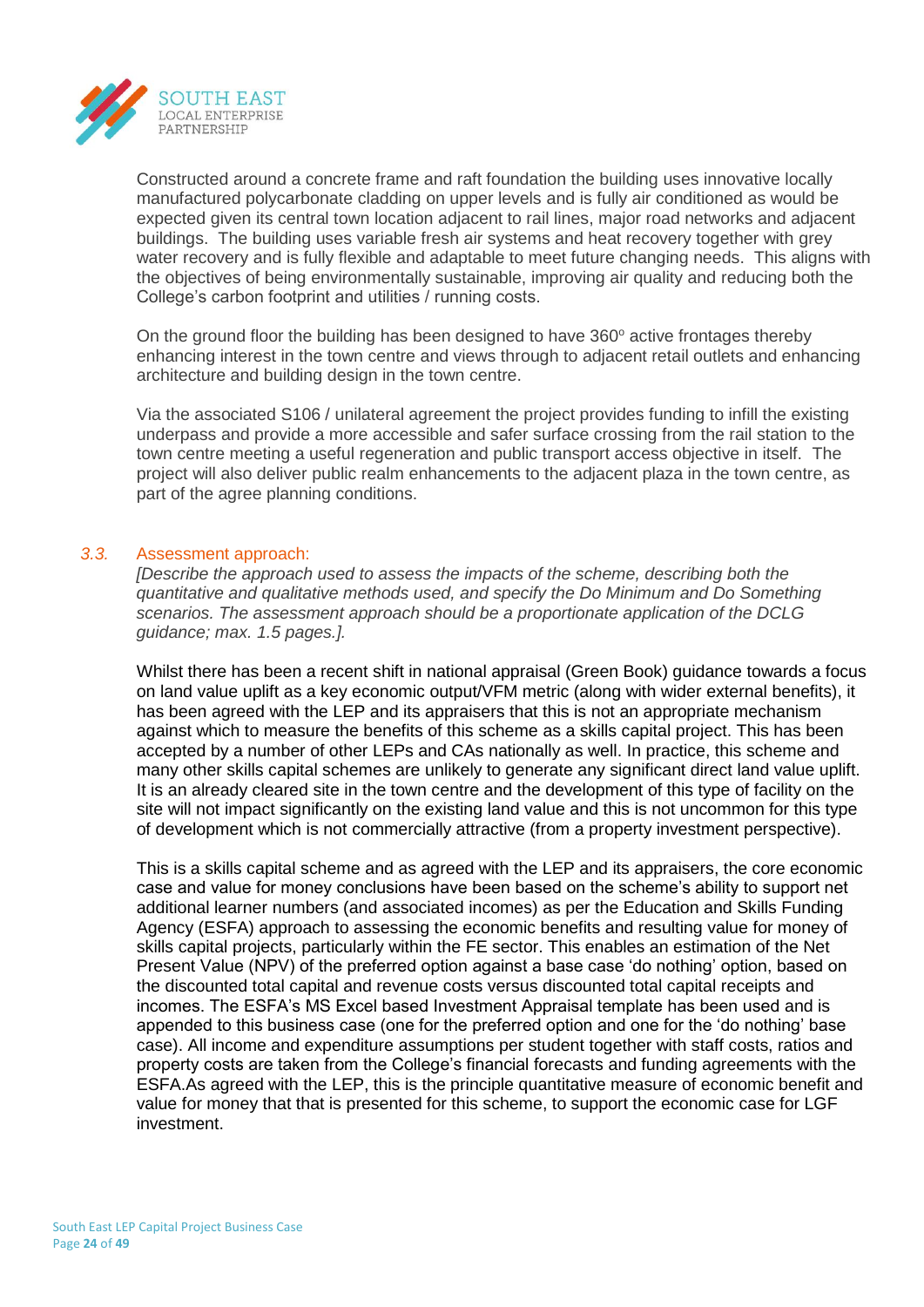

Constructed around a concrete frame and raft foundation the building uses innovative locally manufactured polycarbonate cladding on upper levels and is fully air conditioned as would be expected given its central town location adjacent to rail lines, major road networks and adjacent buildings. The building uses variable fresh air systems and heat recovery together with grey water recovery and is fully flexible and adaptable to meet future changing needs. This aligns with the objectives of being environmentally sustainable, improving air quality and reducing both the College's carbon footprint and utilities / running costs.

On the ground floor the building has been designed to have  $360^\circ$  active frontages thereby enhancing interest in the town centre and views through to adjacent retail outlets and enhancing architecture and building design in the town centre.

Via the associated S106 / unilateral agreement the project provides funding to infill the existing underpass and provide a more accessible and safer surface crossing from the rail station to the town centre meeting a useful regeneration and public transport access objective in itself. The project will also deliver public realm enhancements to the adjacent plaza in the town centre, as part of the agree planning conditions.

## *3.3.* Assessment approach:

*[Describe the approach used to assess the impacts of the scheme, describing both the quantitative and qualitative methods used, and specify the Do Minimum and Do Something scenarios. The assessment approach should be a proportionate application of the DCLG guidance; max. 1.5 pages.].*

Whilst there has been a recent shift in national appraisal (Green Book) guidance towards a focus on land value uplift as a key economic output/VFM metric (along with wider external benefits), it has been agreed with the LEP and its appraisers that this is not an appropriate mechanism against which to measure the benefits of this scheme as a skills capital project. This has been accepted by a number of other LEPs and CAs nationally as well. In practice, this scheme and many other skills capital schemes are unlikely to generate any significant direct land value uplift. It is an already cleared site in the town centre and the development of this type of facility on the site will not impact significantly on the existing land value and this is not uncommon for this type of development which is not commercially attractive (from a property investment perspective).

This is a skills capital scheme and as agreed with the LEP and its appraisers, the core economic case and value for money conclusions have been based on the scheme's ability to support net additional learner numbers (and associated incomes) as per the Education and Skills Funding Agency (ESFA) approach to assessing the economic benefits and resulting value for money of skills capital projects, particularly within the FE sector. This enables an estimation of the Net Present Value (NPV) of the preferred option against a base case 'do nothing' option, based on the discounted total capital and revenue costs versus discounted total capital receipts and incomes. The ESFA's MS Excel based Investment Appraisal template has been used and is appended to this business case (one for the preferred option and one for the 'do nothing' base case). All income and expenditure assumptions per student together with staff costs, ratios and property costs are taken from the College's financial forecasts and funding agreements with the ESFA.As agreed with the LEP, this is the principle quantitative measure of economic benefit and value for money that that is presented for this scheme, to support the economic case for LGF investment.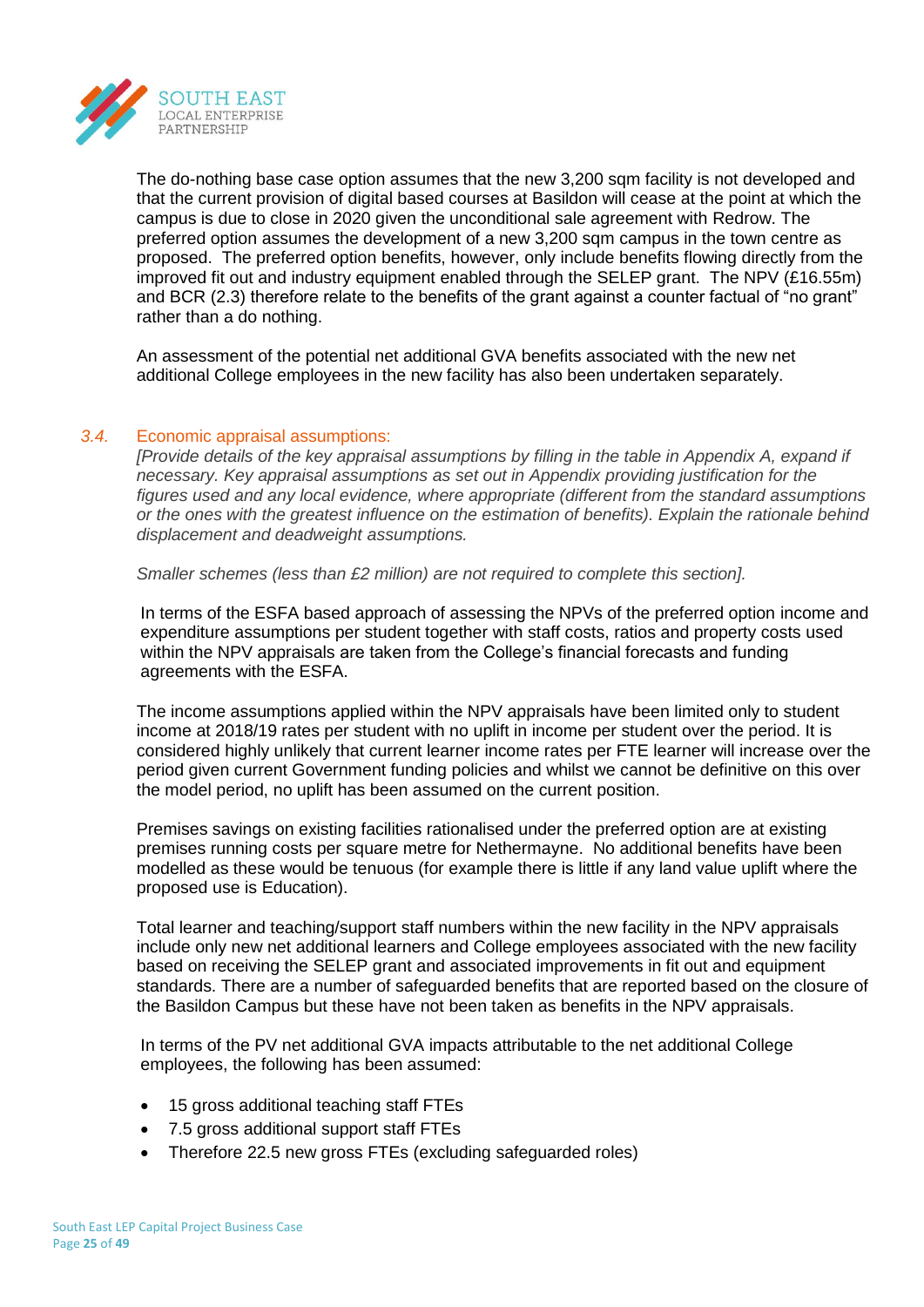

The do-nothing base case option assumes that the new 3,200 sqm facility is not developed and that the current provision of digital based courses at Basildon will cease at the point at which the campus is due to close in 2020 given the unconditional sale agreement with Redrow. The preferred option assumes the development of a new 3,200 sqm campus in the town centre as proposed. The preferred option benefits, however, only include benefits flowing directly from the improved fit out and industry equipment enabled through the SELEP grant. The NPV (£16.55m) and BCR (2.3) therefore relate to the benefits of the grant against a counter factual of "no grant" rather than a do nothing.

An assessment of the potential net additional GVA benefits associated with the new net additional College employees in the new facility has also been undertaken separately.

## *3.4.* Economic appraisal assumptions:

*[Provide details of the key appraisal assumptions by filling in the table in Appendix A, expand if necessary. Key appraisal assumptions as set out in Appendix providing justification for the figures used and any local evidence, where appropriate (different from the standard assumptions or the ones with the greatest influence on the estimation of benefits). Explain the rationale behind displacement and deadweight assumptions.*

*Smaller schemes (less than £2 million) are not required to complete this section].*

In terms of the ESFA based approach of assessing the NPVs of the preferred option income and expenditure assumptions per student together with staff costs, ratios and property costs used within the NPV appraisals are taken from the College's financial forecasts and funding agreements with the ESFA.

The income assumptions applied within the NPV appraisals have been limited only to student income at 2018/19 rates per student with no uplift in income per student over the period. It is considered highly unlikely that current learner income rates per FTE learner will increase over the period given current Government funding policies and whilst we cannot be definitive on this over the model period, no uplift has been assumed on the current position.

Premises savings on existing facilities rationalised under the preferred option are at existing premises running costs per square metre for Nethermayne. No additional benefits have been modelled as these would be tenuous (for example there is little if any land value uplift where the proposed use is Education).

Total learner and teaching/support staff numbers within the new facility in the NPV appraisals include only new net additional learners and College employees associated with the new facility based on receiving the SELEP grant and associated improvements in fit out and equipment standards. There are a number of safeguarded benefits that are reported based on the closure of the Basildon Campus but these have not been taken as benefits in the NPV appraisals.

In terms of the PV net additional GVA impacts attributable to the net additional College employees, the following has been assumed:

- 15 gross additional teaching staff FTEs
- 7.5 gross additional support staff FTEs
- Therefore 22.5 new gross FTEs (excluding safeguarded roles)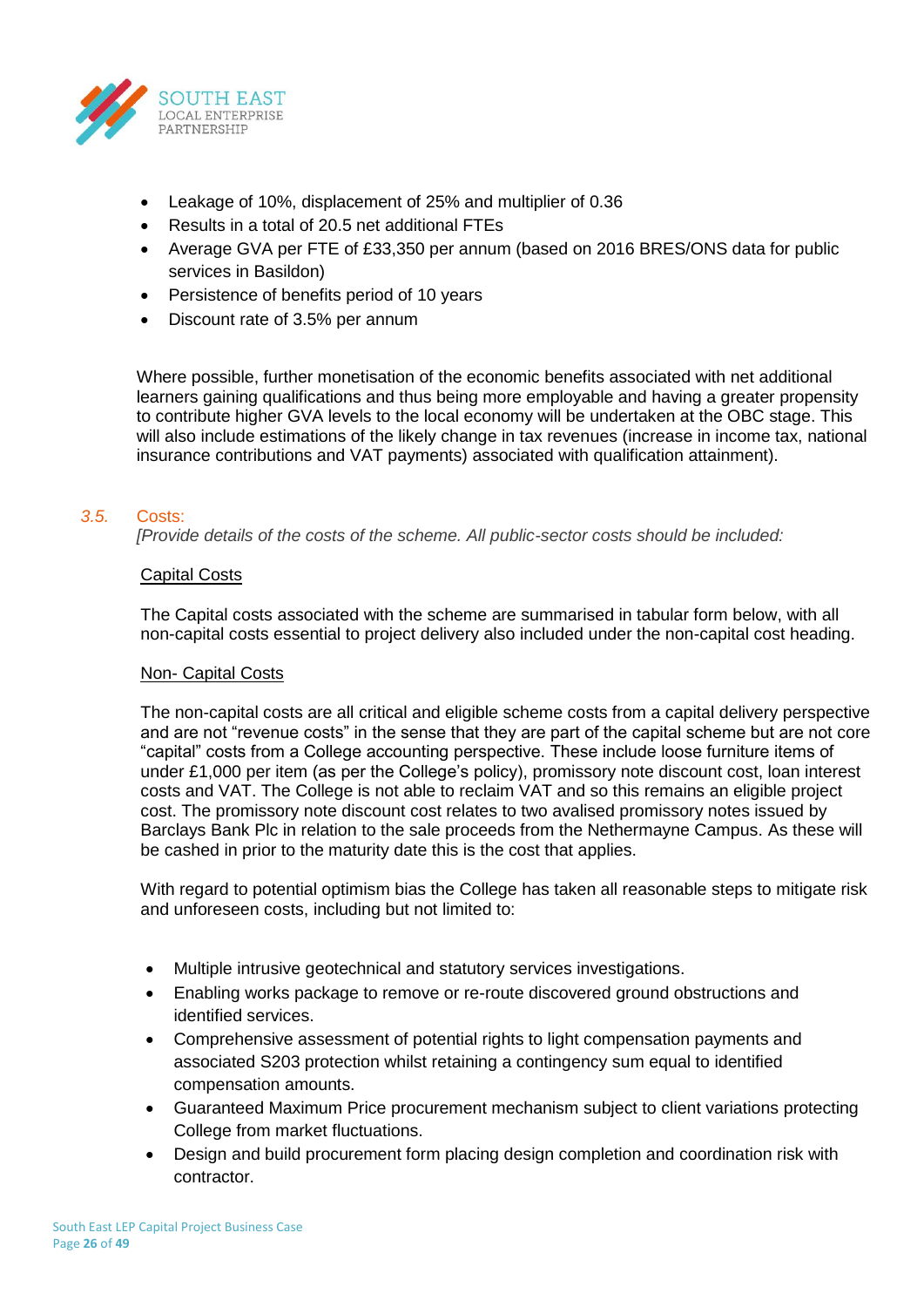

- Leakage of 10%, displacement of 25% and multiplier of 0.36
- Results in a total of 20.5 net additional FTEs
- Average GVA per FTE of £33,350 per annum (based on 2016 BRES/ONS data for public services in Basildon)
- Persistence of benefits period of 10 years
- Discount rate of 3.5% per annum

Where possible, further monetisation of the economic benefits associated with net additional learners gaining qualifications and thus being more employable and having a greater propensity to contribute higher GVA levels to the local economy will be undertaken at the OBC stage. This will also include estimations of the likely change in tax revenues (increase in income tax, national insurance contributions and VAT payments) associated with qualification attainment).

## *3.5.* Costs:

*[Provide details of the costs of the scheme. All public-sector costs should be included:*

## Capital Costs

The Capital costs associated with the scheme are summarised in tabular form below, with all non-capital costs essential to project delivery also included under the non-capital cost heading.

#### Non- Capital Costs

The non-capital costs are all critical and eligible scheme costs from a capital delivery perspective and are not "revenue costs" in the sense that they are part of the capital scheme but are not core "capital" costs from a College accounting perspective. These include loose furniture items of under £1,000 per item (as per the College's policy), promissory note discount cost, loan interest costs and VAT. The College is not able to reclaim VAT and so this remains an eligible project cost. The promissory note discount cost relates to two avalised promissory notes issued by Barclays Bank Plc in relation to the sale proceeds from the Nethermayne Campus. As these will be cashed in prior to the maturity date this is the cost that applies.

With regard to potential optimism bias the College has taken all reasonable steps to mitigate risk and unforeseen costs, including but not limited to:

- Multiple intrusive geotechnical and statutory services investigations.
- Enabling works package to remove or re-route discovered ground obstructions and identified services.
- Comprehensive assessment of potential rights to light compensation payments and associated S203 protection whilst retaining a contingency sum equal to identified compensation amounts.
- Guaranteed Maximum Price procurement mechanism subject to client variations protecting College from market fluctuations.
- Design and build procurement form placing design completion and coordination risk with contractor.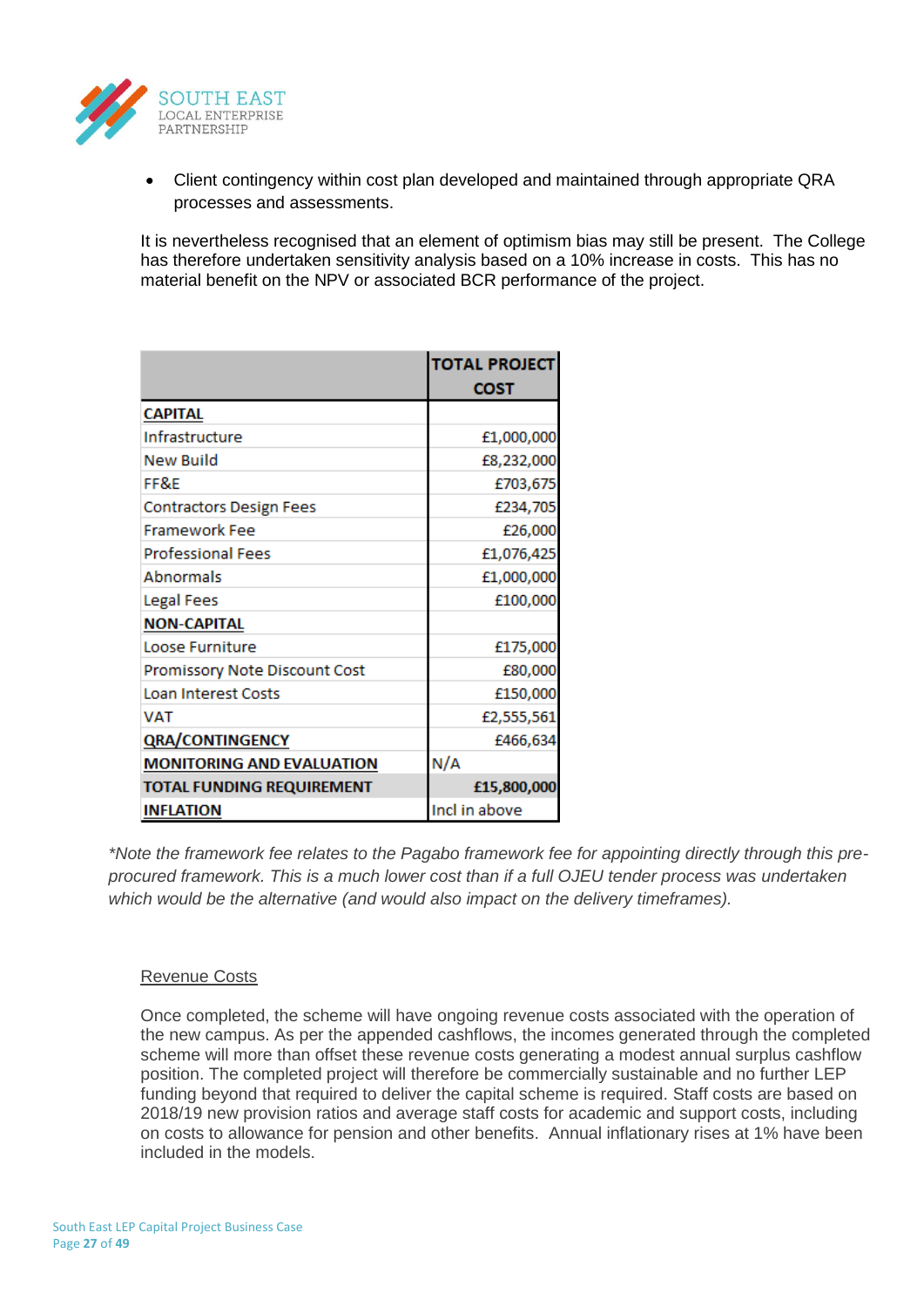

• Client contingency within cost plan developed and maintained through appropriate QRA processes and assessments.

It is nevertheless recognised that an element of optimism bias may still be present. The College has therefore undertaken sensitivity analysis based on a 10% increase in costs. This has no material benefit on the NPV or associated BCR performance of the project.

|                                  | <b>TOTAL PROJECT</b> |
|----------------------------------|----------------------|
|                                  | <b>COST</b>          |
| <b>CAPITAL</b>                   |                      |
| Infrastructure                   | £1,000,000           |
| <b>New Build</b>                 | £8,232,000           |
| FF&E                             | £703,675             |
| <b>Contractors Design Fees</b>   | £234,705             |
| <b>Framework Fee</b>             | £26,000              |
| <b>Professional Fees</b>         | £1,076,425           |
| <b>Abnormals</b>                 | £1,000,000           |
| Legal Fees                       | £100,000             |
| <b>NON-CAPITAL</b>               |                      |
| Loose Furniture                  | £175,000             |
| Promissory Note Discount Cost    | £80,000              |
| <b>Loan Interest Costs</b>       | £150,000             |
| <b>VAT</b>                       | £2,555,561           |
| <b>QRA/CONTINGENCY</b>           | £466,634             |
| <b>MONITORING AND EVALUATION</b> | N/A                  |
| <b>TOTAL FUNDING REQUIREMENT</b> | £15,800,000          |
| <b>INFLATION</b>                 | Incl in above        |

*\*Note the framework fee relates to the Pagabo framework fee for appointing directly through this preprocured framework. This is a much lower cost than if a full OJEU tender process was undertaken which would be the alternative (and would also impact on the delivery timeframes).* 

#### Revenue Costs

Once completed, the scheme will have ongoing revenue costs associated with the operation of the new campus. As per the appended cashflows, the incomes generated through the completed scheme will more than offset these revenue costs generating a modest annual surplus cashflow position. The completed project will therefore be commercially sustainable and no further LEP funding beyond that required to deliver the capital scheme is required. Staff costs are based on 2018/19 new provision ratios and average staff costs for academic and support costs, including on costs to allowance for pension and other benefits. Annual inflationary rises at 1% have been included in the models.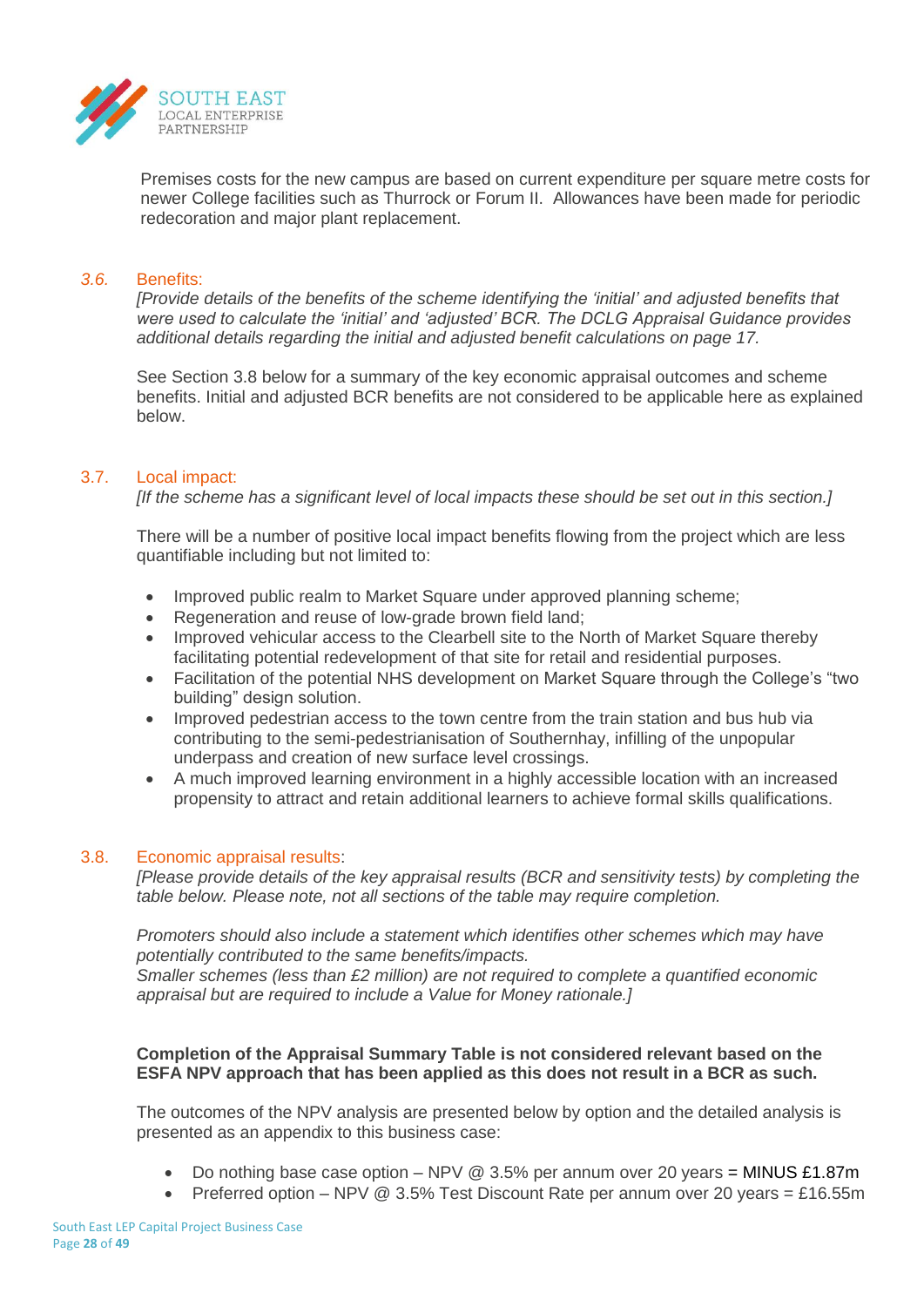

Premises costs for the new campus are based on current expenditure per square metre costs for newer College facilities such as Thurrock or Forum II. Allowances have been made for periodic redecoration and major plant replacement.

#### *3.6.* Benefits:

*[Provide details of the benefits of the scheme identifying the 'initial' and adjusted benefits that were used to calculate the 'initial' and 'adjusted' BCR. The DCLG Appraisal Guidance provides additional details regarding the initial and adjusted benefit calculations on page 17.*

See Section 3.8 below for a summary of the key economic appraisal outcomes and scheme benefits. Initial and adjusted BCR benefits are not considered to be applicable here as explained below.

## 3.7. Local impact:

*[If the scheme has a significant level of local impacts these should be set out in this section.]*

There will be a number of positive local impact benefits flowing from the project which are less quantifiable including but not limited to:

- Improved public realm to Market Square under approved planning scheme;
- Regeneration and reuse of low-grade brown field land;
- Improved vehicular access to the Clearbell site to the North of Market Square thereby facilitating potential redevelopment of that site for retail and residential purposes.
- Facilitation of the potential NHS development on Market Square through the College's "two building" design solution.
- Improved pedestrian access to the town centre from the train station and bus hub via contributing to the semi-pedestrianisation of Southernhay, infilling of the unpopular underpass and creation of new surface level crossings.
- A much improved learning environment in a highly accessible location with an increased propensity to attract and retain additional learners to achieve formal skills qualifications.

#### 3.8. Economic appraisal results:

*[Please provide details of the key appraisal results (BCR and sensitivity tests) by completing the table below. Please note, not all sections of the table may require completion.*

*Promoters should also include a statement which identifies other schemes which may have potentially contributed to the same benefits/impacts.* 

*Smaller schemes (less than £2 million) are not required to complete a quantified economic appraisal but are required to include a Value for Money rationale.]*

## **Completion of the Appraisal Summary Table is not considered relevant based on the ESFA NPV approach that has been applied as this does not result in a BCR as such.**

The outcomes of the NPV analysis are presented below by option and the detailed analysis is presented as an appendix to this business case:

- Do nothing base case option NPV @ 3.5% per annum over 20 years = MINUS £1.87m
- Preferred option NPV @ 3.5% Test Discount Rate per annum over 20 years = £16.55m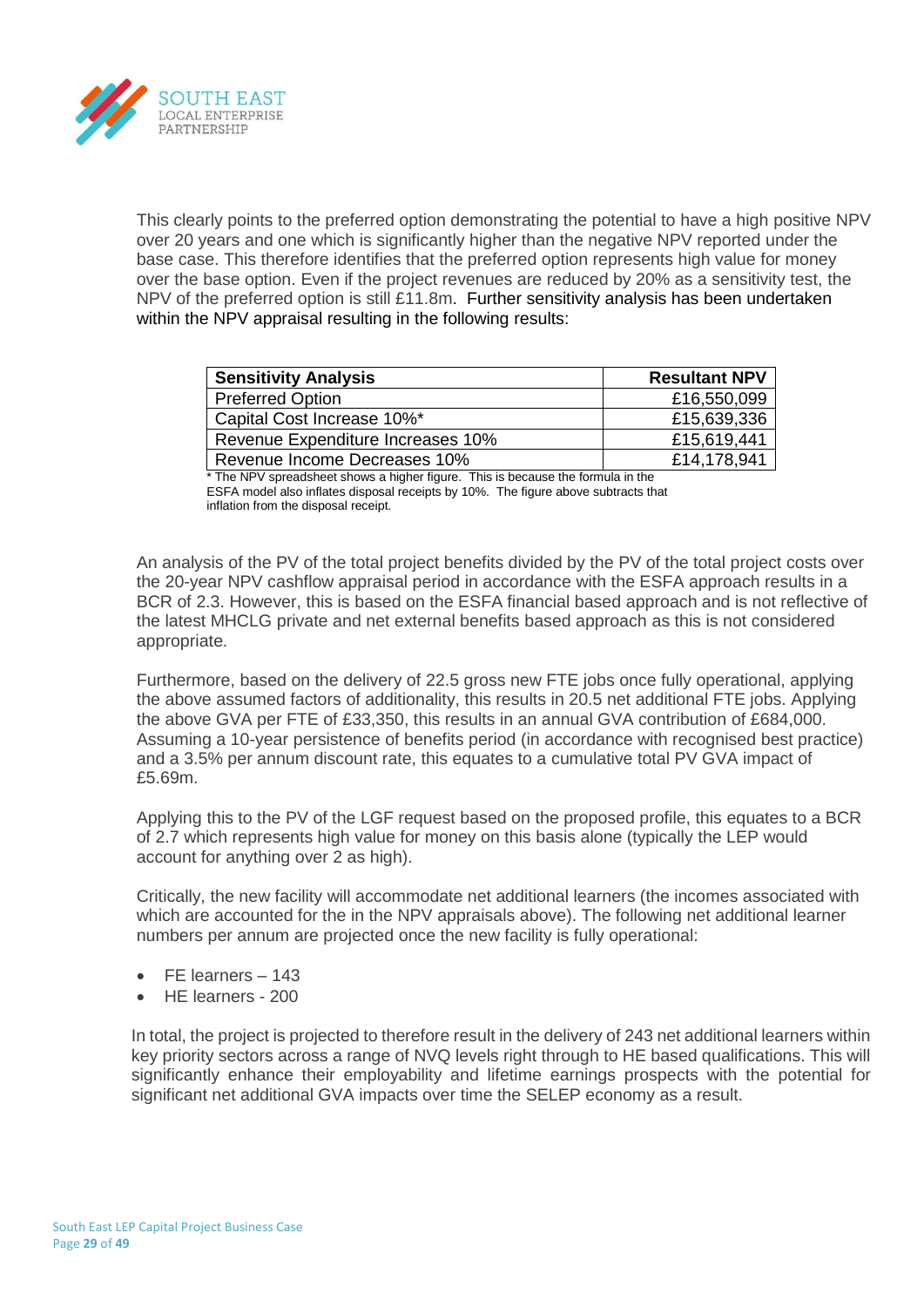

This clearly points to the preferred option demonstrating the potential to have a high positive NPV over 20 years and one which is significantly higher than the negative NPV reported under the base case. This therefore identifies that the preferred option represents high value for money over the base option. Even if the project revenues are reduced by 20% as a sensitivity test, the NPV of the preferred option is still £11.8m. Further sensitivity analysis has been undertaken within the NPV appraisal resulting in the following results:

| <b>Sensitivity Analysis</b>       | <b>Resultant NPV</b> |
|-----------------------------------|----------------------|
| <b>Preferred Option</b>           | £16,550,099          |
| Capital Cost Increase 10%*        | £15,639,336          |
| Revenue Expenditure Increases 10% | £15,619,441          |
| Revenue Income Decreases 10%      | £14,178,941          |

\* The NPV spreadsheet shows a higher figure. This is because the formula in the ESFA model also inflates disposal receipts by 10%. The figure above subtracts that inflation from the disposal receipt.

An analysis of the PV of the total project benefits divided by the PV of the total project costs over the 20-year NPV cashflow appraisal period in accordance with the ESFA approach results in a BCR of 2.3. However, this is based on the ESFA financial based approach and is not reflective of the latest MHCLG private and net external benefits based approach as this is not considered appropriate.

Furthermore, based on the delivery of 22.5 gross new FTE jobs once fully operational, applying the above assumed factors of additionality, this results in 20.5 net additional FTE jobs. Applying the above GVA per FTE of £33,350, this results in an annual GVA contribution of £684,000. Assuming a 10-year persistence of benefits period (in accordance with recognised best practice) and a 3.5% per annum discount rate, this equates to a cumulative total PV GVA impact of £5.69m.

Applying this to the PV of the LGF request based on the proposed profile, this equates to a BCR of 2.7 which represents high value for money on this basis alone (typically the LEP would account for anything over 2 as high).

Critically, the new facility will accommodate net additional learners (the incomes associated with which are accounted for the in the NPV appraisals above). The following net additional learner numbers per annum are projected once the new facility is fully operational:

- FE learners 143
- HE learners 200

In total, the project is projected to therefore result in the delivery of 243 net additional learners within key priority sectors across a range of NVQ levels right through to HE based qualifications. This will significantly enhance their employability and lifetime earnings prospects with the potential for significant net additional GVA impacts over time the SELEP economy as a result.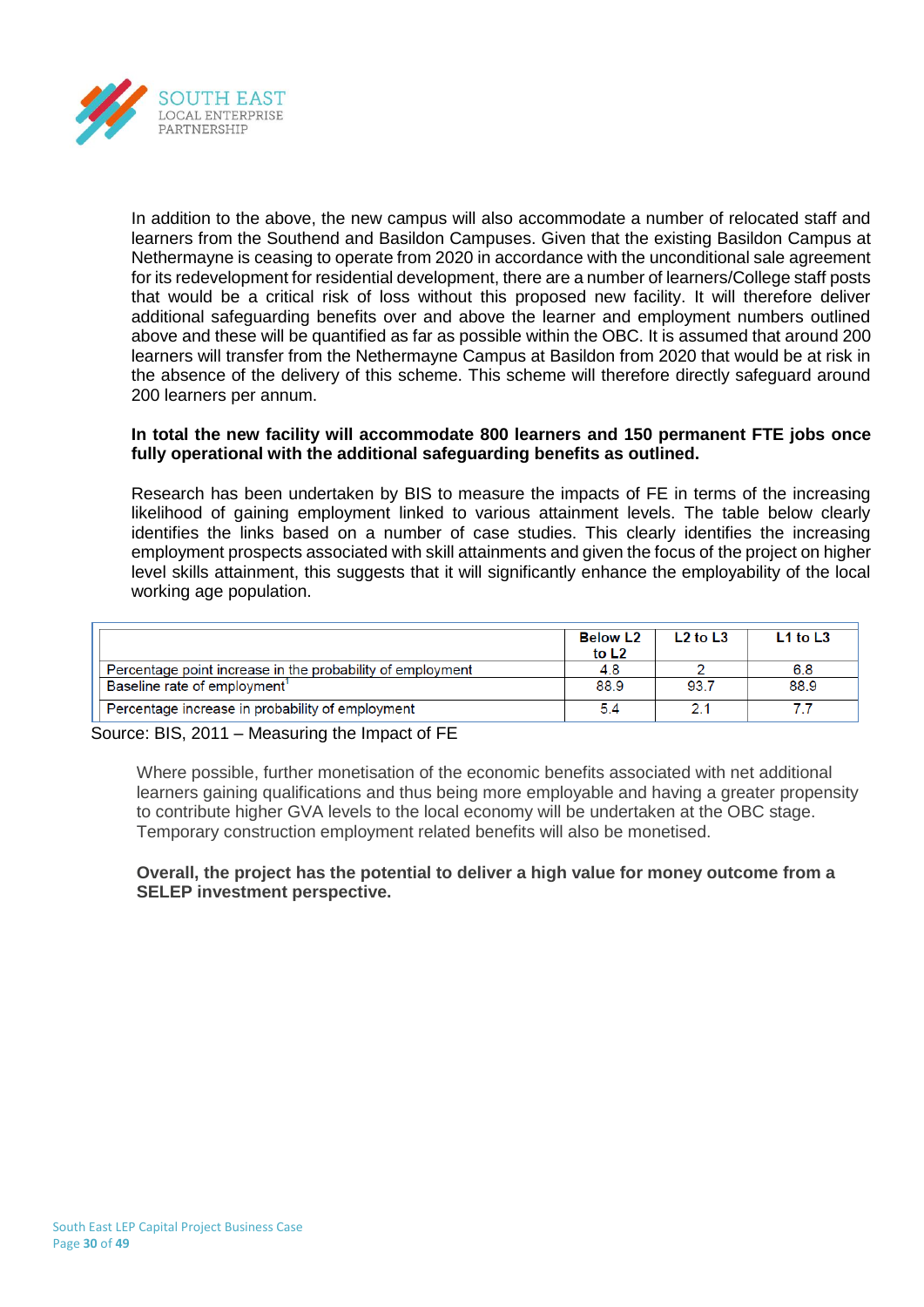

In addition to the above, the new campus will also accommodate a number of relocated staff and learners from the Southend and Basildon Campuses. Given that the existing Basildon Campus at Nethermayne is ceasing to operate from 2020 in accordance with the unconditional sale agreement for its redevelopment for residential development, there are a number of learners/College staff posts that would be a critical risk of loss without this proposed new facility. It will therefore deliver additional safeguarding benefits over and above the learner and employment numbers outlined above and these will be quantified as far as possible within the OBC. It is assumed that around 200 learners will transfer from the Nethermayne Campus at Basildon from 2020 that would be at risk in the absence of the delivery of this scheme. This scheme will therefore directly safeguard around 200 learners per annum.

## **In total the new facility will accommodate 800 learners and 150 permanent FTE jobs once fully operational with the additional safeguarding benefits as outlined.**

Research has been undertaken by BIS to measure the impacts of FE in terms of the increasing likelihood of gaining employment linked to various attainment levels. The table below clearly identifies the links based on a number of case studies. This clearly identifies the increasing employment prospects associated with skill attainments and given the focus of the project on higher level skills attainment, this suggests that it will significantly enhance the employability of the local working age population.

|                                                            | <b>Below L2</b><br>to L <sub>2</sub> | L <sub>2</sub> to L <sub>3</sub> | $L1$ to $L3$ |
|------------------------------------------------------------|--------------------------------------|----------------------------------|--------------|
| Percentage point increase in the probability of employment | 4.8                                  |                                  | 6.8          |
| Baseline rate of employment <sup>1</sup>                   | 88.9                                 | 93.7                             | 88.9         |
| Percentage increase in probability of employment           | 5.4                                  |                                  |              |

Source: BIS, 2011 – Measuring the Impact of FE

Where possible, further monetisation of the economic benefits associated with net additional learners gaining qualifications and thus being more employable and having a greater propensity to contribute higher GVA levels to the local economy will be undertaken at the OBC stage. Temporary construction employment related benefits will also be monetised.

## **Overall, the project has the potential to deliver a high value for money outcome from a SELEP investment perspective.**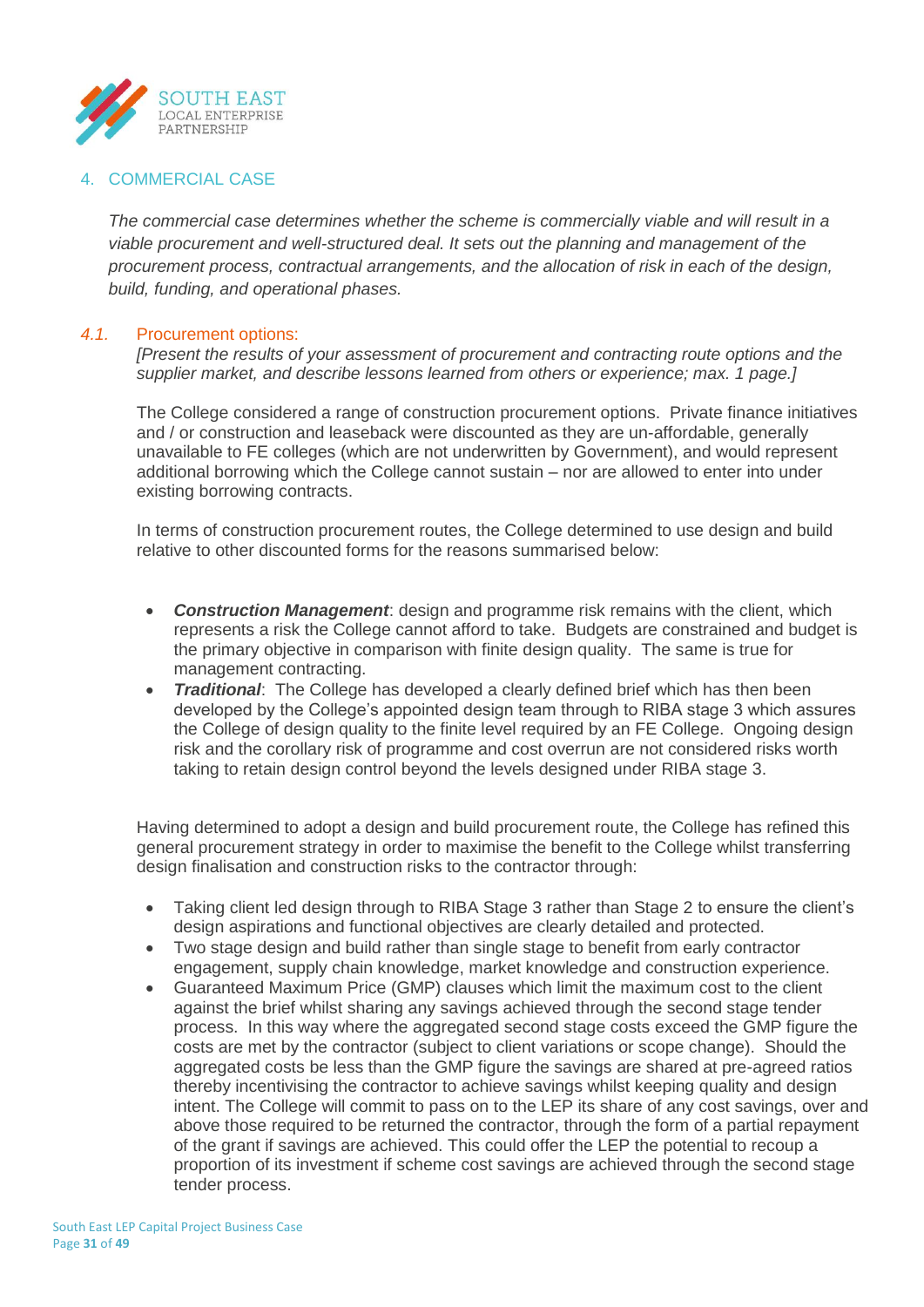

## 4. COMMERCIAL CASE

*The commercial case determines whether the scheme is commercially viable and will result in a viable procurement and well-structured deal. It sets out the planning and management of the procurement process, contractual arrangements, and the allocation of risk in each of the design, build, funding, and operational phases.*

## *4.1.* Procurement options:

*[Present the results of your assessment of procurement and contracting route options and the supplier market, and describe lessons learned from others or experience; max. 1 page.]*

The College considered a range of construction procurement options. Private finance initiatives and / or construction and leaseback were discounted as they are un-affordable, generally unavailable to FE colleges (which are not underwritten by Government), and would represent additional borrowing which the College cannot sustain – nor are allowed to enter into under existing borrowing contracts.

In terms of construction procurement routes, the College determined to use design and build relative to other discounted forms for the reasons summarised below:

- *Construction Management*: design and programme risk remains with the client, which represents a risk the College cannot afford to take. Budgets are constrained and budget is the primary objective in comparison with finite design quality. The same is true for management contracting.
- *Traditional:* The College has developed a clearly defined brief which has then been developed by the College's appointed design team through to RIBA stage 3 which assures the College of design quality to the finite level required by an FE College. Ongoing design risk and the corollary risk of programme and cost overrun are not considered risks worth taking to retain design control beyond the levels designed under RIBA stage 3.

Having determined to adopt a design and build procurement route, the College has refined this general procurement strategy in order to maximise the benefit to the College whilst transferring design finalisation and construction risks to the contractor through:

- Taking client led design through to RIBA Stage 3 rather than Stage 2 to ensure the client's design aspirations and functional objectives are clearly detailed and protected.
- Two stage design and build rather than single stage to benefit from early contractor engagement, supply chain knowledge, market knowledge and construction experience.
- Guaranteed Maximum Price (GMP) clauses which limit the maximum cost to the client against the brief whilst sharing any savings achieved through the second stage tender process. In this way where the aggregated second stage costs exceed the GMP figure the costs are met by the contractor (subject to client variations or scope change). Should the aggregated costs be less than the GMP figure the savings are shared at pre-agreed ratios thereby incentivising the contractor to achieve savings whilst keeping quality and design intent. The College will commit to pass on to the LEP its share of any cost savings, over and above those required to be returned the contractor, through the form of a partial repayment of the grant if savings are achieved. This could offer the LEP the potential to recoup a proportion of its investment if scheme cost savings are achieved through the second stage tender process.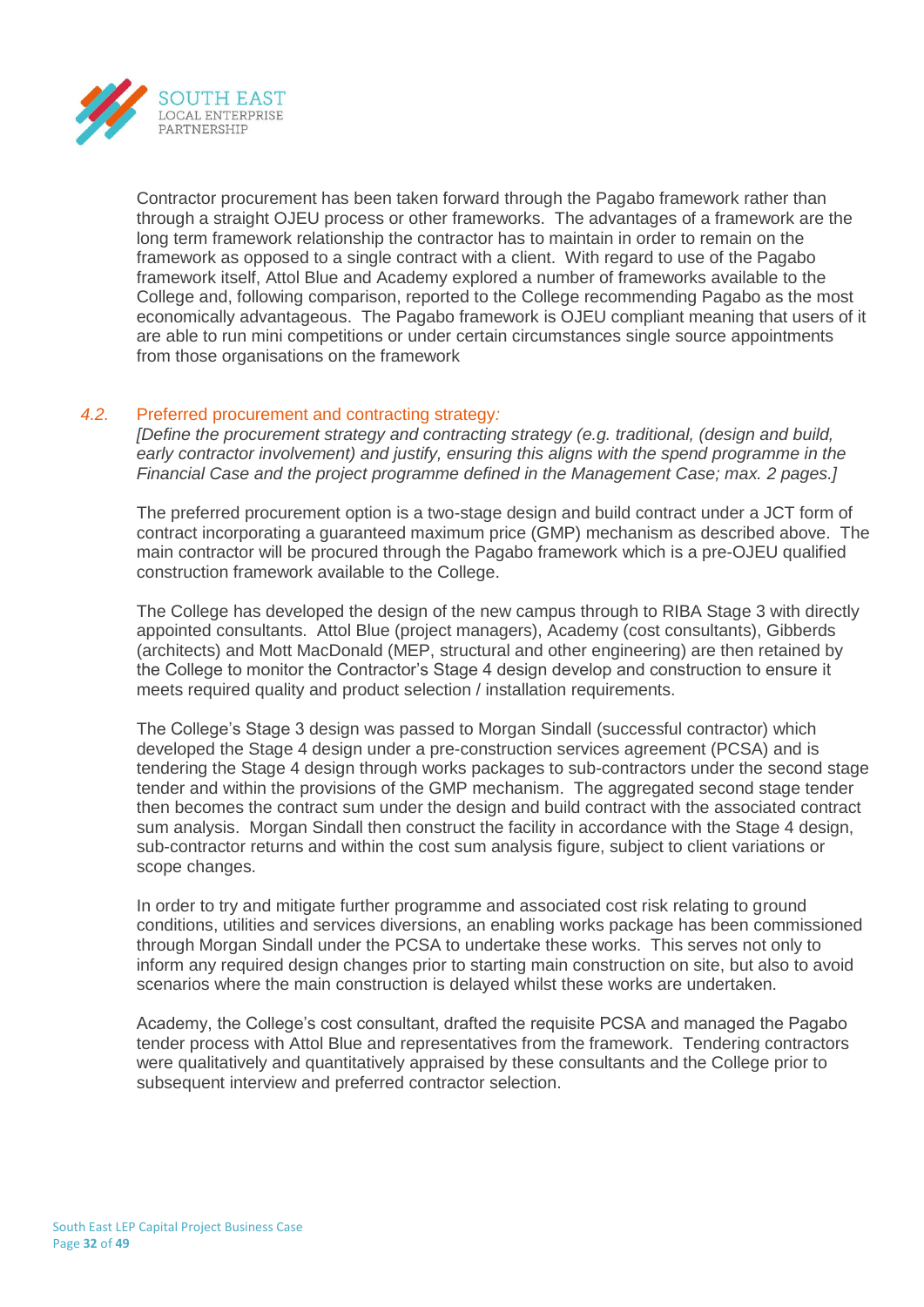

Contractor procurement has been taken forward through the Pagabo framework rather than through a straight OJEU process or other frameworks. The advantages of a framework are the long term framework relationship the contractor has to maintain in order to remain on the framework as opposed to a single contract with a client. With regard to use of the Pagabo framework itself, Attol Blue and Academy explored a number of frameworks available to the College and, following comparison, reported to the College recommending Pagabo as the most economically advantageous. The Pagabo framework is OJEU compliant meaning that users of it are able to run mini competitions or under certain circumstances single source appointments from those organisations on the framework

## *4.2.* Preferred procurement and contracting strategy*:*

*[Define the procurement strategy and contracting strategy (e.g. traditional, (design and build, early contractor involvement) and justify, ensuring this aligns with the spend programme in the Financial Case and the project programme defined in the Management Case; max. 2 pages.]*

The preferred procurement option is a two-stage design and build contract under a JCT form of contract incorporating a guaranteed maximum price (GMP) mechanism as described above. The main contractor will be procured through the Pagabo framework which is a pre-OJEU qualified construction framework available to the College.

The College has developed the design of the new campus through to RIBA Stage 3 with directly appointed consultants. Attol Blue (project managers), Academy (cost consultants), Gibberds (architects) and Mott MacDonald (MEP, structural and other engineering) are then retained by the College to monitor the Contractor's Stage 4 design develop and construction to ensure it meets required quality and product selection / installation requirements.

The College's Stage 3 design was passed to Morgan Sindall (successful contractor) which developed the Stage 4 design under a pre-construction services agreement (PCSA) and is tendering the Stage 4 design through works packages to sub-contractors under the second stage tender and within the provisions of the GMP mechanism. The aggregated second stage tender then becomes the contract sum under the design and build contract with the associated contract sum analysis. Morgan Sindall then construct the facility in accordance with the Stage 4 design, sub-contractor returns and within the cost sum analysis figure, subject to client variations or scope changes.

In order to try and mitigate further programme and associated cost risk relating to ground conditions, utilities and services diversions, an enabling works package has been commissioned through Morgan Sindall under the PCSA to undertake these works. This serves not only to inform any required design changes prior to starting main construction on site, but also to avoid scenarios where the main construction is delayed whilst these works are undertaken.

Academy, the College's cost consultant, drafted the requisite PCSA and managed the Pagabo tender process with Attol Blue and representatives from the framework. Tendering contractors were qualitatively and quantitatively appraised by these consultants and the College prior to subsequent interview and preferred contractor selection.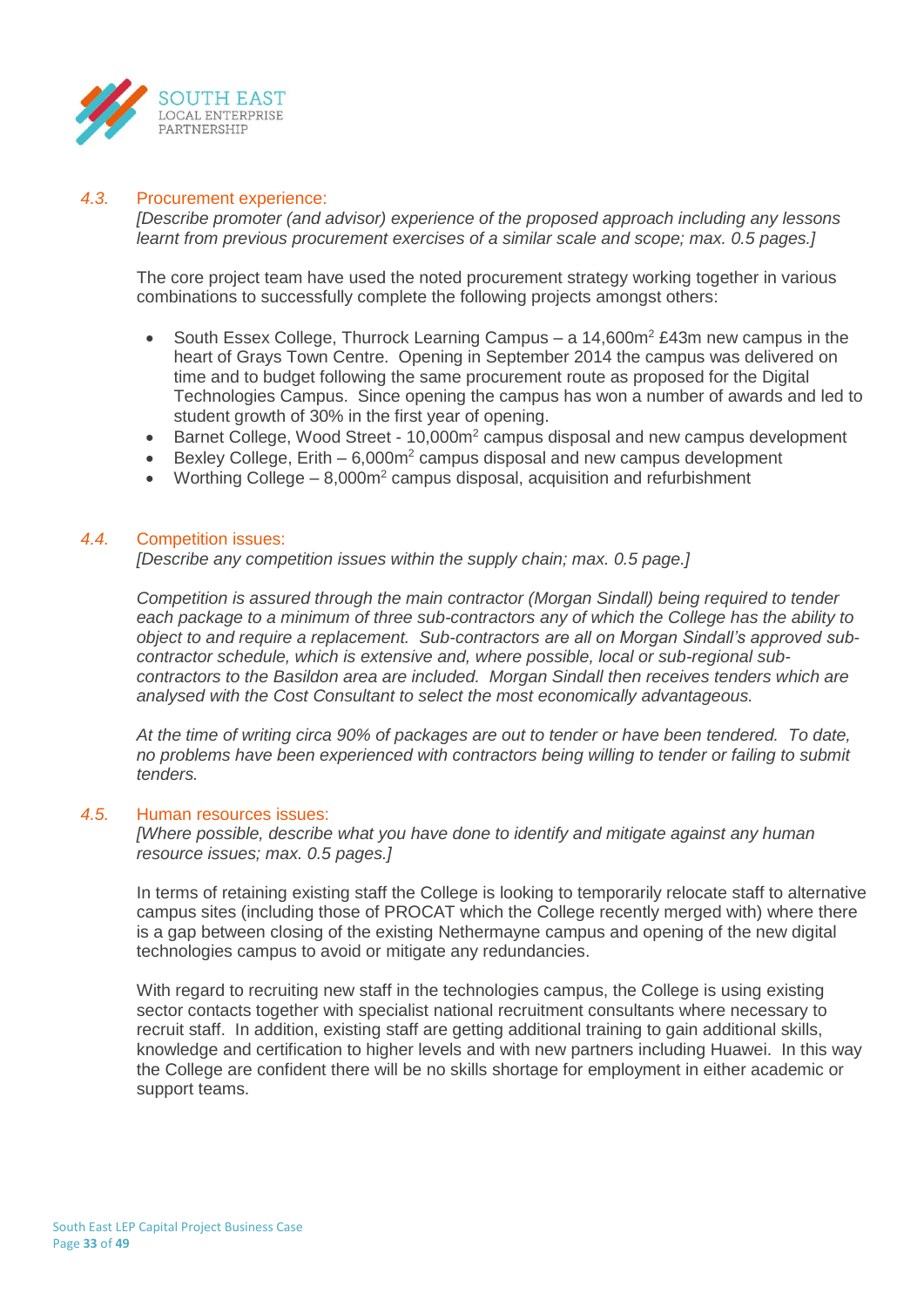

## *4.3.* Procurement experience:

*[Describe promoter (and advisor) experience of the proposed approach including any lessons learnt from previous procurement exercises of a similar scale and scope; max. 0.5 pages.]*

The core project team have used the noted procurement strategy working together in various combinations to successfully complete the following projects amongst others:

- South Essex College, Thurrock Learning Campus a  $14,600m^2$  £43m new campus in the heart of Grays Town Centre. Opening in September 2014 the campus was delivered on time and to budget following the same procurement route as proposed for the Digital Technologies Campus. Since opening the campus has won a number of awards and led to student growth of 30% in the first year of opening.
- Barnet College, Wood Street 10,000m<sup>2</sup> campus disposal and new campus development
- Bexley College, Erith  $-6.000m^2$  campus disposal and new campus development
- Worthing College 8,000m<sup>2</sup> campus disposal, acquisition and refurbishment

#### *4.4.* Competition issues:

*[Describe any competition issues within the supply chain; max. 0.5 page.]*

*Competition is assured through the main contractor (Morgan Sindall) being required to tender each package to a minimum of three sub-contractors any of which the College has the ability to object to and require a replacement. Sub-contractors are all on Morgan Sindall's approved subcontractor schedule, which is extensive and, where possible, local or sub-regional subcontractors to the Basildon area are included. Morgan Sindall then receives tenders which are analysed with the Cost Consultant to select the most economically advantageous.*

*At the time of writing circa 90% of packages are out to tender or have been tendered. To date, no problems have been experienced with contractors being willing to tender or failing to submit tenders.*

#### *4.5.* Human resources issues:

*[Where possible, describe what you have done to identify and mitigate against any human resource issues; max. 0.5 pages.]*

In terms of retaining existing staff the College is looking to temporarily relocate staff to alternative campus sites (including those of PROCAT which the College recently merged with) where there is a gap between closing of the existing Nethermayne campus and opening of the new digital technologies campus to avoid or mitigate any redundancies.

With regard to recruiting new staff in the technologies campus, the College is using existing sector contacts together with specialist national recruitment consultants where necessary to recruit staff. In addition, existing staff are getting additional training to gain additional skills, knowledge and certification to higher levels and with new partners including Huawei. In this way the College are confident there will be no skills shortage for employment in either academic or support teams.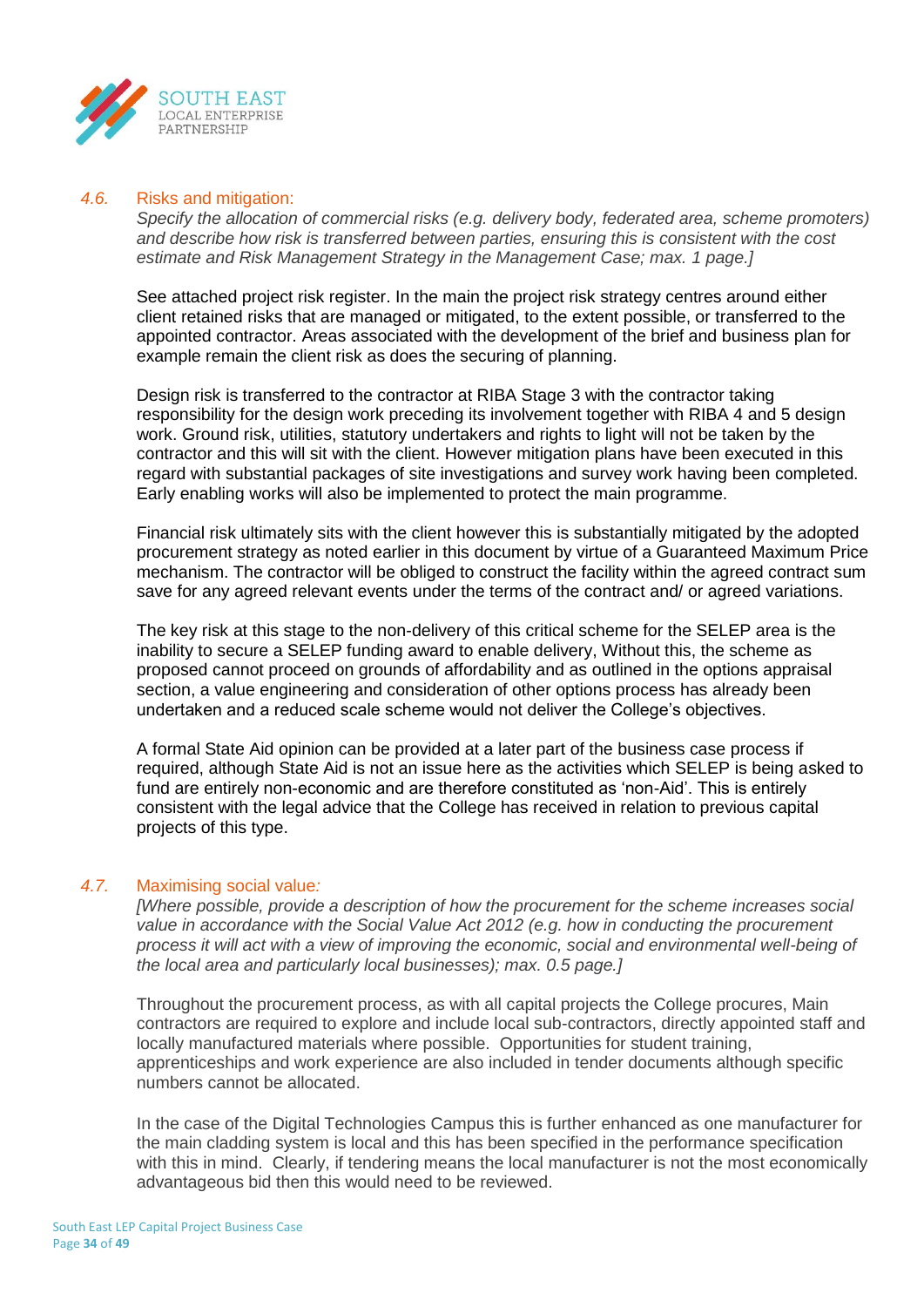

#### *4.6.* Risks and mitigation:

*Specify the allocation of commercial risks (e.g. delivery body, federated area, scheme promoters) and describe how risk is transferred between parties, ensuring this is consistent with the cost estimate and Risk Management Strategy in the Management Case; max. 1 page.]*

See attached project risk register. In the main the project risk strategy centres around either client retained risks that are managed or mitigated, to the extent possible, or transferred to the appointed contractor. Areas associated with the development of the brief and business plan for example remain the client risk as does the securing of planning.

Design risk is transferred to the contractor at RIBA Stage 3 with the contractor taking responsibility for the design work preceding its involvement together with RIBA 4 and 5 design work. Ground risk, utilities, statutory undertakers and rights to light will not be taken by the contractor and this will sit with the client. However mitigation plans have been executed in this regard with substantial packages of site investigations and survey work having been completed. Early enabling works will also be implemented to protect the main programme.

Financial risk ultimately sits with the client however this is substantially mitigated by the adopted procurement strategy as noted earlier in this document by virtue of a Guaranteed Maximum Price mechanism. The contractor will be obliged to construct the facility within the agreed contract sum save for any agreed relevant events under the terms of the contract and/ or agreed variations.

The key risk at this stage to the non-delivery of this critical scheme for the SELEP area is the inability to secure a SELEP funding award to enable delivery, Without this, the scheme as proposed cannot proceed on grounds of affordability and as outlined in the options appraisal section, a value engineering and consideration of other options process has already been undertaken and a reduced scale scheme would not deliver the College's objectives.

A formal State Aid opinion can be provided at a later part of the business case process if required, although State Aid is not an issue here as the activities which SELEP is being asked to fund are entirely non-economic and are therefore constituted as 'non-Aid'. This is entirely consistent with the legal advice that the College has received in relation to previous capital projects of this type.

#### *4.7.* Maximising social value*:*

*[Where possible, provide a description of how the procurement for the scheme increases social value in accordance with the Social Value Act 2012 (e.g. how in conducting the procurement process it will act with a view of improving the economic, social and environmental well-being of the local area and particularly local businesses); max. 0.5 page.]*

Throughout the procurement process, as with all capital projects the College procures, Main contractors are required to explore and include local sub-contractors, directly appointed staff and locally manufactured materials where possible. Opportunities for student training, apprenticeships and work experience are also included in tender documents although specific numbers cannot be allocated.

In the case of the Digital Technologies Campus this is further enhanced as one manufacturer for the main cladding system is local and this has been specified in the performance specification with this in mind. Clearly, if tendering means the local manufacturer is not the most economically advantageous bid then this would need to be reviewed.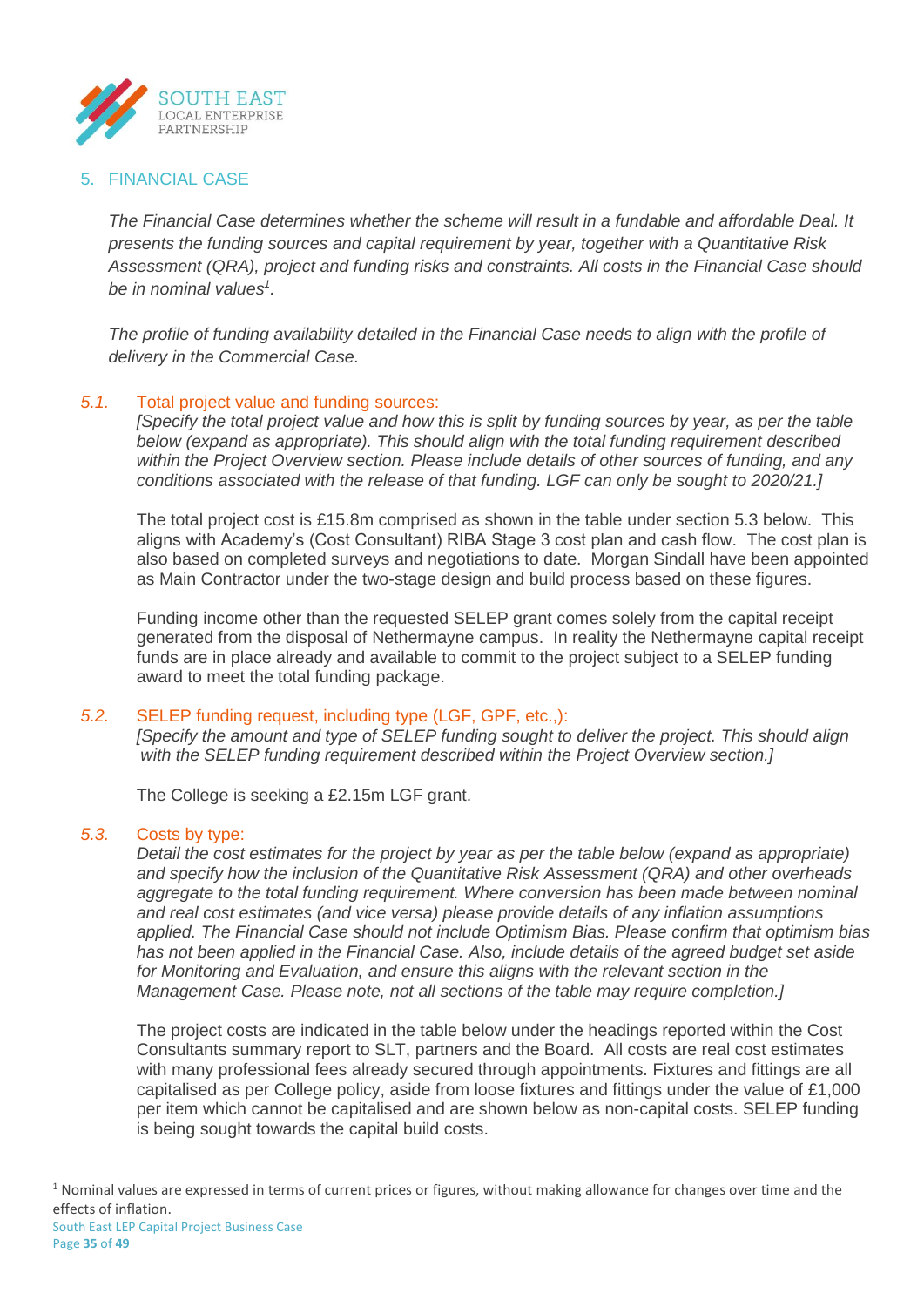

## 5. FINANCIAL CASE

*The Financial Case determines whether the scheme will result in a fundable and affordable Deal. It presents the funding sources and capital requirement by year, together with a Quantitative Risk Assessment (QRA), project and funding risks and constraints. All costs in the Financial Case should be in nominal values<sup>1</sup> .*

*The profile of funding availability detailed in the Financial Case needs to align with the profile of delivery in the Commercial Case.*

## *5.1.* Total project value and funding sources:

*[Specify the total project value and how this is split by funding sources by year, as per the table below (expand as appropriate). This should align with the total funding requirement described within the Project Overview section. Please include details of other sources of funding, and any conditions associated with the release of that funding. LGF can only be sought to 2020/21.]*

The total project cost is £15.8m comprised as shown in the table under section 5.3 below. This aligns with Academy's (Cost Consultant) RIBA Stage 3 cost plan and cash flow. The cost plan is also based on completed surveys and negotiations to date. Morgan Sindall have been appointed as Main Contractor under the two-stage design and build process based on these figures.

Funding income other than the requested SELEP grant comes solely from the capital receipt generated from the disposal of Nethermayne campus. In reality the Nethermayne capital receipt funds are in place already and available to commit to the project subject to a SELEP funding award to meet the total funding package.

#### *5.2.* SELEP funding request, including type (LGF, GPF, etc.,):

*[Specify the amount and type of SELEP funding sought to deliver the project. This should align with the SELEP funding requirement described within the Project Overview section.]*

The College is seeking a £2.15m LGF grant.

#### *5.3.* Costs by type:

*Detail the cost estimates for the project by year as per the table below (expand as appropriate) and specify how the inclusion of the Quantitative Risk Assessment (QRA) and other overheads* aggregate to the total funding requirement. Where conversion has been made between nominal *and real cost estimates (and vice versa) please provide details of any inflation assumptions applied. The Financial Case should not include Optimism Bias. Please confirm that optimism bias has not been applied in the Financial Case. Also, include details of the agreed budget set aside for Monitoring and Evaluation, and ensure this aligns with the relevant section in the Management Case. Please note, not all sections of the table may require completion.]*

The project costs are indicated in the table below under the headings reported within the Cost Consultants summary report to SLT, partners and the Board. All costs are real cost estimates with many professional fees already secured through appointments. Fixtures and fittings are all capitalised as per College policy, aside from loose fixtures and fittings under the value of £1,000 per item which cannot be capitalised and are shown below as non-capital costs. SELEP funding is being sought towards the capital build costs.

 $\overline{a}$ 

 $1$  Nominal values are expressed in terms of current prices or figures, without making allowance for changes over time and the effects of inflation.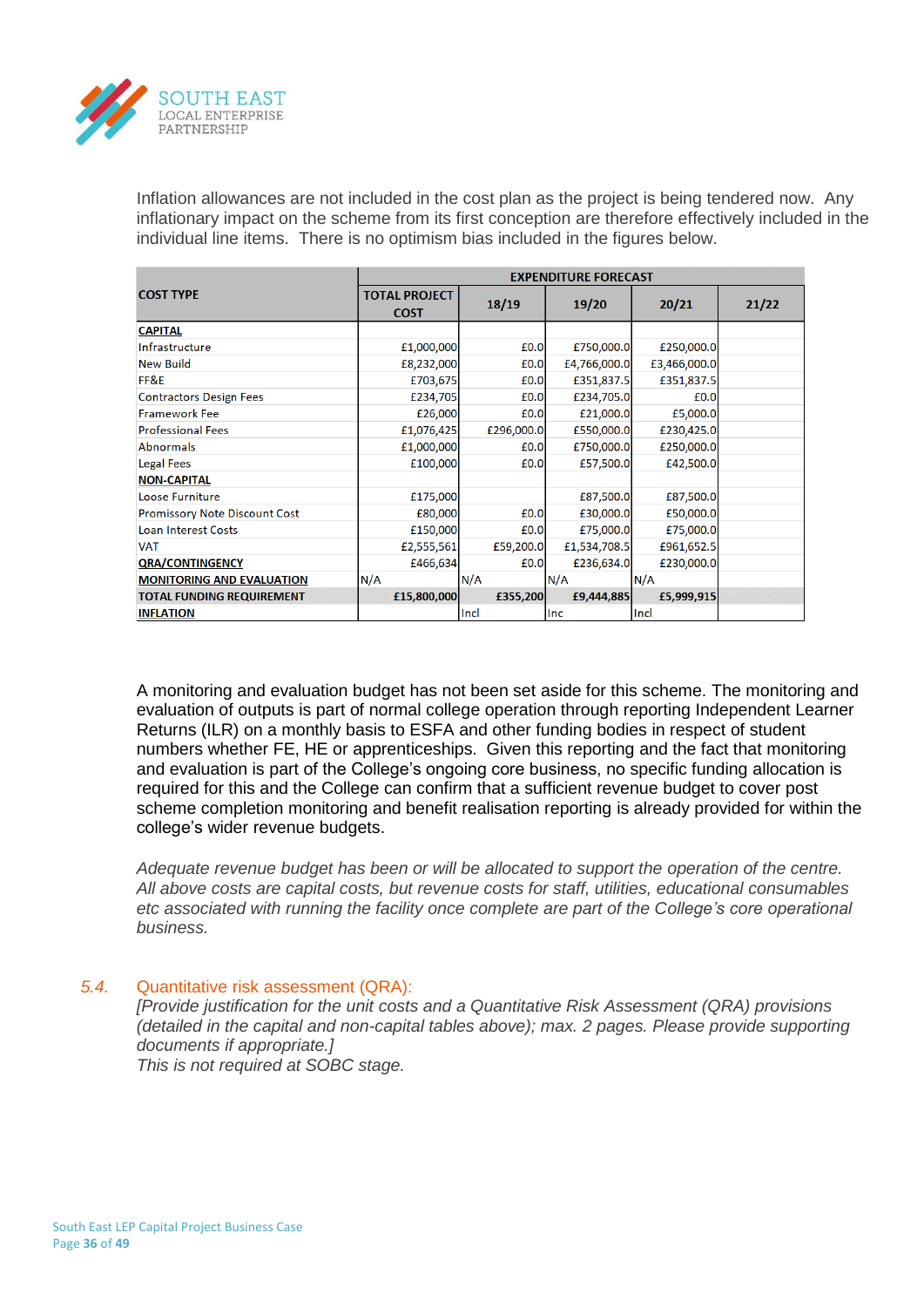

Inflation allowances are not included in the cost plan as the project is being tendered now. Any inflationary impact on the scheme from its first conception are therefore effectively included in the individual line items. There is no optimism bias included in the figures below.

|                                      | <b>EXPENDITURE FORECAST</b>         |            |              |              |       |  |
|--------------------------------------|-------------------------------------|------------|--------------|--------------|-------|--|
| <b>COST TYPE</b>                     | <b>TOTAL PROJECT</b><br><b>COST</b> | 18/19      | 19/20        | 20/21        | 21/22 |  |
| <b>CAPITAL</b>                       |                                     |            |              |              |       |  |
| Infrastructure                       | £1,000,000                          | £0.0       | £750,000.0   | £250,000.0   |       |  |
| <b>New Build</b>                     | £8,232,000                          | £0.0       | £4,766,000.0 | £3,466,000.0 |       |  |
| FF&E                                 | £703,675                            | £0.0       | £351,837.5   | £351,837.5   |       |  |
| <b>Contractors Design Fees</b>       | £234,705                            | £0.0       | £234,705.0   | £0.0         |       |  |
| <b>Framework Fee</b>                 | £26,000                             | £0.0       | £21,000.0    | £5,000.0     |       |  |
| <b>Professional Fees</b>             | £1,076,425                          | £296,000.0 | £550,000.0   | £230,425.0   |       |  |
| <b>Abnormals</b>                     | £1,000,000                          | £0.0       | £750,000.0   | £250,000.0   |       |  |
| <b>Legal Fees</b>                    | £100,000                            | £0.0       | £57,500.0    | £42,500.0    |       |  |
| <b>NON-CAPITAL</b>                   |                                     |            |              |              |       |  |
| Loose Furniture                      | £175,000                            |            | £87,500.0    | £87,500.0    |       |  |
| <b>Promissory Note Discount Cost</b> | £80,000                             | £0.0       | £30,000.0    | £50,000.0    |       |  |
| <b>Loan Interest Costs</b>           | £150,000                            | £0.0       | £75,000.0    | £75,000.0    |       |  |
| <b>VAT</b>                           | £2,555,561                          | £59,200.0  | £1,534,708.5 | £961,652.5   |       |  |
| <b>QRA/CONTINGENCY</b>               | £466,634                            | £0.0       | £236,634.0   | £230,000.0   |       |  |
| <b>MONITORING AND EVALUATION</b>     | N/A                                 | N/A        | N/A          | N/A          |       |  |
| <b>TOTAL FUNDING REQUIREMENT</b>     | £15,800,000                         | £355,200   | £9,444,885   | £5,999,915   |       |  |
| <b>INFLATION</b>                     |                                     | llncl      | <b>Inc</b>   | <b>Incl</b>  |       |  |

A monitoring and evaluation budget has not been set aside for this scheme. The monitoring and evaluation of outputs is part of normal college operation through reporting Independent Learner Returns (ILR) on a monthly basis to ESFA and other funding bodies in respect of student numbers whether FE, HE or apprenticeships. Given this reporting and the fact that monitoring and evaluation is part of the College's ongoing core business, no specific funding allocation is required for this and the College can confirm that a sufficient revenue budget to cover post scheme completion monitoring and benefit realisation reporting is already provided for within the college's wider revenue budgets.

*Adequate revenue budget has been or will be allocated to support the operation of the centre. All above costs are capital costs, but revenue costs for staff, utilities, educational consumables etc associated with running the facility once complete are part of the College's core operational business.*

#### *5.4.* Quantitative risk assessment (QRA):

*[Provide justification for the unit costs and a Quantitative Risk Assessment (QRA) provisions (detailed in the capital and non-capital tables above); max. 2 pages. Please provide supporting documents if appropriate.]*

*This is not required at SOBC stage.*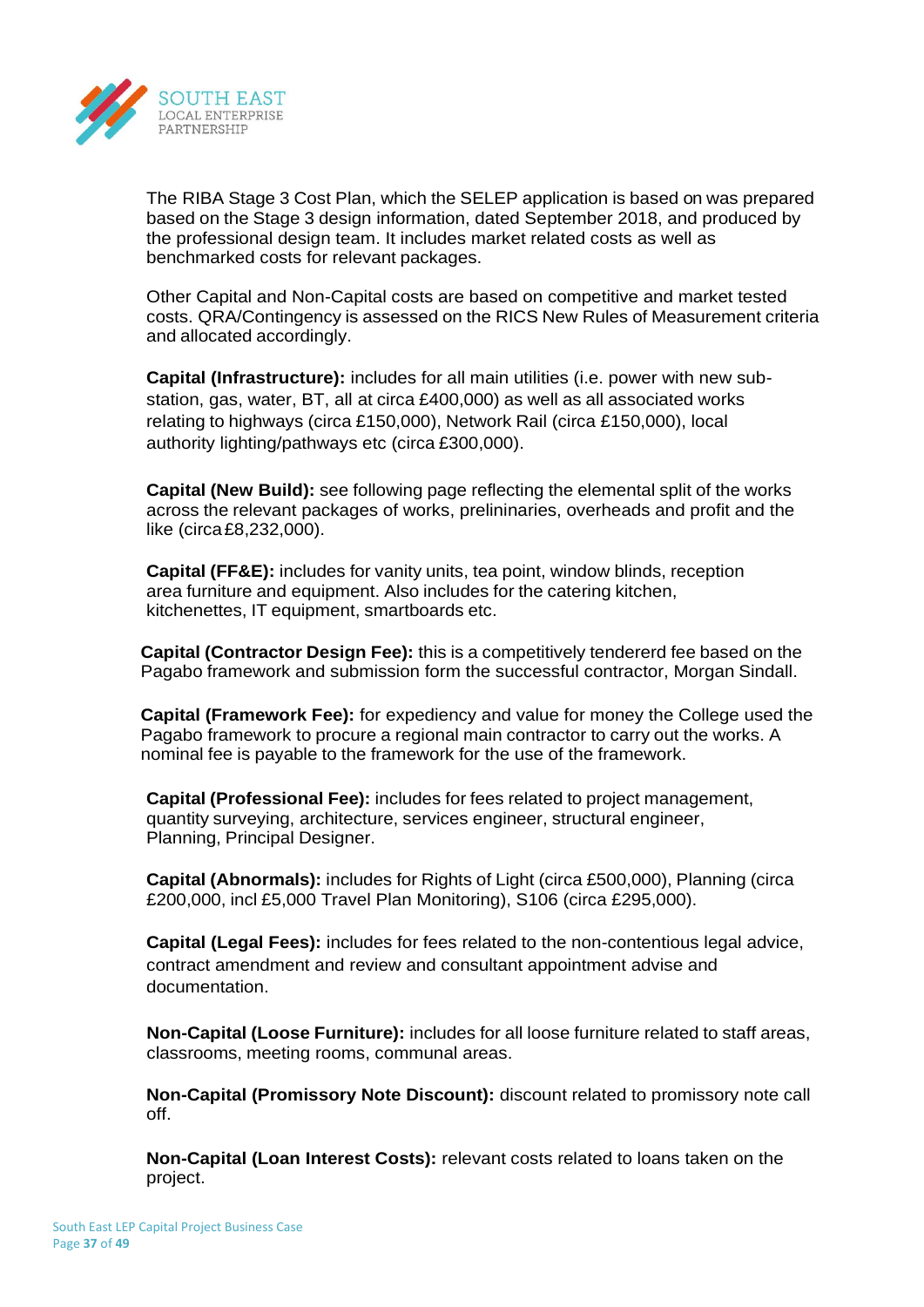

The RIBA Stage 3 Cost Plan, which the SELEP application is based on was prepared based on the Stage 3 design information, dated September 2018, and produced by the professional design team. It includes market related costs as well as benchmarked costs for relevant packages.

Other Capital and Non-Capital costs are based on competitive and market tested costs. QRA/Contingency is assessed on the RICS New Rules of Measurement criteria and allocated accordingly.

**Capital (Infrastructure):** includes for all main utilities (i.e. power with new substation, gas, water, BT, all at circa £400,000) as well as all associated works relating to highways (circa £150,000), Network Rail (circa £150,000), local authority lighting/pathways etc (circa £300,000).

**Capital (New Build):** see following page reflecting the elemental split of the works across the relevant packages of works, prelininaries, overheads and profit and the like (circa£8,232,000).

**Capital (FF&E):** includes for vanity units, tea point, window blinds, reception area furniture and equipment. Also includes for the catering kitchen, kitchenettes, IT equipment, smartboards etc.

**Capital (Contractor Design Fee):** this is a competitively tendererd fee based on the Pagabo framework and submission form the successful contractor, Morgan Sindall.

**Capital (Framework Fee):** for expediency and value for money the College used the Pagabo framework to procure a regional main contractor to carry out the works. A nominal fee is payable to the framework for the use of the framework.

**Capital (Professional Fee):** includes for fees related to project management, quantity surveying, architecture, services engineer, structural engineer, Planning, Principal Designer.

**Capital (Abnormals):** includes for Rights of Light (circa £500,000), Planning (circa £200,000, incl £5,000 Travel Plan Monitoring), S106 (circa £295,000).

**Capital (Legal Fees):** includes for fees related to the non-contentious legal advice, contract amendment and review and consultant appointment advise and documentation.

**Non-Capital (Loose Furniture):** includes for all loose furniture related to staff areas, classrooms, meeting rooms, communal areas.

**Non-Capital (Promissory Note Discount):** discount related to promissory note call off.

**Non-Capital (Loan Interest Costs):** relevant costs related to loans taken on the project.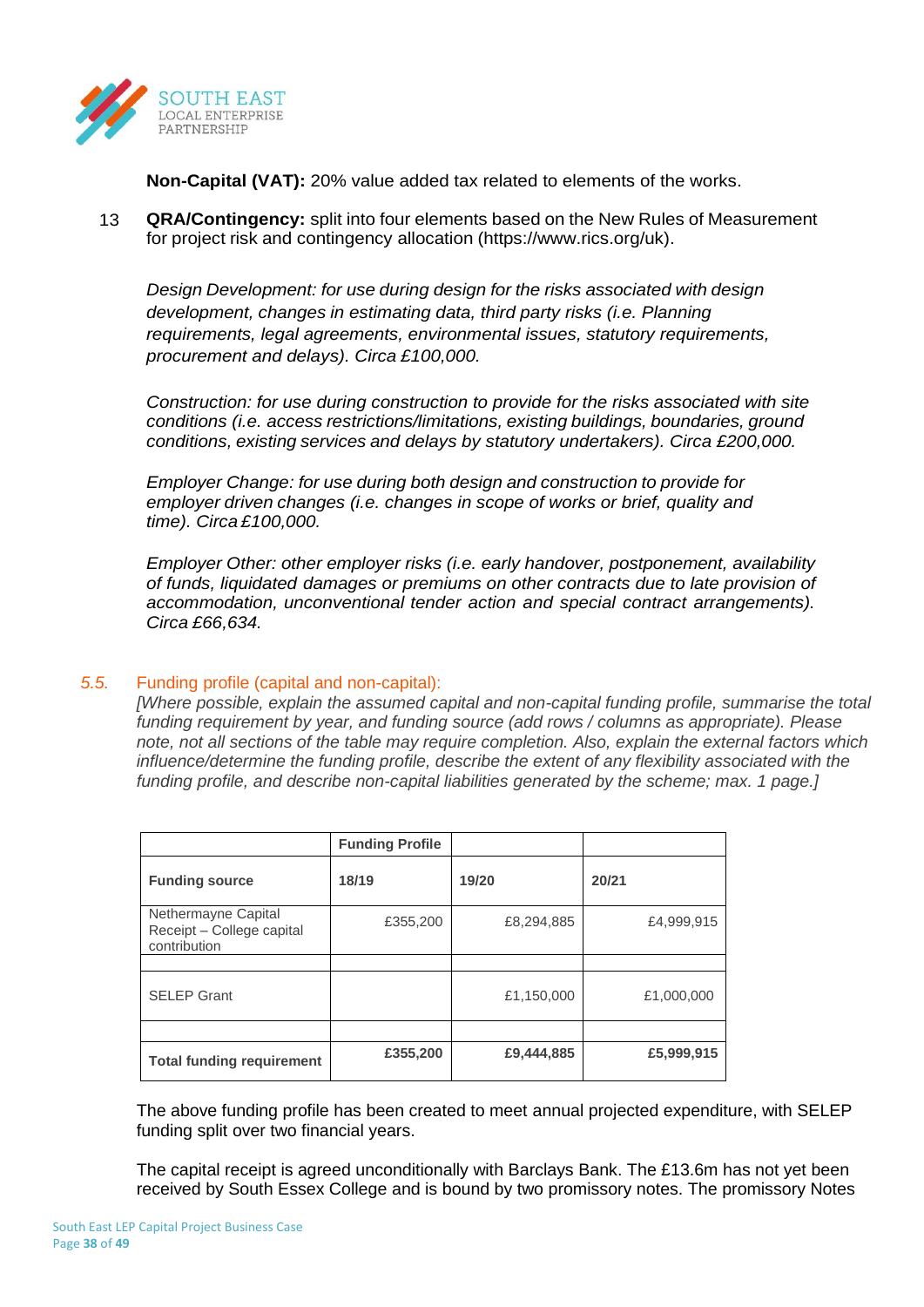

**Non-Capital (VAT):** 20% value added tax related to elements of the works.

13 **QRA/Contingency:** split into four elements based on the New Rules of Measurement for project risk and contingency allocation (https:/[/www.rics.org/uk\).](http://www.rics.org/uk))

*Design Development: for use during design for the risks associated with design development, changes in estimating data, third party risks (i.e. Planning requirements, legal agreements, environmental issues, statutory requirements, procurement and delays). Circa £100,000.*

*Construction: for use during construction to provide for the risks associated with site conditions (i.e. access restrictions/limitations, existing buildings, boundaries, ground conditions, existing services and delays by statutory undertakers). Circa £200,000.*

*Employer Change: for use during both design and construction to provide for employer driven changes (i.e. changes in scope of works or brief, quality and time). Circa £100,000.*

*Employer Other: other employer risks (i.e. early handover, postponement, availability of funds, liquidated damages or premiums on other contracts due to late provision of accommodation, unconventional tender action and special contract arrangements). Circa £66,634.*

## *5.5.* Funding profile (capital and non-capital):

*[Where possible, explain the assumed capital and non-capital funding profile, summarise the total funding requirement by year, and funding source (add rows / columns as appropriate). Please note, not all sections of the table may require completion. Also, explain the external factors which influence/determine the funding profile, describe the extent of any flexibility associated with the funding profile, and describe non-capital liabilities generated by the scheme; max. 1 page.]*

|                                                                  | <b>Funding Profile</b> |            |            |
|------------------------------------------------------------------|------------------------|------------|------------|
| <b>Funding source</b>                                            | 18/19                  | 19/20      | 20/21      |
| Nethermayne Capital<br>Receipt - College capital<br>contribution | £355,200               | £8,294,885 | £4,999,915 |
|                                                                  |                        |            |            |
| <b>SELEP Grant</b>                                               |                        | £1,150,000 | £1,000,000 |
|                                                                  |                        |            |            |
| <b>Total funding requirement</b>                                 | £355,200               | £9,444,885 | £5,999,915 |

The above funding profile has been created to meet annual projected expenditure, with SELEP funding split over two financial years.

The capital receipt is agreed unconditionally with Barclays Bank. The £13.6m has not yet been received by South Essex College and is bound by two promissory notes. The promissory Notes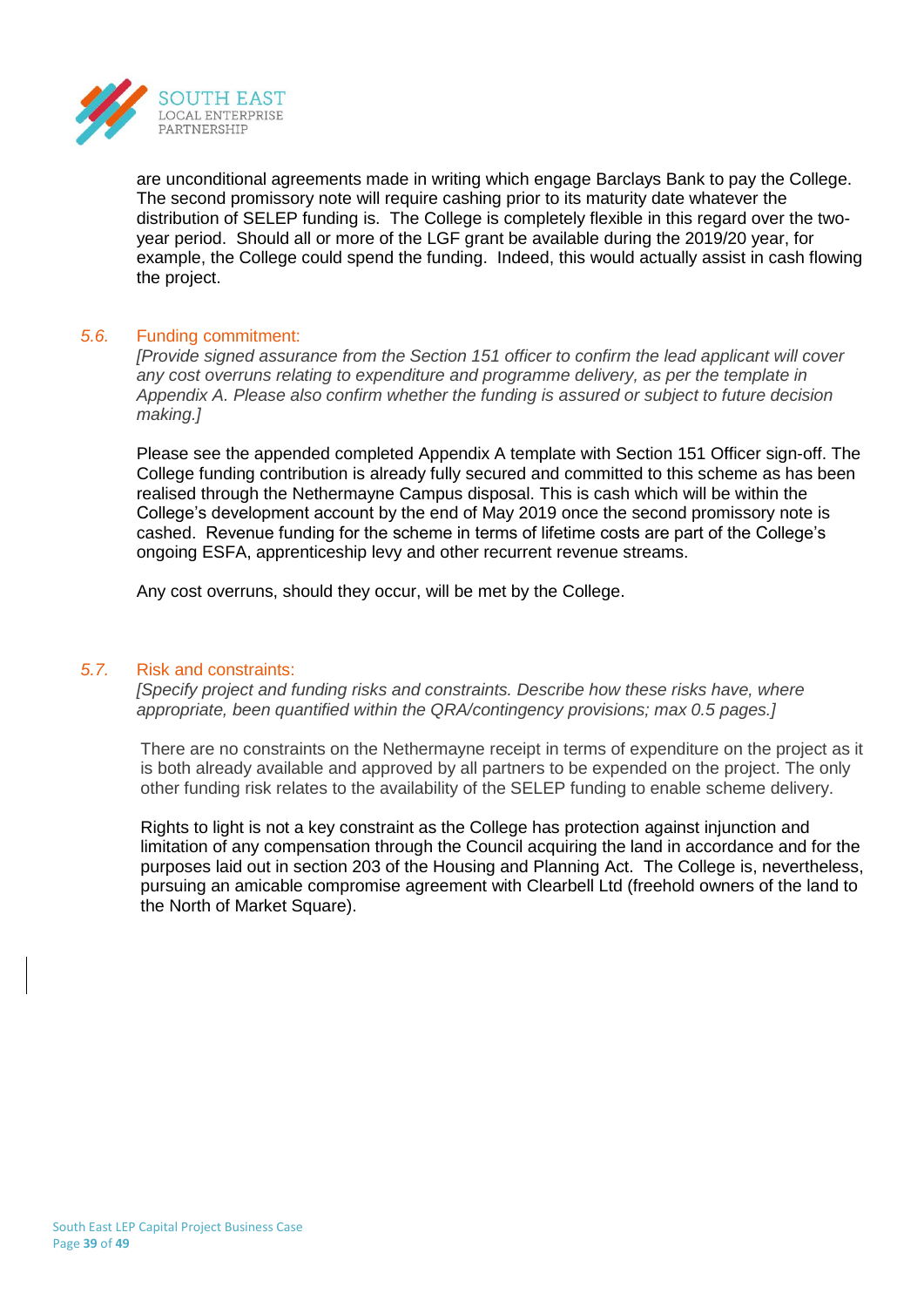

are unconditional agreements made in writing which engage Barclays Bank to pay the College. The second promissory note will require cashing prior to its maturity date whatever the distribution of SELEP funding is. The College is completely flexible in this regard over the twoyear period. Should all or more of the LGF grant be available during the 2019/20 year, for example, the College could spend the funding. Indeed, this would actually assist in cash flowing the project.

## *5.6.* Funding commitment:

*[Provide signed assurance from the Section 151 officer to confirm the lead applicant will cover any cost overruns relating to expenditure and programme delivery, as per the template in Appendix A. Please also confirm whether the funding is assured or subject to future decision making.]*

Please see the appended completed Appendix A template with Section 151 Officer sign-off. The College funding contribution is already fully secured and committed to this scheme as has been realised through the Nethermayne Campus disposal. This is cash which will be within the College's development account by the end of May 2019 once the second promissory note is cashed. Revenue funding for the scheme in terms of lifetime costs are part of the College's ongoing ESFA, apprenticeship levy and other recurrent revenue streams.

Any cost overruns, should they occur, will be met by the College.

## *5.7.* Risk and constraints:

*[Specify project and funding risks and constraints. Describe how these risks have, where appropriate, been quantified within the QRA/contingency provisions; max 0.5 pages.]*

There are no constraints on the Nethermayne receipt in terms of expenditure on the project as it is both already available and approved by all partners to be expended on the project. The only other funding risk relates to the availability of the SELEP funding to enable scheme delivery.

Rights to light is not a key constraint as the College has protection against injunction and limitation of any compensation through the Council acquiring the land in accordance and for the purposes laid out in section 203 of the Housing and Planning Act. The College is, nevertheless, pursuing an amicable compromise agreement with Clearbell Ltd (freehold owners of the land to the North of Market Square).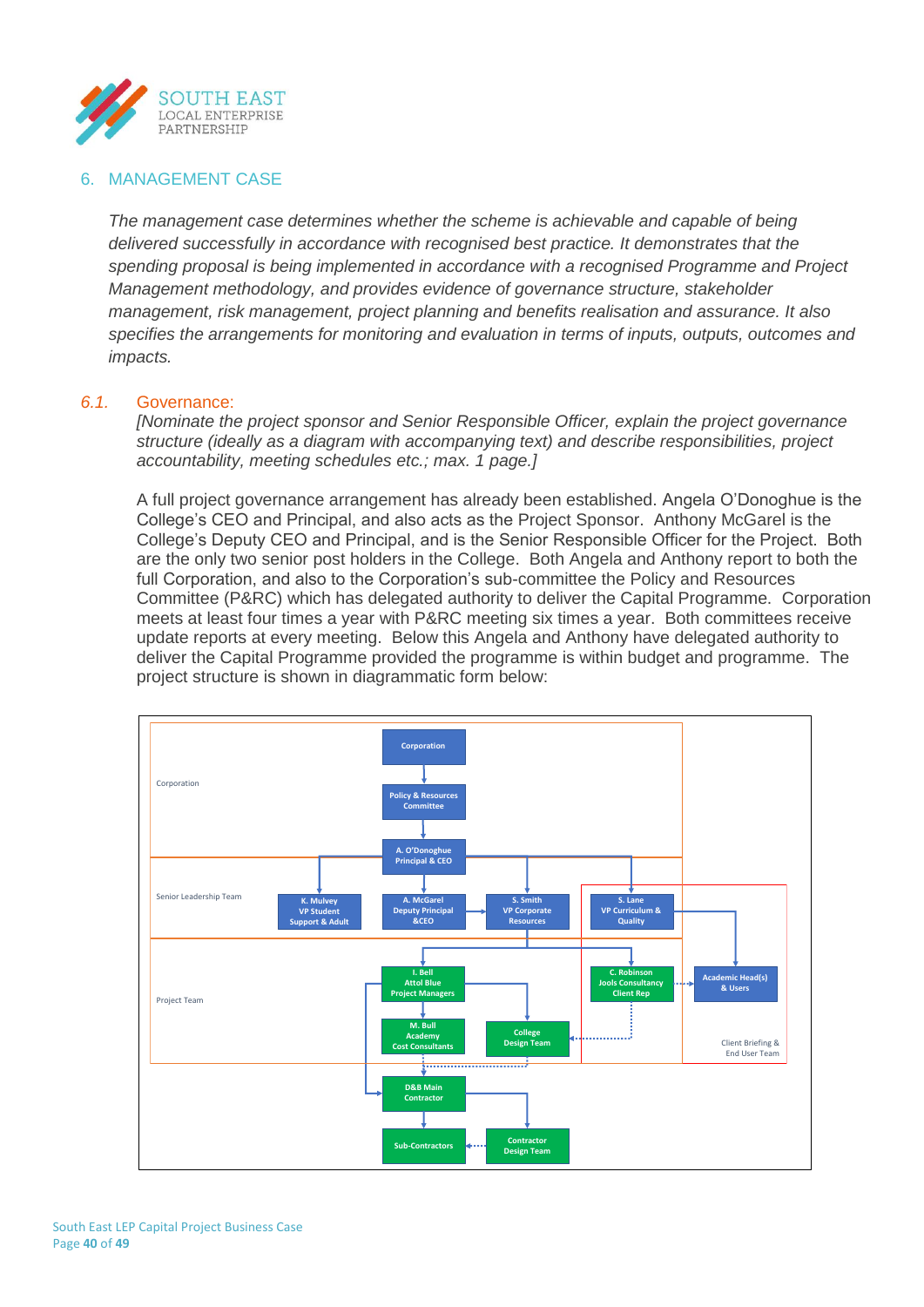

## 6. MANAGEMENT CASE

*The management case determines whether the scheme is achievable and capable of being delivered successfully in accordance with recognised best practice. It demonstrates that the spending proposal is being implemented in accordance with a recognised Programme and Project Management methodology, and provides evidence of governance structure, stakeholder management, risk management, project planning and benefits realisation and assurance. It also specifies the arrangements for monitoring and evaluation in terms of inputs, outputs, outcomes and impacts.*

#### *6.1.* Governance:

*[Nominate the project sponsor and Senior Responsible Officer, explain the project governance structure (ideally as a diagram with accompanying text) and describe responsibilities, project accountability, meeting schedules etc.; max. 1 page.]*

A full project governance arrangement has already been established. Angela O'Donoghue is the College's CEO and Principal, and also acts as the Project Sponsor. Anthony McGarel is the College's Deputy CEO and Principal, and is the Senior Responsible Officer for the Project. Both are the only two senior post holders in the College. Both Angela and Anthony report to both the full Corporation, and also to the Corporation's sub-committee the Policy and Resources Committee (P&RC) which has delegated authority to deliver the Capital Programme. Corporation meets at least four times a year with P&RC meeting six times a year. Both committees receive update reports at every meeting. Below this Angela and Anthony have delegated authority to deliver the Capital Programme provided the programme is within budget and programme. The project structure is shown in diagrammatic form below:

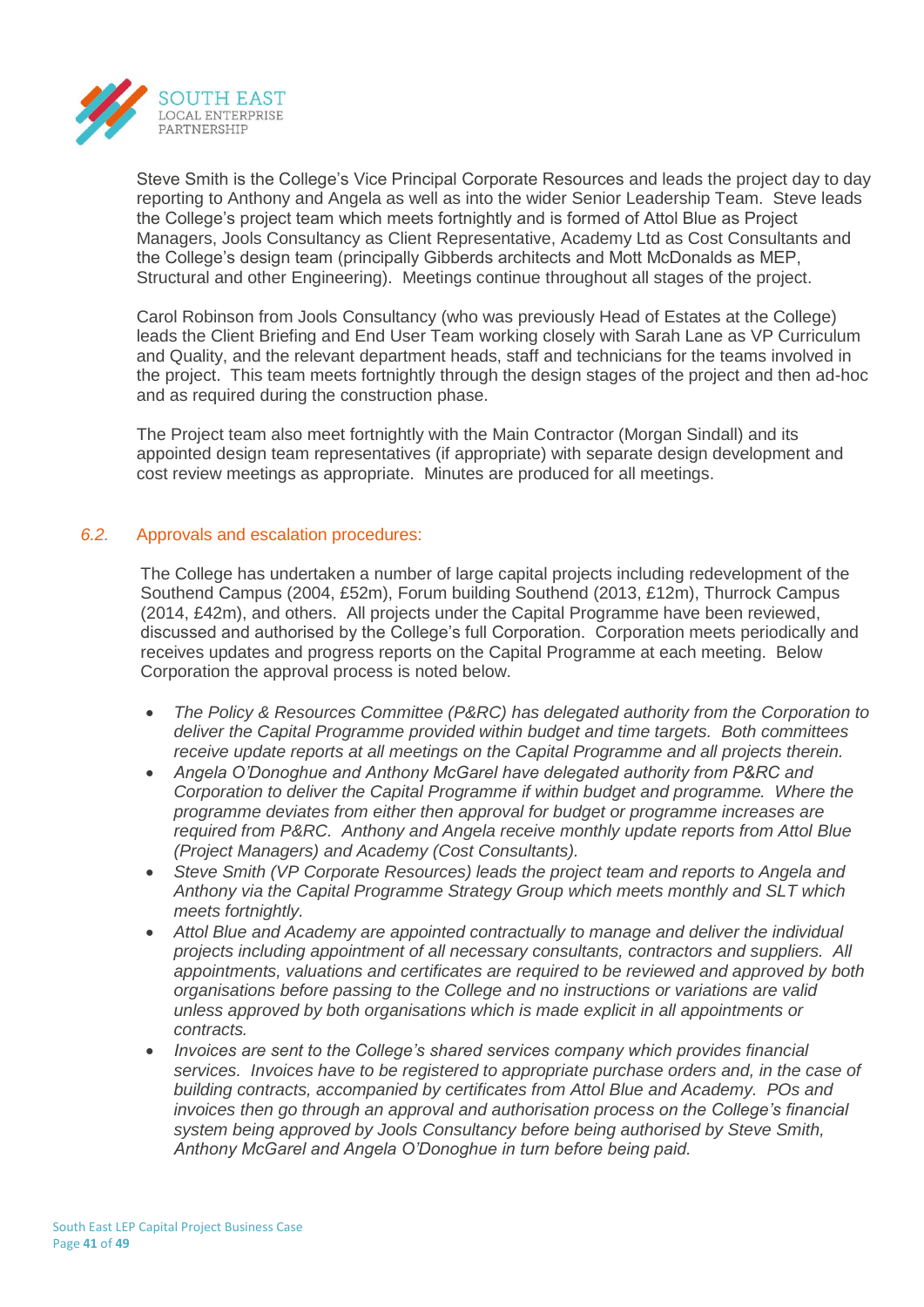

Steve Smith is the College's Vice Principal Corporate Resources and leads the project day to day reporting to Anthony and Angela as well as into the wider Senior Leadership Team. Steve leads the College's project team which meets fortnightly and is formed of Attol Blue as Project Managers, Jools Consultancy as Client Representative, Academy Ltd as Cost Consultants and the College's design team (principally Gibberds architects and Mott McDonalds as MEP, Structural and other Engineering). Meetings continue throughout all stages of the project.

Carol Robinson from Jools Consultancy (who was previously Head of Estates at the College) leads the Client Briefing and End User Team working closely with Sarah Lane as VP Curriculum and Quality, and the relevant department heads, staff and technicians for the teams involved in the project. This team meets fortnightly through the design stages of the project and then ad-hoc and as required during the construction phase.

The Project team also meet fortnightly with the Main Contractor (Morgan Sindall) and its appointed design team representatives (if appropriate) with separate design development and cost review meetings as appropriate. Minutes are produced for all meetings.

## *6.2.* Approvals and escalation procedures:

The College has undertaken a number of large capital projects including redevelopment of the Southend Campus (2004, £52m), Forum building Southend (2013, £12m), Thurrock Campus (2014, £42m), and others. All projects under the Capital Programme have been reviewed, discussed and authorised by the College's full Corporation. Corporation meets periodically and receives updates and progress reports on the Capital Programme at each meeting. Below Corporation the approval process is noted below.

- *The Policy & Resources Committee (P&RC) has delegated authority from the Corporation to deliver the Capital Programme provided within budget and time targets. Both committees receive update reports at all meetings on the Capital Programme and all projects therein.*
- *Angela O'Donoghue and Anthony McGarel have delegated authority from P&RC and Corporation to deliver the Capital Programme if within budget and programme. Where the programme deviates from either then approval for budget or programme increases are required from P&RC. Anthony and Angela receive monthly update reports from Attol Blue (Project Managers) and Academy (Cost Consultants).*
- *Steve Smith (VP Corporate Resources) leads the project team and reports to Angela and Anthony via the Capital Programme Strategy Group which meets monthly and SLT which meets fortnightly.*
- *Attol Blue and Academy are appointed contractually to manage and deliver the individual projects including appointment of all necessary consultants, contractors and suppliers. All appointments, valuations and certificates are required to be reviewed and approved by both organisations before passing to the College and no instructions or variations are valid unless approved by both organisations which is made explicit in all appointments or contracts.*
- *Invoices are sent to the College's shared services company which provides financial services. Invoices have to be registered to appropriate purchase orders and, in the case of building contracts, accompanied by certificates from Attol Blue and Academy. POs and invoices then go through an approval and authorisation process on the College's financial system being approved by Jools Consultancy before being authorised by Steve Smith, Anthony McGarel and Angela O'Donoghue in turn before being paid.*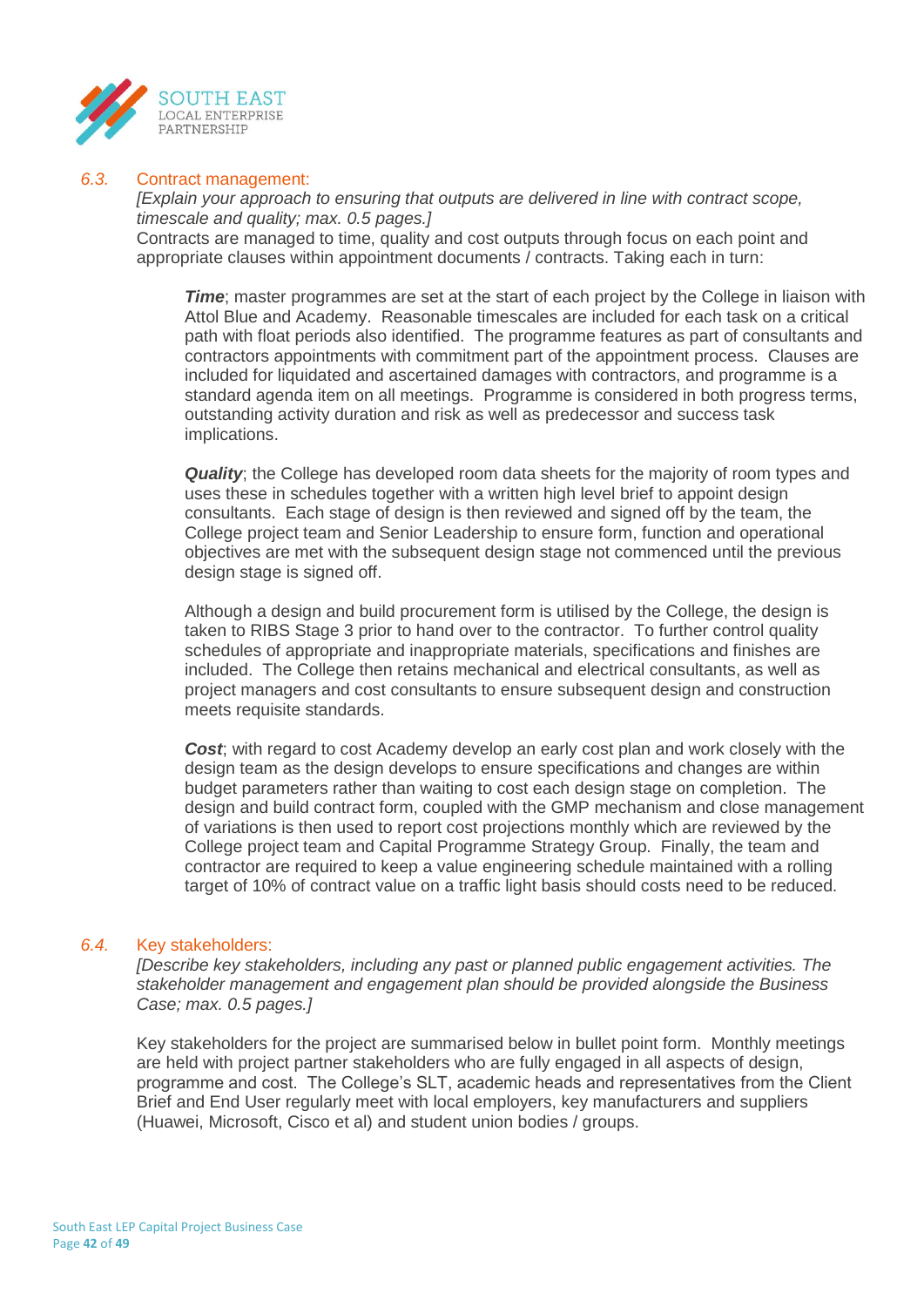

#### *6.3.* Contract management:

*[Explain your approach to ensuring that outputs are delivered in line with contract scope, timescale and quality; max. 0.5 pages.]* Contracts are managed to time, quality and cost outputs through focus on each point and appropriate clauses within appointment documents / contracts. Taking each in turn:

*Time*; master programmes are set at the start of each project by the College in liaison with Attol Blue and Academy. Reasonable timescales are included for each task on a critical path with float periods also identified. The programme features as part of consultants and contractors appointments with commitment part of the appointment process. Clauses are included for liquidated and ascertained damages with contractors, and programme is a standard agenda item on all meetings. Programme is considered in both progress terms, outstanding activity duration and risk as well as predecessor and success task implications.

**Quality**; the College has developed room data sheets for the majority of room types and uses these in schedules together with a written high level brief to appoint design consultants. Each stage of design is then reviewed and signed off by the team, the College project team and Senior Leadership to ensure form, function and operational objectives are met with the subsequent design stage not commenced until the previous design stage is signed off.

Although a design and build procurement form is utilised by the College, the design is taken to RIBS Stage 3 prior to hand over to the contractor. To further control quality schedules of appropriate and inappropriate materials, specifications and finishes are included. The College then retains mechanical and electrical consultants, as well as project managers and cost consultants to ensure subsequent design and construction meets requisite standards.

**Cost**; with regard to cost Academy develop an early cost plan and work closely with the design team as the design develops to ensure specifications and changes are within budget parameters rather than waiting to cost each design stage on completion. The design and build contract form, coupled with the GMP mechanism and close management of variations is then used to report cost projections monthly which are reviewed by the College project team and Capital Programme Strategy Group. Finally, the team and contractor are required to keep a value engineering schedule maintained with a rolling target of 10% of contract value on a traffic light basis should costs need to be reduced.

#### *6.4.* Key stakeholders:

*[Describe key stakeholders, including any past or planned public engagement activities. The stakeholder management and engagement plan should be provided alongside the Business Case; max. 0.5 pages.]*

Key stakeholders for the project are summarised below in bullet point form. Monthly meetings are held with project partner stakeholders who are fully engaged in all aspects of design, programme and cost. The College's SLT, academic heads and representatives from the Client Brief and End User regularly meet with local employers, key manufacturers and suppliers (Huawei, Microsoft, Cisco et al) and student union bodies / groups.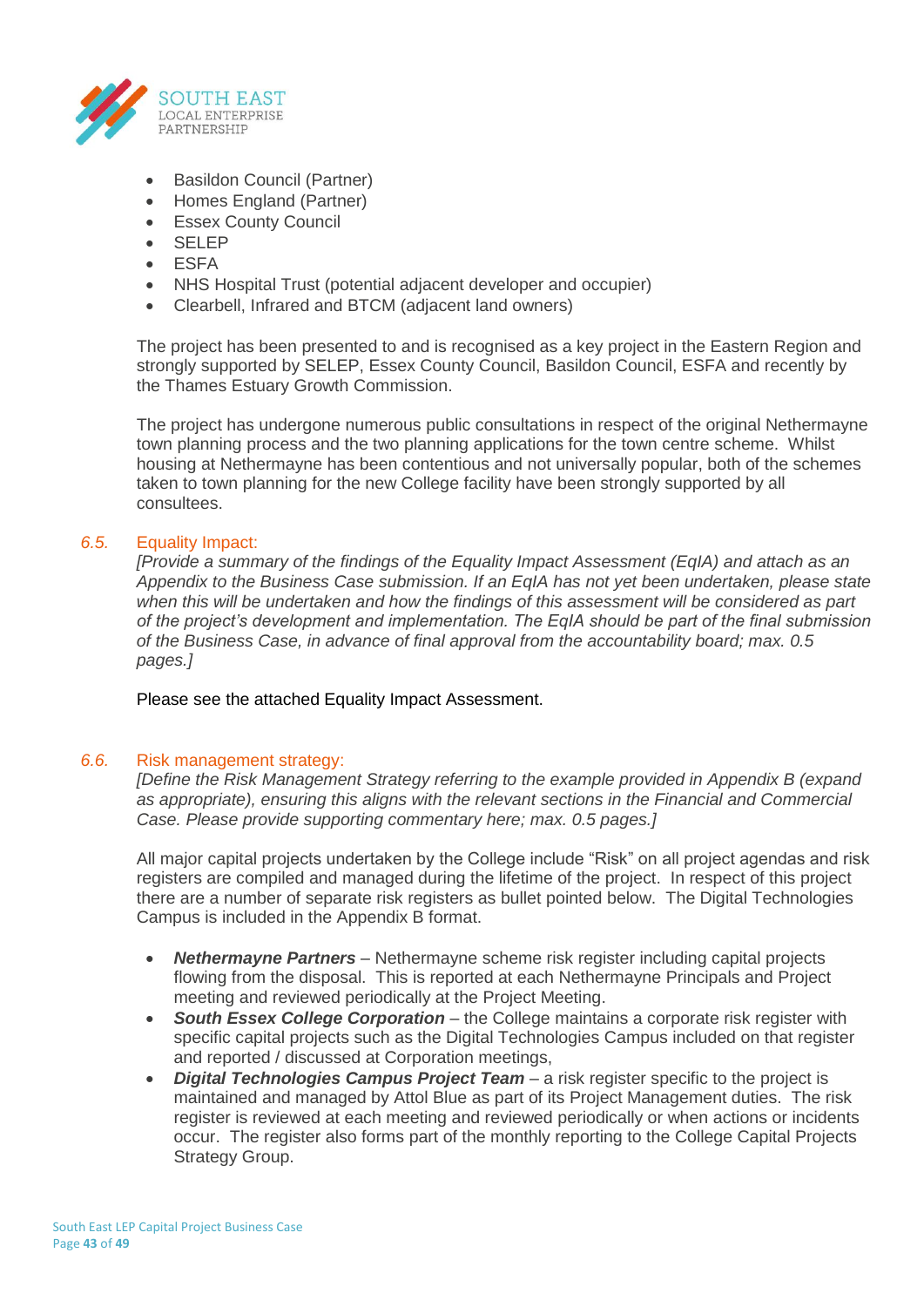

- Basildon Council (Partner)
- Homes England (Partner)
- **Essex County Council**
- SELEP
- ESFA
- NHS Hospital Trust (potential adjacent developer and occupier)
- Clearbell, Infrared and BTCM (adjacent land owners)

The project has been presented to and is recognised as a key project in the Eastern Region and strongly supported by SELEP, Essex County Council, Basildon Council, ESFA and recently by the Thames Estuary Growth Commission.

The project has undergone numerous public consultations in respect of the original Nethermayne town planning process and the two planning applications for the town centre scheme. Whilst housing at Nethermayne has been contentious and not universally popular, both of the schemes taken to town planning for the new College facility have been strongly supported by all consultees.

## *6.5.* Equality Impact:

*[Provide a summary of the findings of the Equality Impact Assessment (EqIA) and attach as an Appendix to the Business Case submission. If an EqIA has not yet been undertaken, please state when this will be undertaken and how the findings of this assessment will be considered as part of the project's development and implementation. The EqIA should be part of the final submission of the Business Case, in advance of final approval from the accountability board; max. 0.5 pages.]*

Please see the attached Equality Impact Assessment.

#### *6.6.* Risk management strategy:

*[Define the Risk Management Strategy referring to the example provided in Appendix B (expand as appropriate), ensuring this aligns with the relevant sections in the Financial and Commercial Case. Please provide supporting commentary here; max. 0.5 pages.]*

All major capital projects undertaken by the College include "Risk" on all project agendas and risk registers are compiled and managed during the lifetime of the project. In respect of this project there are a number of separate risk registers as bullet pointed below. The Digital Technologies Campus is included in the Appendix B format.

- *Nethermayne Partners* Nethermayne scheme risk register including capital projects flowing from the disposal. This is reported at each Nethermayne Principals and Project meeting and reviewed periodically at the Project Meeting.
- *South Essex College Corporation* the College maintains a corporate risk register with specific capital projects such as the Digital Technologies Campus included on that register and reported / discussed at Corporation meetings,
- *Digital Technologies Campus Project Team* a risk register specific to the project is maintained and managed by Attol Blue as part of its Project Management duties. The risk register is reviewed at each meeting and reviewed periodically or when actions or incidents occur. The register also forms part of the monthly reporting to the College Capital Projects Strategy Group.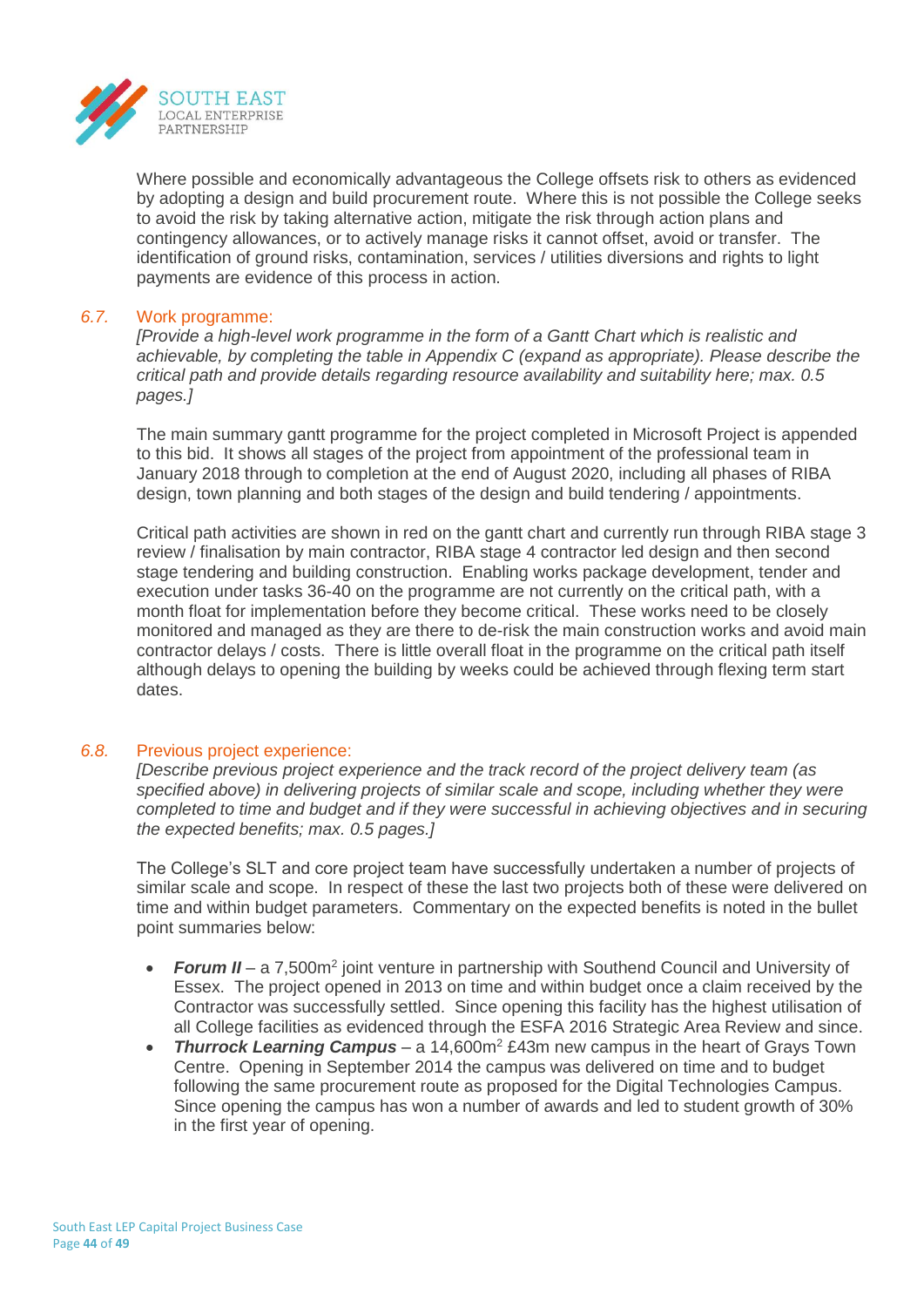

Where possible and economically advantageous the College offsets risk to others as evidenced by adopting a design and build procurement route. Where this is not possible the College seeks to avoid the risk by taking alternative action, mitigate the risk through action plans and contingency allowances, or to actively manage risks it cannot offset, avoid or transfer. The identification of ground risks, contamination, services / utilities diversions and rights to light payments are evidence of this process in action.

#### *6.7.* Work programme:

*[Provide a high-level work programme in the form of a Gantt Chart which is realistic and achievable, by completing the table in Appendix C (expand as appropriate). Please describe the critical path and provide details regarding resource availability and suitability here; max. 0.5 pages.]*

The main summary gantt programme for the project completed in Microsoft Project is appended to this bid. It shows all stages of the project from appointment of the professional team in January 2018 through to completion at the end of August 2020, including all phases of RIBA design, town planning and both stages of the design and build tendering / appointments.

Critical path activities are shown in red on the gantt chart and currently run through RIBA stage 3 review / finalisation by main contractor, RIBA stage 4 contractor led design and then second stage tendering and building construction. Enabling works package development, tender and execution under tasks 36-40 on the programme are not currently on the critical path, with a month float for implementation before they become critical. These works need to be closely monitored and managed as they are there to de-risk the main construction works and avoid main contractor delays / costs. There is little overall float in the programme on the critical path itself although delays to opening the building by weeks could be achieved through flexing term start dates.

#### *6.8.* Previous project experience:

*[Describe previous project experience and the track record of the project delivery team (as specified above) in delivering projects of similar scale and scope, including whether they were completed to time and budget and if they were successful in achieving objectives and in securing the expected benefits; max. 0.5 pages.]*

The College's SLT and core project team have successfully undertaken a number of projects of similar scale and scope. In respect of these the last two projects both of these were delivered on time and within budget parameters. Commentary on the expected benefits is noted in the bullet point summaries below:

- Forum II a 7,500m<sup>2</sup> joint venture in partnership with Southend Council and University of Essex. The project opened in 2013 on time and within budget once a claim received by the Contractor was successfully settled. Since opening this facility has the highest utilisation of all College facilities as evidenced through the ESFA 2016 Strategic Area Review and since.
- *Thurrock Learning Campus* a 14,600m<sup>2</sup> £43m new campus in the heart of Grays Town Centre. Opening in September 2014 the campus was delivered on time and to budget following the same procurement route as proposed for the Digital Technologies Campus. Since opening the campus has won a number of awards and led to student growth of 30% in the first year of opening.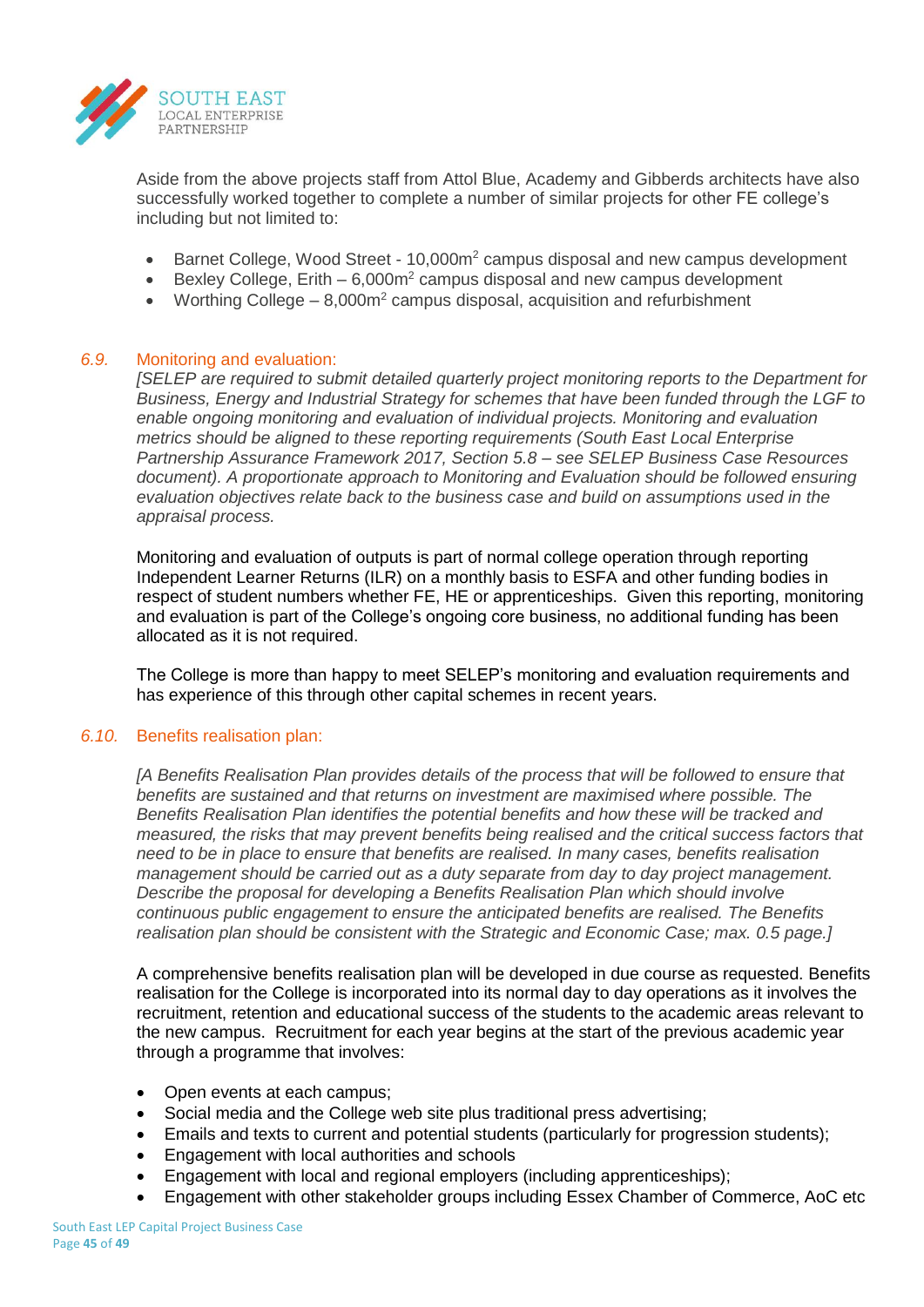

Aside from the above projects staff from Attol Blue, Academy and Gibberds architects have also successfully worked together to complete a number of similar projects for other FE college's including but not limited to:

- Barnet College, Wood Street 10,000m<sup>2</sup> campus disposal and new campus development
- Bexley College, Erith  $-6,000m^2$  campus disposal and new campus development
- Worthing College 8,000m<sup>2</sup> campus disposal, acquisition and refurbishment

## *6.9.* Monitoring and evaluation:

*[SELEP are required to submit detailed quarterly project monitoring reports to the Department for Business, Energy and Industrial Strategy for schemes that have been funded through the LGF to enable ongoing monitoring and evaluation of individual projects. Monitoring and evaluation metrics should be aligned to these reporting requirements (South East Local Enterprise Partnership Assurance Framework 2017, Section 5.8 – see SELEP Business Case Resources document). A proportionate approach to Monitoring and Evaluation should be followed ensuring evaluation objectives relate back to the business case and build on assumptions used in the appraisal process.*

Monitoring and evaluation of outputs is part of normal college operation through reporting Independent Learner Returns (ILR) on a monthly basis to ESFA and other funding bodies in respect of student numbers whether FE, HE or apprenticeships. Given this reporting, monitoring and evaluation is part of the College's ongoing core business, no additional funding has been allocated as it is not required.

The College is more than happy to meet SELEP's monitoring and evaluation requirements and has experience of this through other capital schemes in recent years.

#### *6.10.* Benefits realisation plan:

*[A Benefits Realisation Plan provides details of the process that will be followed to ensure that benefits are sustained and that returns on investment are maximised where possible. The Benefits Realisation Plan identifies the potential benefits and how these will be tracked and measured, the risks that may prevent benefits being realised and the critical success factors that need to be in place to ensure that benefits are realised. In many cases, benefits realisation management should be carried out as a duty separate from day to day project management. Describe the proposal for developing a Benefits Realisation Plan which should involve continuous public engagement to ensure the anticipated benefits are realised. The Benefits realisation plan should be consistent with the Strategic and Economic Case; max. 0.5 page.]*

A comprehensive benefits realisation plan will be developed in due course as requested. Benefits realisation for the College is incorporated into its normal day to day operations as it involves the recruitment, retention and educational success of the students to the academic areas relevant to the new campus. Recruitment for each year begins at the start of the previous academic year through a programme that involves:

- Open events at each campus;
- Social media and the College web site plus traditional press advertising;
- Emails and texts to current and potential students (particularly for progression students);
- Engagement with local authorities and schools
- Engagement with local and regional employers (including apprenticeships);
- Engagement with other stakeholder groups including Essex Chamber of Commerce, AoC etc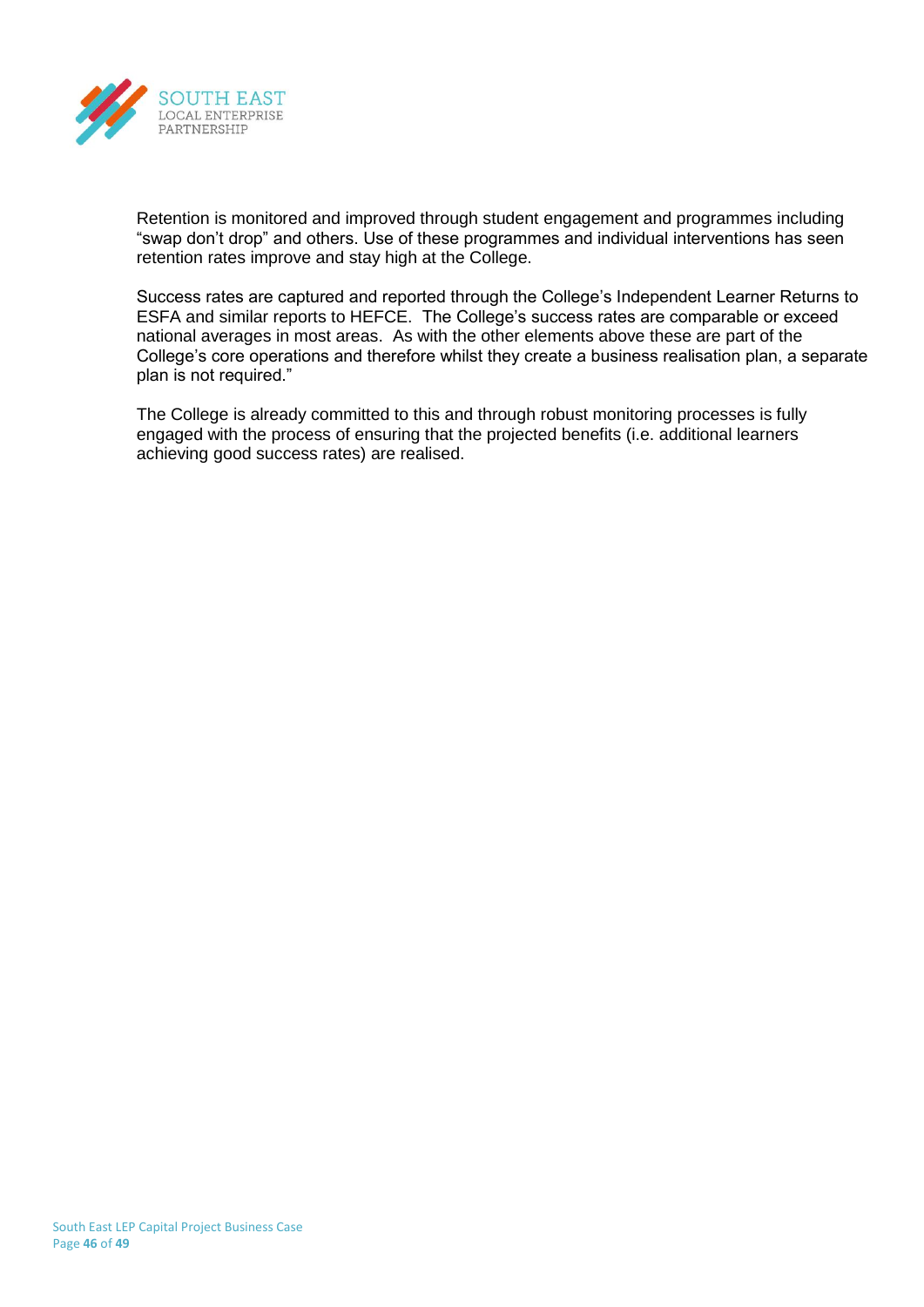

Retention is monitored and improved through student engagement and programmes including "swap don't drop" and others. Use of these programmes and individual interventions has seen retention rates improve and stay high at the College.

Success rates are captured and reported through the College's Independent Learner Returns to ESFA and similar reports to HEFCE. The College's success rates are comparable or exceed national averages in most areas. As with the other elements above these are part of the College's core operations and therefore whilst they create a business realisation plan, a separate plan is not required."

The College is already committed to this and through robust monitoring processes is fully engaged with the process of ensuring that the projected benefits (i.e. additional learners achieving good success rates) are realised.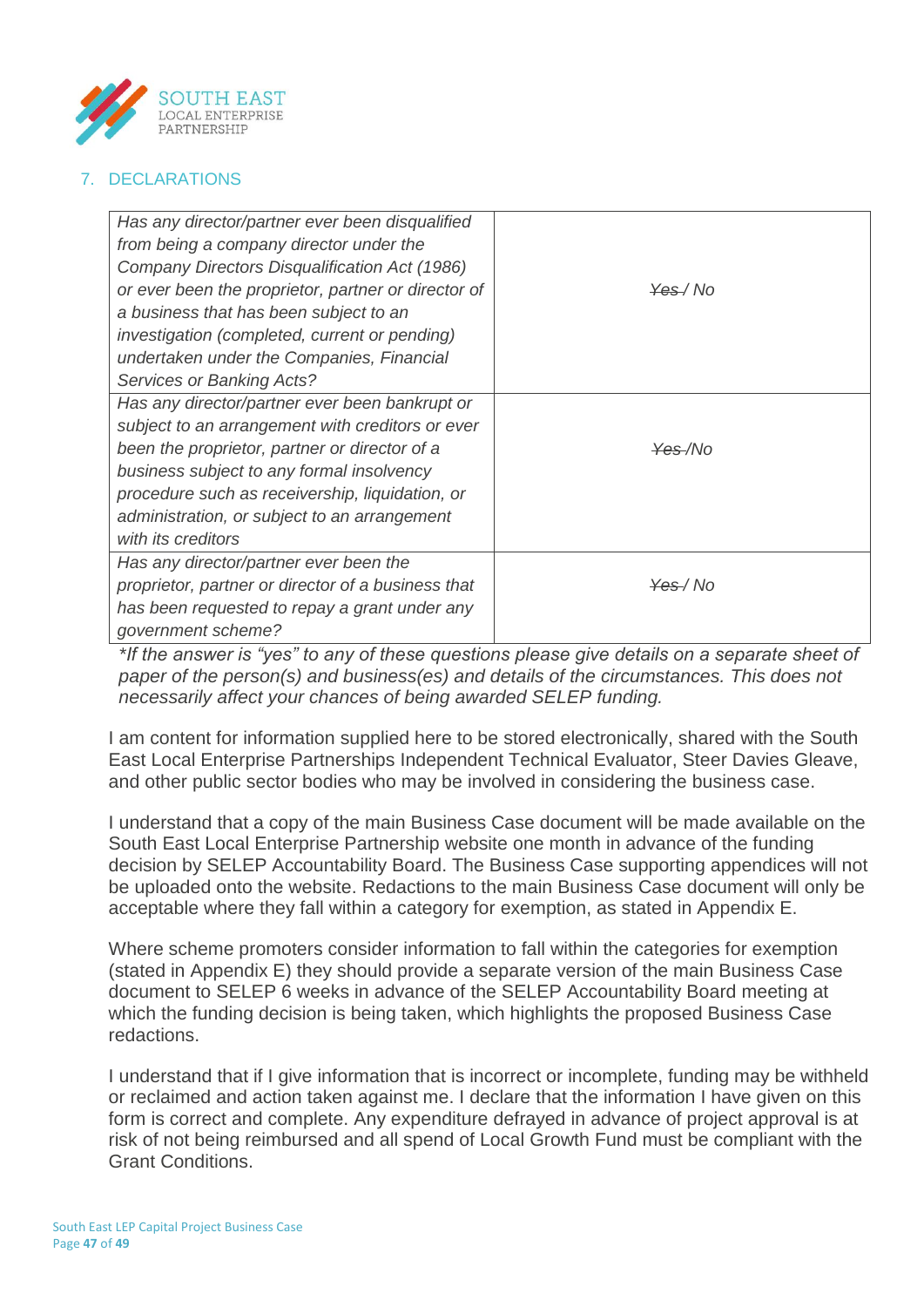

# 7. DECLARATIONS

| Has any director/partner ever been disqualified     |                     |
|-----------------------------------------------------|---------------------|
| from being a company director under the             |                     |
| Company Directors Disqualification Act (1986)       |                     |
| or ever been the proprietor, partner or director of | <del>Yes</del> /No  |
| a business that has been subject to an              |                     |
| investigation (completed, current or pending)       |                     |
| undertaken under the Companies, Financial           |                     |
| Services or Banking Acts?                           |                     |
| Has any director/partner ever been bankrupt or      |                     |
| subject to an arrangement with creditors or ever    |                     |
| been the proprietor, partner or director of a       | <del>Yes</del> /No  |
| business subject to any formal insolvency           |                     |
| procedure such as receivership, liquidation, or     |                     |
| administration, or subject to an arrangement        |                     |
| with its creditors                                  |                     |
| Has any director/partner ever been the              |                     |
| proprietor, partner or director of a business that  | <del>Yes</del> / No |
| has been requested to repay a grant under any       |                     |
| government scheme?                                  |                     |

*\*If the answer is "yes" to any of these questions please give details on a separate sheet of paper of the person(s) and business(es) and details of the circumstances. This does not necessarily affect your chances of being awarded SELEP funding.*

I am content for information supplied here to be stored electronically, shared with the South East Local Enterprise Partnerships Independent Technical Evaluator, Steer Davies Gleave, and other public sector bodies who may be involved in considering the business case.

I understand that a copy of the main Business Case document will be made available on the South East Local Enterprise Partnership website one month in advance of the funding decision by SELEP Accountability Board. The Business Case supporting appendices will not be uploaded onto the website. Redactions to the main Business Case document will only be acceptable where they fall within a category for exemption, as stated in Appendix E.

Where scheme promoters consider information to fall within the categories for exemption (stated in Appendix E) they should provide a separate version of the main Business Case document to SELEP 6 weeks in advance of the SELEP Accountability Board meeting at which the funding decision is being taken, which highlights the proposed Business Case redactions.

I understand that if I give information that is incorrect or incomplete, funding may be withheld or reclaimed and action taken against me. I declare that the information I have given on this form is correct and complete. Any expenditure defrayed in advance of project approval is at risk of not being reimbursed and all spend of Local Growth Fund must be compliant with the Grant Conditions.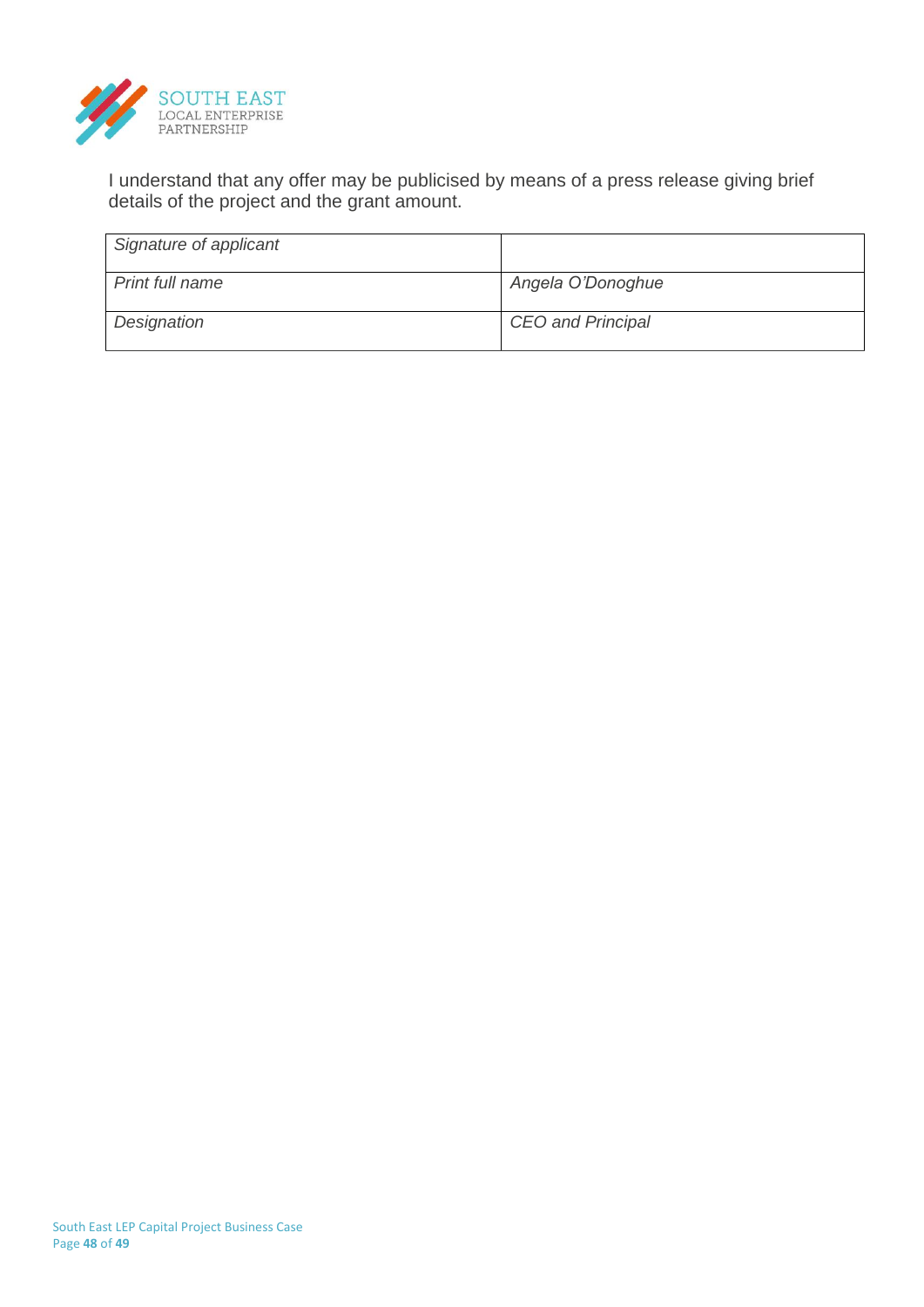

I understand that any offer may be publicised by means of a press release giving brief details of the project and the grant amount.

| Signature of applicant |                          |
|------------------------|--------------------------|
| <b>Print full name</b> | Angela O'Donoghue        |
| Designation            | <b>CEO</b> and Principal |